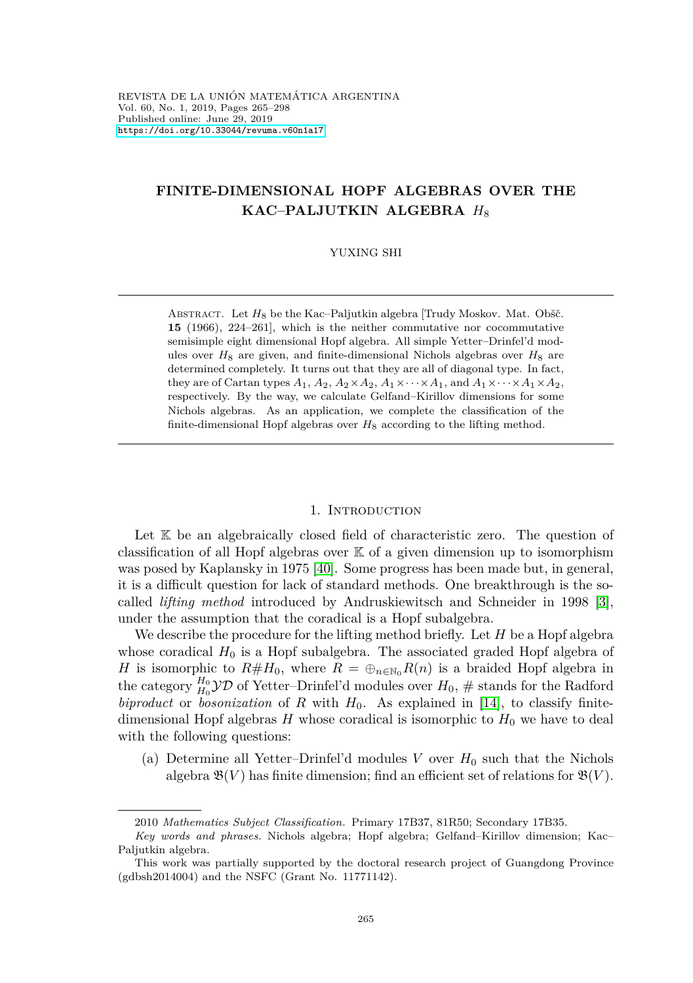# <span id="page-0-1"></span>**FINITE-DIMENSIONAL HOPF ALGEBRAS OVER THE KAC–PALJUTKIN ALGEBRA** *H*<sup>8</sup>

#### YUXING SHI

ABSTRACT. Let *H*<sub>8</sub> be the Kac–Paljutkin algebra [Trudy Moskov. Mat. Obšč. **15** (1966), 224–261], which is the neither commutative nor cocommutative semisimple eight dimensional Hopf algebra. All simple Yetter–Drinfel'd modules over  $H_8$  are given, and finite-dimensional Nichols algebras over  $H_8$  are determined completely. It turns out that they are all of diagonal type. In fact, they are of Cartan types  $A_1$ ,  $A_2$ ,  $A_2 \times A_2$ ,  $A_1 \times \cdots \times A_1$ , and  $A_1 \times \cdots \times A_1 \times A_2$ , respectively. By the way, we calculate Gelfand–Kirillov dimensions for some Nichols algebras. As an application, we complete the classification of the finite-dimensional Hopf algebras over  $H_8$  according to the lifting method.

#### 1. INTRODUCTION

Let K be an algebraically closed field of characteristic zero. The question of classification of all Hopf algebras over K of a given dimension up to isomorphism was posed by Kaplansky in 1975 [\[40\]](#page-32-0). Some progress has been made but, in general, it is a difficult question for lack of standard methods. One breakthrough is the socalled *lifting method* introduced by Andruskiewitsch and Schneider in 1998 [\[3\]](#page-30-0), under the assumption that the coradical is a Hopf subalgebra.

We describe the procedure for the lifting method briefly. Let *H* be a Hopf algebra whose coradical  $H_0$  is a Hopf subalgebra. The associated graded Hopf algebra of *H* is isomorphic to  $R#H_0$ , where  $R = \bigoplus_{n \in \mathbb{N}_0} R(n)$  is a braided Hopf algebra in the category  $H_0$ <sup>0</sup> $\mathcal{YD}$  of Yetter–Drinfel'd modules over  $H_0$ ,  $\#$  stands for the Radford *biproduct* or *bosonization* of *R* with  $H_0$ . As explained in [\[14\]](#page-31-0), to classify finitedimensional Hopf algebras  $H$  whose coradical is isomorphic to  $H_0$  we have to deal with the following questions:

<span id="page-0-0"></span>(a) Determine all Yetter–Drinfel'd modules *V* over  $H_0$  such that the Nichols algebra  $\mathfrak{B}(V)$  has finite dimension; find an efficient set of relations for  $\mathfrak{B}(V)$ .

<sup>2010</sup> *Mathematics Subject Classification.* Primary 17B37, 81R50; Secondary 17B35.

*Key words and phrases.* Nichols algebra; Hopf algebra; Gelfand–Kirillov dimension; Kac– Paljutkin algebra.

This work was partially supported by the doctoral research project of Guangdong Province (gdbsh2014004) and the NSFC (Grant No. 11771142).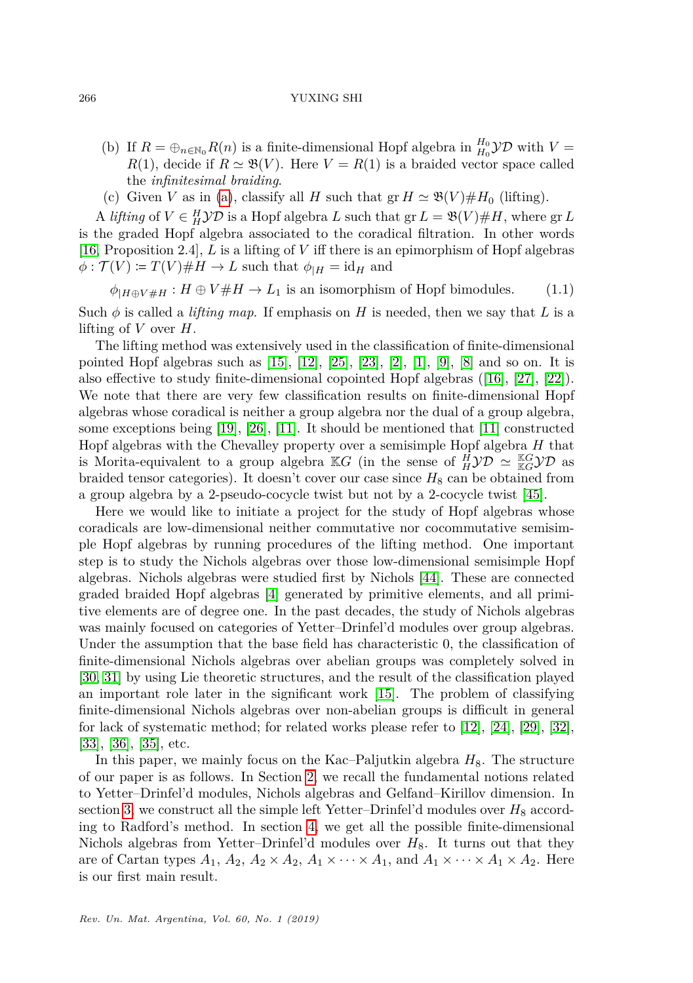- (b) If  $R = \bigoplus_{n \in \mathbb{N}_0} R(n)$  is a finite-dimensional Hopf algebra in  $\frac{H_0}{H_0}$  $\mathcal{YD}$  with  $V =$  $R(1)$ , decide if  $R \simeq \mathfrak{B}(V)$ . Here  $V = R(1)$  is a braided vector space called the *infinitesimal braiding*.
- (c) Given *V* as in [\(a\)](#page-0-0), classify all *H* such that  $gr H \simeq \mathfrak{B}(V) \# H_0$  (lifting).

A *lifting* of  $V \in H^1$  $\mathcal{YD}$  is a Hopf algebra *L* such that  $gr L = \mathfrak{B}(V) \# H$ , where  $gr L$ is the graded Hopf algebra associated to the coradical filtration. In other words [\[16,](#page-31-1) Proposition 2.4], *L* is a lifting of *V* iff there is an epimorphism of Hopf algebras  $\phi: \mathcal{T}(V) \coloneqq T(V) \# H \to L$  such that  $\phi_{|H} = id_H$  and

 $\phi$ <sub>*H*A $\oplus$ *V*  $\#$ *H*  $\to$  *L*<sub>1</sub> is an isomorphism of Hopf bimodules. (1.1)</sub>

Such  $\phi$  is called a *lifting map*. If emphasis on *H* is needed, then we say that *L* is a lifting of *V* over *H*.

The lifting method was extensively used in the classification of finite-dimensional pointed Hopf algebras such as  $[15]$ ,  $[12]$ ,  $[25]$ ,  $[23]$ ,  $[2]$ ,  $[1]$ ,  $[9]$ ,  $[8]$  and so on. It is also effective to study finite-dimensional copointed Hopf algebras ([\[16\]](#page-31-1), [\[27\]](#page-31-8), [\[22\]](#page-31-9)). We note that there are very few classification results on finite-dimensional Hopf algebras whose coradical is neither a group algebra nor the dual of a group algebra, some exceptions being [\[19\]](#page-31-10), [\[26\]](#page-31-11), [\[11\]](#page-31-12). It should be mentioned that [\[11\]](#page-31-12) constructed Hopf algebras with the Chevalley property over a semisimple Hopf algebra *H* that is Morita-equivalent to a group algebra  $\mathbb{K}G$  (in the sense of  $\frac{H}{H}$  $\mathcal{YD} \simeq \frac{\mathbb{K}G}{\mathbb{K}G} \mathcal{YD}$  as braided tensor categories). It doesn't cover our case since  $H_8$  can be obtained from a group algebra by a 2-pseudo-cocycle twist but not by a 2-cocycle twist [\[45\]](#page-32-1).

Here we would like to initiate a project for the study of Hopf algebras whose coradicals are low-dimensional neither commutative nor cocommutative semisimple Hopf algebras by running procedures of the lifting method. One important step is to study the Nichols algebras over those low-dimensional semisimple Hopf algebras. Nichols algebras were studied first by Nichols [\[44\]](#page-32-2). These are connected graded braided Hopf algebras [\[4\]](#page-30-3) generated by primitive elements, and all primitive elements are of degree one. In the past decades, the study of Nichols algebras was mainly focused on categories of Yetter–Drinfel'd modules over group algebras. Under the assumption that the base field has characteristic 0, the classification of finite-dimensional Nichols algebras over abelian groups was completely solved in [\[30,](#page-32-3) [31\]](#page-32-4) by using Lie theoretic structures, and the result of the classification played an important role later in the significant work [\[15\]](#page-31-2). The problem of classifying finite-dimensional Nichols algebras over non-abelian groups is difficult in general for lack of systematic method; for related works please refer to [\[12\]](#page-31-3), [\[24\]](#page-31-13), [\[29\]](#page-32-5), [\[32\]](#page-32-6), [\[33\]](#page-32-7), [\[36\]](#page-32-8), [\[35\]](#page-32-9), etc.

In this paper, we mainly focus on the Kac–Paljutkin algebra  $H_8$ . The structure of our paper is as follows. In Section [2,](#page-3-0) we recall the fundamental notions related to Yetter–Drinfel'd modules, Nichols algebras and Gelfand–Kirillov dimension. In section [3,](#page-4-0) we construct all the simple left Yetter–Drinfel'd modules over  $H_8$  according to Radford's method. In section [4,](#page-11-0) we get all the possible finite-dimensional Nichols algebras from Yetter–Drinfel'd modules over  $H_8$ . It turns out that they are of Cartan types  $A_1$ ,  $A_2$ ,  $A_2 \times A_2$ ,  $A_1 \times \cdots \times A_1$ , and  $A_1 \times \cdots \times A_1 \times A_2$ . Here is our first main result.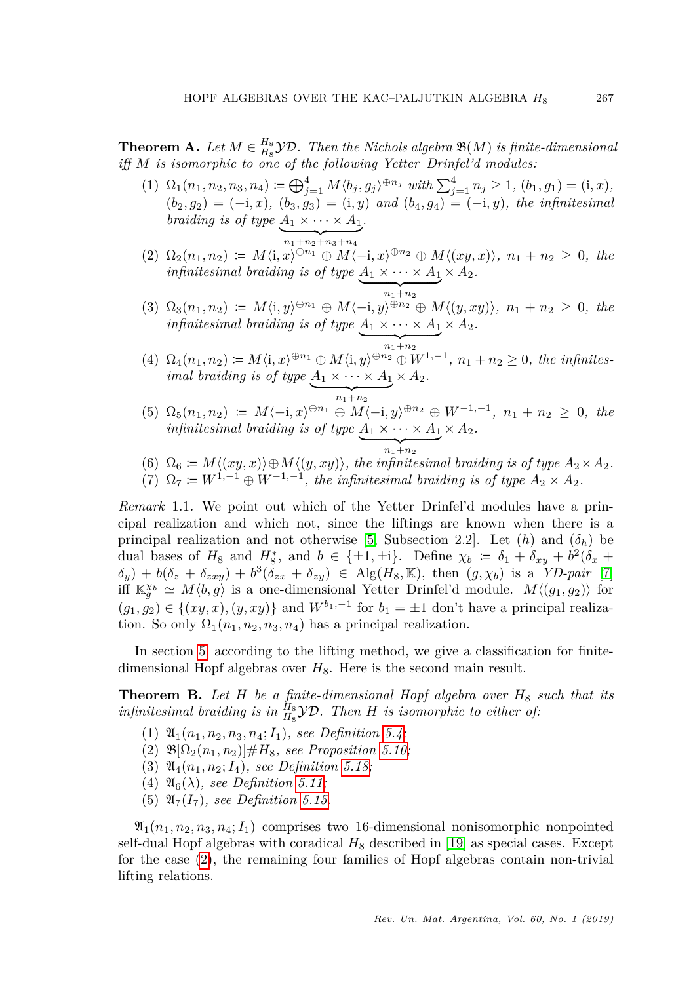<span id="page-2-1"></span>**Theorem A.** Let  $M \in H_8^B$  *YD.* Then the Nichols algebra  $\mathfrak{B}(M)$  is finite-dimensional *iff M is isomorphic to one of the following Yetter–Drinfel'd modules:*

- (1)  $\Omega_1(n_1, n_2, n_3, n_4) \coloneqq \bigoplus_{j=1}^4 M \langle b_j, g_j \rangle^{\oplus n_j}$  with  $\sum_{j=1}^4 n_j \ge 1$ ,  $(b_1, g_1) = (i, x)$ ,  $(b_2, g_2) = (-i, x), (b_3, g_3) = (i, y)$  *and*  $(b_4, g_4) = (-i, y)$ *, the infinitesimal braiding is of type*  $A_1 \times \cdots \times A_1$ .
- $\overline{n_1+n_2+n_3+n_4}$ <br>
(2)  $\Omega_2(n_1,n_2) := M\langle i,x\rangle^{\oplus n_1} \oplus M\langle -i,x\rangle^{\oplus n_2} \oplus M\langle (xy,x)\rangle, n_1+n_2 \geq 0, \text{ the }$ *infinitesimal braiding is of type*  $A_1 \times \cdots \times A_1$  $\times$   $A_2$ .
- $\sum_{n_1+n_2}$  $(3)$   $\Omega_3(n_1, n_2) \coloneqq M \langle i, y \rangle^{\oplus n_1} \oplus M \langle -i, y \rangle^{\oplus n_2} \oplus M \langle (y, xy) \rangle$ ,  $n_1 + n_2 \geq 0$ , the *infinitesimal braiding is of type*  $A_1 \times \cdots \times A_1 \times A_2$ .
- $\overline{p_{n_1+n_2}^{n_1+n_2}}$ <br>
(4)  $\Omega_4(n_1, n_2) \coloneqq M \langle \mathbf{i}, x \rangle^{\oplus n_1} \oplus M \langle \mathbf{i}, y \rangle^{\oplus n_2} \oplus W^{1,-1}, n_1+n_2 \geq 0$ , the infinites*imal braiding is of type*  $A_1 \times \cdots \times A_1$  $\times$   $A_2$ .
- $\frac{1}{n_1+n_2}$  $(5)$   $\Omega_5(n_1, n_2) \coloneqq M\langle -i, x \rangle^{\oplus n_1} \oplus M\langle -i, y \rangle^{\oplus n_2} \oplus W^{-1,-1}, n_1 + n_2 \geq 0$ , the *infinitesimal braiding is of type*  $A_1 \times \cdots \times A_1$  $\times$   $A_2$ .

| {z }

 $n_1+n_2$ <br>
(6)  $\Omega_6 \coloneqq M\langle(xy, x)\rangle \oplus M\langle(y, xy)\rangle$ , the infinitesimal braiding is of type  $A_2 \times A_2$ . (7)  $\Omega_7 \coloneqq W^{1,-1} \oplus W^{-1,-1}$ , the infinitesimal braiding is of type  $A_2 \times A_2$ .

*Remark* 1.1*.* We point out which of the Yetter–Drinfel'd modules have a principal realization and which not, since the liftings are known when there is a principal realization and not otherwise [\[5,](#page-30-4) Subsection 2.2]. Let  $(h)$  and  $(\delta_h)$  be dual bases of  $H_8$  and  $H_8^*$ , and  $b \in {\pm 1, \pm i}$ . Define  $\chi_b \coloneqq \delta_1 + \delta_{xy} + b^2(\delta_x + \delta_y)$  $\delta_y$ ) + *b*( $\delta_z$  +  $\delta_{zxy}$ ) + *b*<sup>3</sup>( $\delta_{zx}$  +  $\delta_{zy}$ )  $\in$  Alg(*H*<sub>8</sub>*,* K)*,* then (*g,*  $\chi_b$ *)* is a *YD-pair* [\[7\]](#page-30-5) iff  $\mathbb{K}_g^{\chi_b} \simeq M \langle b, g \rangle$  is a one-dimensional Yetter–Drinfel'd module.  $M \langle (g_1, g_2) \rangle$  for  $(g_1, g_2) \in \{(xy, x), (y, xy)\}\$ and  $W^{b_1, -1}$  for  $b_1 = \pm 1$  don't have a principal realization. So only  $\Omega_1(n_1, n_2, n_3, n_4)$  has a principal realization.

In section [5,](#page-16-0) according to the lifting method, we give a classification for finitedimensional Hopf algebras over  $H_8$ . Here is the second main result.

<span id="page-2-2"></span>**Theorem B.** *Let H be a finite-dimensional Hopf algebra over H*<sup>8</sup> *such that its infinitesimal braiding is in*  $\frac{H_8}{H_8}$   $\mathcal{YD}$ . Then *H is isomorphic to either of:* 

- $(1) \mathfrak{A}_{1}(n_{1},n_{2},n_{3},n_{4};I_{1}),$  see Definition [5.4;](#page-19-0)
- <span id="page-2-0"></span>(2)  $\mathfrak{B}[\Omega_2(n_1, n_2)] \# H_8$ *, see Proposition [5.10;](#page-22-0)*
- (3)  $\mathfrak{A}_{4}(n_1, n_2; I_4)$ *, see Definition [5.18;](#page-28-0)*
- (4)  $\mathfrak{A}_6(\lambda)$ *, see Definition* [5.11;](#page-23-0)
- (5)  $\mathfrak{A}_7(I_7)$ *, see Definition [5.15.](#page-25-0)*

 $\mathfrak{A}_1(n_1, n_2, n_3, n_4; I_1)$  comprises two 16-dimensional nonisomorphic nonpointed self-dual Hopf algebras with coradical  $H_8$  described in [\[19\]](#page-31-10) as special cases. Except for the case [\(2\)](#page-2-0), the remaining four families of Hopf algebras contain non-trivial lifting relations.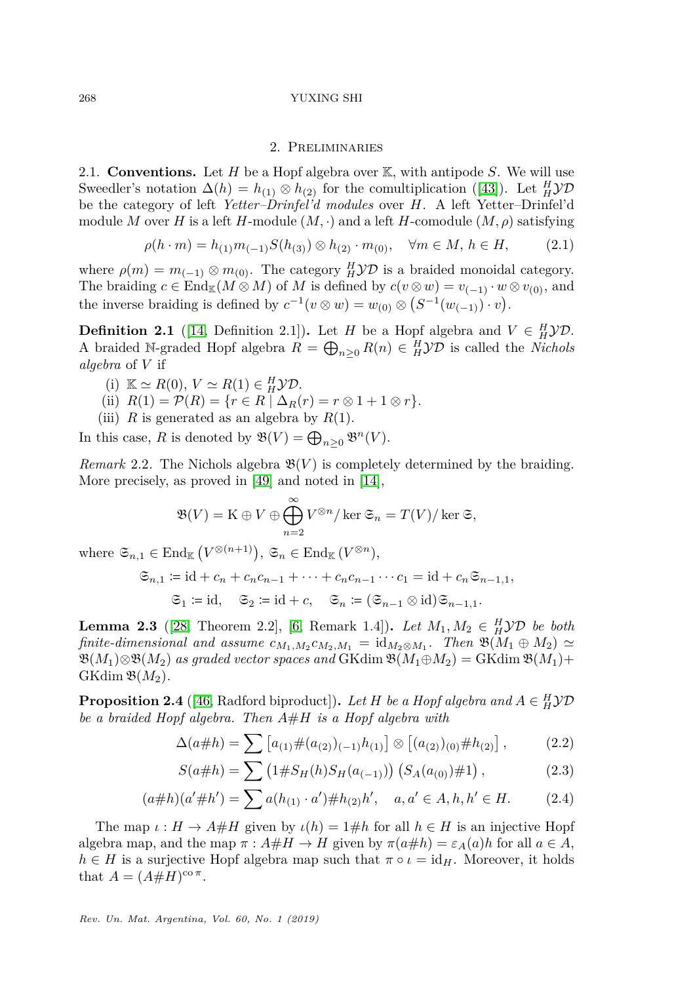### 2. Preliminaries

<span id="page-3-0"></span>2.1. **Conventions.** Let *H* be a Hopf algebra over K, with antipode *S*. We will use Sweedler's notation  $\Delta(h) = h_{(1)} \otimes h_{(2)}$  for the comultiplication ([\[43\]](#page-32-10)). Let  $^H_H$  $\mathcal{YD}$ be the category of left *Yetter–Drinfel'd modules* over *H*. A left Yetter–Drinfel'd module *M* over *H* is a left *H*-module  $(M, \cdot)$  and a left *H*-comodule  $(M, \rho)$  satisfying

$$
\rho(h \cdot m) = h_{(1)} m_{(-1)} S(h_{(3)}) \otimes h_{(2)} \cdot m_{(0)}, \quad \forall m \in M, h \in H,
$$
\n(2.1)

where  $\rho(m) = m_{(-1)} \otimes m_{(0)}$ . The category *H* $\mathcal{YD}$  is a braided monoidal category. The braiding  $c \in \text{End}_{\mathbb{K}}(M \otimes M)$  of M is defined by  $c(v \otimes w) = v_{(-1)} \cdot w \otimes v_{(0)}$ , and the inverse braiding is defined by  $c^{-1}(v \otimes w) = w_{(0)} \otimes (S^{-1}(w_{(-1)}) \cdot v)$ .

**Definition 2.1** ([\[14,](#page-31-0) Definition 2.1]). Let *H* be a Hopf algebra and  $V \in H^1$  $\mathcal{YD}$ . A braided N-graded Hopf algebra  $\hat{R} = \bigoplus_{n \geq 0} R(n) \in H^1$ *yD* is called the *Nichols algebra* of *V* if

- (i)  $\mathbb{K} \simeq R(0), V \simeq R(1) \in \mathcal{H}$ *y*D.
- (ii)  $R(1) = \mathcal{P}(R) = \{r \in R \mid \Delta_R(r) = r \otimes 1 + 1 \otimes r\}.$
- (iii)  $R$  is generated as an algebra by  $R(1)$ .

In this case, *R* is denoted by  $\mathfrak{B}(V) = \bigoplus_{n \geq 0} \mathfrak{B}^n(V)$ .

*Remark* 2.2. The Nichols algebra  $\mathfrak{B}(V)$  is completely determined by the braiding. More precisely, as proved in [\[49\]](#page-32-11) and noted in [\[14\]](#page-31-0),

$$
\mathfrak{B}(V) = \mathrm{K} \oplus V \oplus \bigoplus_{n=2}^{\infty} V^{\otimes n} / \ker \mathfrak{S}_n = T(V) / \ker \mathfrak{S},
$$

where  $\mathfrak{S}_{n,1} \in \text{End}_{\mathbb{K}}\left(V^{\otimes (n+1)}\right), \mathfrak{S}_n \in \text{End}_{\mathbb{K}}\left(V^{\otimes n}\right),$ 

$$
\mathfrak{S}_{n,1} := \mathrm{id} + c_n + c_n c_{n-1} + \cdots + c_n c_{n-1} \cdots c_1 = \mathrm{id} + c_n \mathfrak{S}_{n-1,1},
$$
  

$$
\mathfrak{S}_1 := \mathrm{id}, \quad \mathfrak{S}_2 := \mathrm{id} + c, \quad \mathfrak{S}_n := (\mathfrak{S}_{n-1} \otimes \mathrm{id}) \mathfrak{S}_{n-1,1}.
$$

<span id="page-3-1"></span>**Lemma 2.3** ([\[28,](#page-31-14) Theorem 2.2], [\[6,](#page-30-6) Remark 1.4]). *Let*  $M_1, M_2 \in H$  *VD be both finite-dimensional and assume*  $c_{M_1,M_2}c_{M_2,M_1} = id_{M_2 \otimes M_1}$ . Then  $\mathfrak{B}(M_1 \oplus M_2) \simeq$  $\mathfrak{B}(M_1) \otimes \mathfrak{B}(M_2)$  *as graded vector spaces and* GKdim  $\mathfrak{B}(M_1 \oplus M_2) = GK \dim \mathfrak{B}(M_1) +$  $GKdim \mathfrak{B}(M_2)$ .

**Proposition 2.4** ([\[46,](#page-32-12) Radford biproduct]). *Let H be a Hopf algebra and*  $A \in H$ *VD be a braided Hopf algebra. Then A*#*H is a Hopf algebra with*

$$
\Delta(a \# h) = \sum \left[ a_{(1)} \# (a_{(2)})_{(-1)} h_{(1)} \right] \otimes \left[ (a_{(2)})_{(0)} \# h_{(2)} \right],\tag{2.2}
$$

$$
S(a \# h) = \sum_{\lambda} \left( 1 \# S_H(h) S_H(a_{(-1)}) \right) \left( S_A(a_{(0)}) \# 1 \right), \tag{2.3}
$$

$$
(a \# h)(a' \# h') = \sum a(h_{(1)} \cdot a') \# h_{(2)} h', \quad a, a' \in A, h, h' \in H.
$$
 (2.4)

The map  $\iota : H \to A \# H$  given by  $\iota(h) = 1 \# h$  for all  $h \in H$  is an injective Hopf algebra map, and the map  $\pi : A \# H \to H$  given by  $\pi(a \# h) = \varepsilon_A(a)h$  for all  $a \in A$ ,  $h \in H$  is a surjective Hopf algebra map such that  $\pi \circ \iota = \text{id}_H$ . Moreover, it holds that  $A = (A \# H)^{co \pi}$ .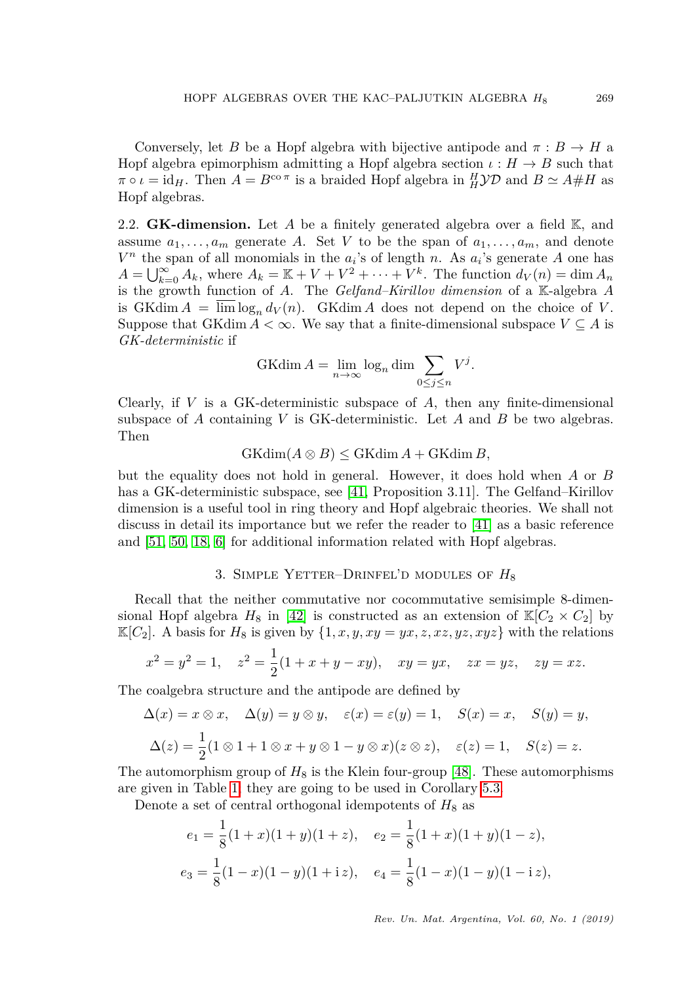Conversely, let *B* be a Hopf algebra with bijective antipode and  $\pi : B \to H$  a Hopf algebra epimorphism admitting a Hopf algebra section  $\iota : H \to B$  such that  $\pi \circ \iota = \text{id}_H$ . Then  $A = B^{\text{co }\pi}$  is a braided Hopf algebra in  $^H_H$  $\mathcal{YD}$  and  $B \simeq A \# H$  as Hopf algebras.

2.2. **GK-dimension.** Let *A* be a finitely generated algebra over a field K, and assume  $a_1, \ldots, a_m$  generate *A*. Set *V* to be the span of  $a_1, \ldots, a_m$ , and denote  $V^n$  the span of all monomials in the  $a_i$ 's of length *n*. As  $a_i$ 's generate *A* one has  $A = \bigcup_{k=0}^{\infty} A_k$ , where  $A_k = \mathbb{K} + V + V^2 + \cdots + V^k$ . The function  $d_V(n) = \dim A_n$ is the growth function of *A*. The *Gelfand–Kirillov dimension* of a K-algebra *A* is GKdim  $A = \lim_{h \to 0} \log_n d_V(n)$ . GKdim A does not depend on the choice of *V*. Suppose that GKdim  $A < \infty$ . We say that a finite-dimensional subspace  $V \subseteq A$  is *GK-deterministic* if

$$
GK\dim A = \lim_{n \to \infty} \log_n \dim \sum_{0 \le j \le n} V^j.
$$

Clearly, if *V* is a GK-deterministic subspace of *A*, then any finite-dimensional subspace of *A* containing *V* is GK-deterministic. Let *A* and *B* be two algebras. Then

 $GKdim(A \otimes B) \leq GKdim A + GKdim B$ 

but the equality does not hold in general. However, it does hold when *A* or *B* has a GK-deterministic subspace, see [\[41,](#page-32-13) Proposition 3.11]. The Gelfand–Kirillov dimension is a useful tool in ring theory and Hopf algebraic theories. We shall not discuss in detail its importance but we refer the reader to [\[41\]](#page-32-13) as a basic reference and [\[51,](#page-33-0) [50,](#page-33-1) [18,](#page-31-15) [6\]](#page-30-6) for additional information related with Hopf algebras.

## 3. Simple Yetter–Drinfel'd modules of *H*<sup>8</sup>

<span id="page-4-0"></span>Recall that the neither commutative nor cocommutative semisimple 8-dimensional Hopf algebra  $H_8$  in [\[42\]](#page-32-14) is constructed as an extension of  $\mathbb{K}[C_2 \times C_2]$  by  $\mathbb{K}[C_2]$ . A basis for  $H_8$  is given by  $\{1, x, y, xy = yx, z, xz, yz, xyz\}$  with the relations

$$
x^2 = y^2 = 1
$$
,  $z^2 = \frac{1}{2}(1 + x + y - xy)$ ,  $xy = yx$ ,  $zx = yz$ ,  $zy = xz$ .

The coalgebra structure and the antipode are defined by

$$
\Delta(x) = x \otimes x, \quad \Delta(y) = y \otimes y, \quad \varepsilon(x) = \varepsilon(y) = 1, \quad S(x) = x, \quad S(y) = y,
$$

$$
\Delta(z) = \frac{1}{2}(1 \otimes 1 + 1 \otimes x + y \otimes 1 - y \otimes x)(z \otimes z), \quad \varepsilon(z) = 1, \quad S(z) = z.
$$

The automorphism group of  $H_8$  is the Klein four-group [\[48\]](#page-32-15). These automorphisms are given in Table [1;](#page-5-0) they are going to be used in Corollary [5.3.](#page-0-1)

Denote a set of central orthogonal idempotents of  $H_8$  as

$$
e_1 = \frac{1}{8}(1+x)(1+y)(1+z), \quad e_2 = \frac{1}{8}(1+x)(1+y)(1-z),
$$
  

$$
e_3 = \frac{1}{8}(1-x)(1-y)(1+\mathrm{i}z), \quad e_4 = \frac{1}{8}(1-x)(1-y)(1-\mathrm{i}z),
$$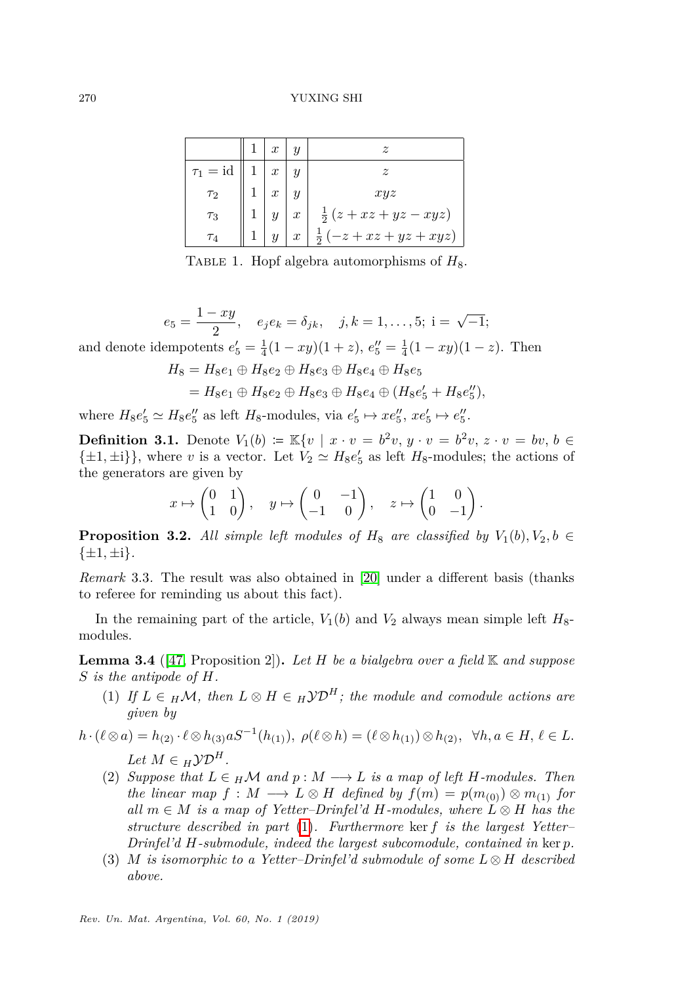<span id="page-5-0"></span>

|                                | $\mathbf{r}$     |                  | $\widetilde{\mathcal{Z}}$  |
|--------------------------------|------------------|------------------|----------------------------|
| $\tau_1 = \mathrm{id}$         |                  |                  | $\boldsymbol{z}$           |
| $\tau_2$                       | $\boldsymbol{x}$ |                  | xyz                        |
| $\tau_3$                       |                  | $\boldsymbol{x}$ | $\frac{1}{2}(z+xz+yz-xyz)$ |
| $\tau_{\scriptscriptstyle{A}}$ |                  | $\boldsymbol{x}$ | $-z+xz+yz+xyz$<br>5        |

TABLE 1. Hopf algebra automorphisms of  $H_8$ .

 $e_5 = \frac{1 - xy}{2}$  $\frac{e^{-}xy}{2}$ ,  $e_{j}e_{k} = \delta_{jk}$ ,  $j, k = 1, ..., 5$ ; i =  $\sqrt{-1}$ ; and denote idempotents  $e'_5 = \frac{1}{4}(1 - xy)(1 + z)$ ,  $e''_5 = \frac{1}{4}(1 - xy)(1 - z)$ . Then  $H_8 = H_8e_1 \oplus H_8e_2 \oplus H_8e_3 \oplus H_8e_4 \oplus H_8e_5$ 

$$
= H_8e_1 \oplus H_8e_2 \oplus H_8e_3 \oplus H_8e_4 \oplus (H_8e'_5 + H_8e''_5),
$$

where  $H_8e'_5 \simeq H_8e''_5$  as left  $H_8$ -modules, via  $e'_5 \mapsto xe''_5$ ,  $xe'_5 \mapsto e''_5$ .

**Definition 3.1.** Denote  $V_1(b) = \mathbb{K}\{v \mid x \cdot v = b^2v, y \cdot v = b^2v, z \cdot v = bv, b \in$  $\{\pm 1, \pm i\}$ , where *v* is a vector. Let  $V_2 \simeq H_8 e'_5$  as left  $H_8$ -modules; the actions of the generators are given by

$$
x \mapsto \begin{pmatrix} 0 & 1 \\ 1 & 0 \end{pmatrix}, \quad y \mapsto \begin{pmatrix} 0 & -1 \\ -1 & 0 \end{pmatrix}, \quad z \mapsto \begin{pmatrix} 1 & 0 \\ 0 & -1 \end{pmatrix}.
$$

**Proposition 3.2.** All simple left modules of  $H_8$  are classified by  $V_1(b), V_2, b \in$  $\{\pm 1, \pm i\}.$ 

*Remark* 3.3*.* The result was also obtained in [\[20\]](#page-31-16) under a different basis (thanks to referee for reminding us about this fact).

In the remaining part of the article,  $V_1(b)$  and  $V_2$  always mean simple left  $H_8$ modules.

**Lemma 3.4** ([\[47,](#page-32-16) Proposition 2])**.** *Let H be a bialgebra over a field* K *and suppose S is the antipode of H.*

- <span id="page-5-1"></span>(1) If  $L \in H\mathcal{M}$ , then  $L \otimes H \in H\mathcal{YD}^H$ ; the module and comodule actions are *given by*
- $h \cdot (\ell \otimes a) = h_{(2)} \cdot \ell \otimes h_{(3)} aS^{-1}(h_{(1)}), \ \rho(\ell \otimes h) = (\ell \otimes h_{(1)}) \otimes h_{(2)}, \ \ \forall h, a \in H, \ \ell \in L.$  $Let M \in HYP$ <sup>*H*</sup>.
	- (2) *Suppose that*  $L \in H\mathcal{M}$  *and*  $p : M \longrightarrow L$  *is a map of left H*-modules. Then *the linear map*  $f : M \longrightarrow L \otimes H$  *defined by*  $f(m) = p(m_{(0)}) \otimes m_{(1)}$  *for*  $all \ m \in M \ is \ a \ map \ of \ Yetter-Drinfeld'd \ H-modules, \ where \ L \otimes H \ has \ the$ *structure described in part* [\(1\)](#page-5-1)*. Furthermore* ker *f is the largest Yetter– Drinfel'd H-submodule, indeed the largest subcomodule, contained in* ker *p.*
	- (3) *M* is isomorphic to a Yetter-Drinfel'd submodule of some  $L \otimes H$  described *above.*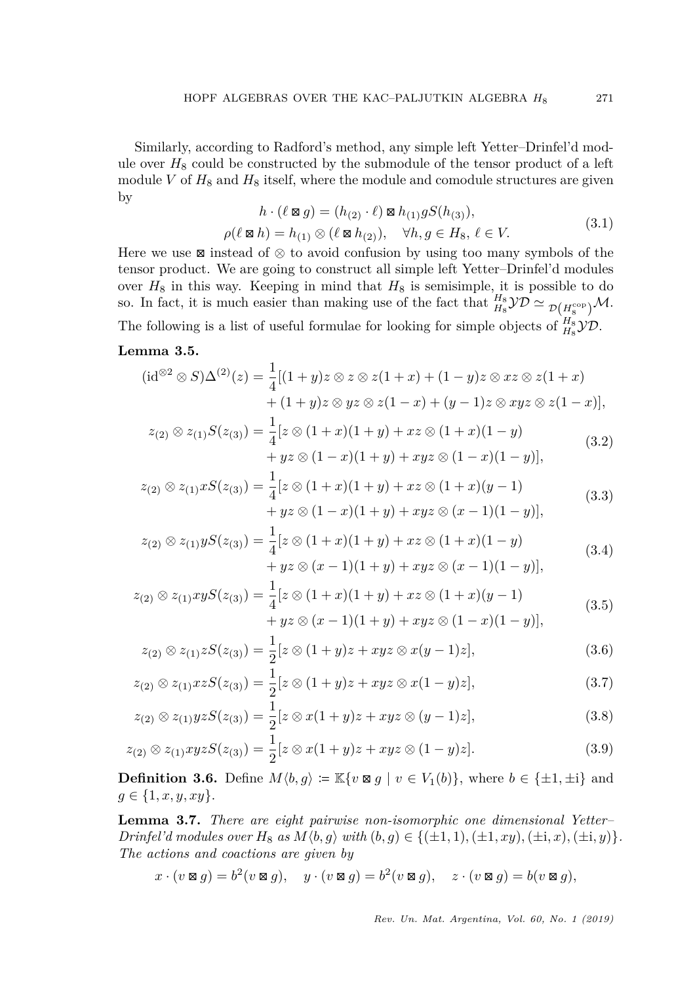Similarly, according to Radford's method, any simple left Yetter–Drinfel'd module over  $H_8$  could be constructed by the submodule of the tensor product of a left module  $V$  of  $H_8$  and  $H_8$  itself, where the module and comodule structures are given by

<span id="page-6-2"></span><span id="page-6-0"></span>
$$
h \cdot (\ell \boxtimes g) = (h_{(2)} \cdot \ell) \boxtimes h_{(1)} gS(h_{(3)}),
$$
\n(3.1)

<span id="page-6-4"></span>
$$
\rho(\ell \boxtimes h) = h_{(1)} \otimes (\ell \boxtimes h_{(2)}), \quad \forall h, g \in H_8, \ell \in V.
$$
\n(3.1)

Here we use  $\boxtimes$  instead of  $\otimes$  to avoid confusion by using too many symbols of the tensor product. We are going to construct all simple left Yetter–Drinfel'd modules over  $H_8$  in this way. Keeping in mind that  $H_8$  is semisimple, it is possible to do so. In fact, it is much easier than making use of the fact that  $\frac{H_8}{H_8}\mathcal{YD} \simeq \frac{1}{\mathcal{D}(H_8^{\text{cop}})}\mathcal{M}$ . The following is a list of useful formulae for looking for simple objects of  $\frac{H_8}{H_8}\mathcal{YD}$ .

## **Lemma 3.5.**

$$
(\mathrm{id}^{\otimes 2} \otimes S)\Delta^{(2)}(z) = \frac{1}{4}[(1+y)z \otimes z \otimes z(1+x) + (1-y)z \otimes xz \otimes z(1+x) + (1+y)z \otimes yz \otimes z(1-x) + (y-1)z \otimes xyz \otimes z(1-x)],
$$

$$
z_{(2)} \otimes z_{(1)}S(z_{(3)}) = \frac{1}{4} [z \otimes (1+x)(1+y) + xz \otimes (1+x)(1-y) + yz \otimes (1-x)(1+y) + xyz \otimes (1-x)(1-y)],
$$
(3.2)

$$
z_{(2)} \otimes z_{(1)} x S(z_{(3)}) = \frac{1}{4} [z \otimes (1+x)(1+y) + xz \otimes (1+x)(y-1) + yz \otimes (1-x)(1+y) + xyz \otimes (x-1)(1-y)],
$$
(3.3)

<span id="page-6-3"></span><span id="page-6-1"></span>
$$
z_{(2)} \otimes z_{(1)} y S(z_{(3)}) = \frac{1}{4} [z \otimes (1+x)(1+y) + xz \otimes (1+x)(1-y) + yz \otimes (x-1)(1+y) + xyz \otimes (x-1)(1-y)],
$$
(3.4)

$$
z_{(2)} \otimes z_{(1)} xy S(z_{(3)}) = \frac{1}{4} [z \otimes (1+x)(1+y) + xz \otimes (1+x)(y-1) + yz \otimes (x-1)(1+y) + xyz \otimes (1-x)(1-y)],
$$
(3.5)

<span id="page-6-6"></span><span id="page-6-5"></span>
$$
z_{(2)} \otimes z_{(1)} z S(z_{(3)}) = \frac{1}{2} [z \otimes (1+y)z + xyz \otimes x(y-1)z], \tag{3.6}
$$

$$
z_{(2)} \otimes z_{(1)} x z S(z_{(3)}) = \frac{1}{2} [z \otimes (1+y)z + xyz \otimes x (1-y)z], \qquad (3.7)
$$

<span id="page-6-7"></span>
$$
z_{(2)} \otimes z_{(1)} yzS(z_{(3)}) = \frac{1}{2} [z \otimes x(1+y)z + xyz \otimes (y-1)z],
$$
\n(3.8)

$$
z_{(2)} \otimes z_{(1)} xyzS(z_{(3)}) = \frac{1}{2} [z \otimes x(1+y)z + xyz \otimes (1-y)z]. \tag{3.9}
$$

**Definition 3.6.** Define  $M(b, g) := \mathbb{K}\{v \boxtimes g \mid v \in V_1(b)\}$ , where  $b \in \{\pm 1, \pm i\}$  and  $g \in \{1, x, y, xy\}.$ 

**Lemma 3.7.** *There are eight pairwise non-isomorphic one dimensional Yetter– Drinfel'd modules over*  $H_8$  *as*  $M(b, g)$  *with*  $(b, g) \in \{(\pm 1, 1), (\pm 1, xy), (\pm i, x), (\pm i, y)\}.$ *The actions and coactions are given by*

<span id="page-6-8"></span>
$$
x \cdot (v \boxtimes g) = b^2 (v \boxtimes g), \quad y \cdot (v \boxtimes g) = b^2 (v \boxtimes g), \quad z \cdot (v \boxtimes g) = b(v \boxtimes g),
$$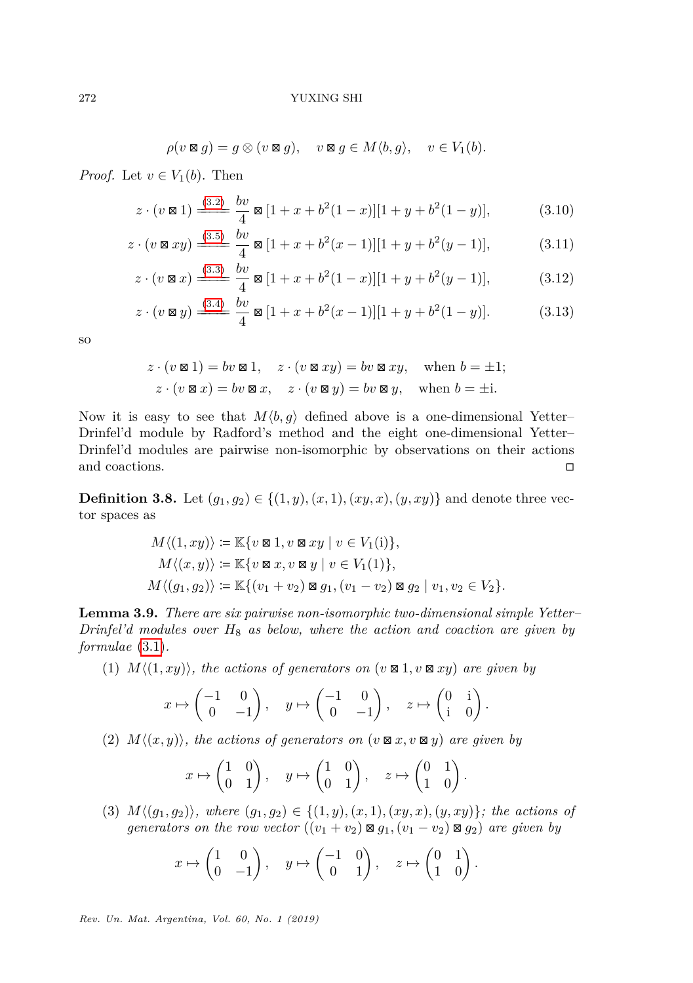<span id="page-7-0"></span>
$$
\rho(v \boxtimes g) = g \otimes (v \boxtimes g), \quad v \boxtimes g \in M \langle b, g \rangle, \quad v \in V_1(b).
$$

*Proof.* Let  $v \in V_1(b)$ . Then

$$
z \cdot (v \boxtimes 1) \xrightarrow{(3.2)} \frac{bv}{4} \boxtimes [1 + x + b^2(1 - x)][1 + y + b^2(1 - y)], \tag{3.10}
$$

$$
z \cdot (v \boxtimes xy) \xrightarrow{\text{(3.5)}} \frac{bv}{4} \boxtimes [1 + x + b^2(x - 1)][1 + y + b^2(y - 1)], \tag{3.11}
$$

$$
z \cdot (v \boxtimes x) \xrightarrow{(3.3)} \frac{bv}{4} \boxtimes [1 + x + b^2(1 - x)][1 + y + b^2(y - 1)], \tag{3.12}
$$

$$
z \cdot (v \boxtimes y) \xrightarrow{(3.4)} \frac{bv}{4} \boxtimes [1 + x + b^2(x - 1)][1 + y + b^2(1 - y)]. \tag{3.13}
$$

so

<span id="page-7-1"></span>
$$
z \cdot (v \boxtimes 1) = bv \boxtimes 1, \quad z \cdot (v \boxtimes xy) = bv \boxtimes xy, \quad \text{when } b = \pm 1;
$$
  

$$
z \cdot (v \boxtimes x) = bv \boxtimes x, \quad z \cdot (v \boxtimes y) = bv \boxtimes y, \quad \text{when } b = \pm i.
$$

Now it is easy to see that  $M\langle b, g \rangle$  defined above is a one-dimensional Yetter– Drinfel'd module by Radford's method and the eight one-dimensional Yetter– Drinfel'd modules are pairwise non-isomorphic by observations on their actions and coactions.  $\hfill \Box$ 

**Definition 3.8.** Let  $(g_1, g_2) \in \{(1, y), (x, 1), (xy, x), (y, xy)\}$  and denote three vector spaces as

$$
M \langle (1, xy) \rangle := \mathbb{K} \{ v \boxtimes 1, v \boxtimes xy \mid v \in V_1(i) \},
$$
  
\n
$$
M \langle (x, y) \rangle := \mathbb{K} \{ v \boxtimes x, v \boxtimes y \mid v \in V_1(1) \},
$$
  
\n
$$
M \langle (g_1, g_2) \rangle := \mathbb{K} \{ (v_1 + v_2) \boxtimes g_1, (v_1 - v_2) \boxtimes g_2 \mid v_1, v_2 \in V_2 \}.
$$

<span id="page-7-2"></span>**Lemma 3.9.** *There are six pairwise non-isomorphic two-dimensional simple Yetter– Drinfel'd modules over H*<sup>8</sup> *as below, where the action and coaction are given by formulae* [\(3.1\)](#page-6-4)*.*

 $(1)$   $M\langle (1, xy) \rangle$ *, the actions of generators on*  $(v \boxtimes 1, v \boxtimes xy)$  *are given by* 

$$
x \mapsto \begin{pmatrix} -1 & 0 \\ 0 & -1 \end{pmatrix}, \quad y \mapsto \begin{pmatrix} -1 & 0 \\ 0 & -1 \end{pmatrix}, \quad z \mapsto \begin{pmatrix} 0 & 1 \\ 1 & 0 \end{pmatrix}.
$$

 $(2)$   $M\langle (x, y) \rangle$ , the actions of generators on  $(v \boxtimes x, v \boxtimes y)$  are given by

$$
x \mapsto \begin{pmatrix} 1 & 0 \\ 0 & 1 \end{pmatrix}, \quad y \mapsto \begin{pmatrix} 1 & 0 \\ 0 & 1 \end{pmatrix}, \quad z \mapsto \begin{pmatrix} 0 & 1 \\ 1 & 0 \end{pmatrix}.
$$

(3)  $M\langle (g_1, g_2) \rangle$ *, where*  $(g_1, g_2) \in \{(1, y), (x, 1), (xy, x), (y, xy)\}$ *; the actions of generators on the row vector*  $((v_1 + v_2) \boxtimes g_1, (v_1 - v_2) \boxtimes g_2)$  are given by

$$
x \mapsto \begin{pmatrix} 1 & 0 \\ 0 & -1 \end{pmatrix}, \quad y \mapsto \begin{pmatrix} -1 & 0 \\ 0 & 1 \end{pmatrix}, \quad z \mapsto \begin{pmatrix} 0 & 1 \\ 1 & 0 \end{pmatrix}.
$$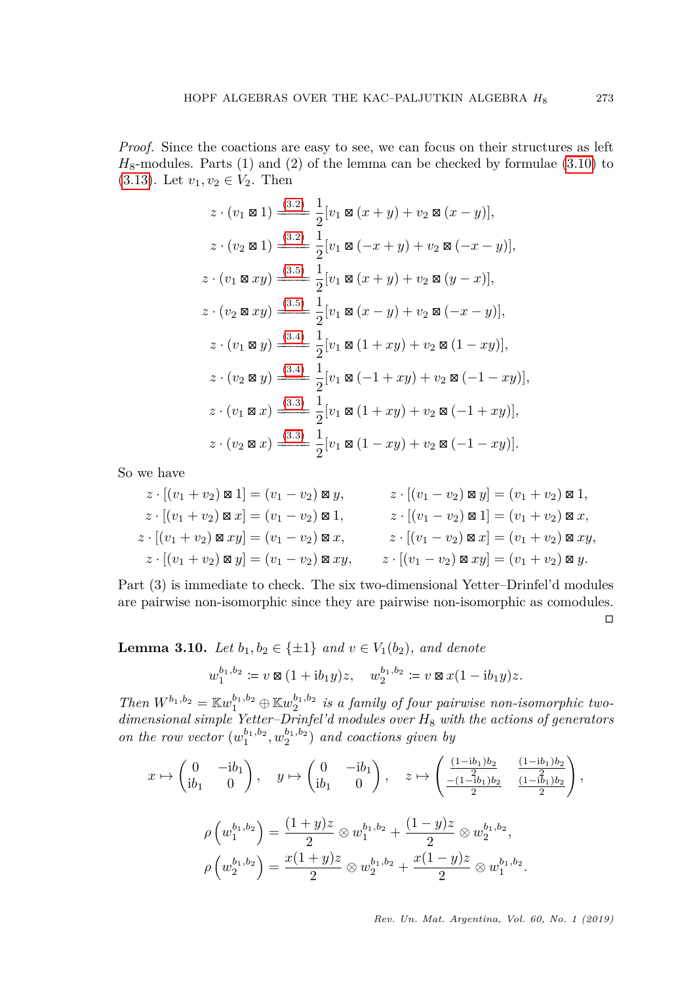*Proof.* Since the coactions are easy to see, we can focus on their structures as left  $H_8$ -modules. Parts  $(1)$  and  $(2)$  of the lemma can be checked by formulae  $(3.10)$  to [\(3.13\)](#page-7-1). Let  $v_1, v_2 \in V_2$ . Then

$$
z \cdot (v_1 \boxtimes 1) \xrightarrow{(3.2)} \frac{1}{2} [v_1 \boxtimes (x + y) + v_2 \boxtimes (x - y)],
$$
  
\n
$$
z \cdot (v_2 \boxtimes 1) \xrightarrow{(3.2)} \frac{1}{2} [v_1 \boxtimes (-x + y) + v_2 \boxtimes (-x - y)],
$$
  
\n
$$
z \cdot (v_1 \boxtimes xy) \xrightarrow{(3.5)} \frac{1}{2} [v_1 \boxtimes (x + y) + v_2 \boxtimes (y - x)],
$$
  
\n
$$
z \cdot (v_2 \boxtimes xy) \xrightarrow{(3.5)} \frac{1}{2} [v_1 \boxtimes (x - y) + v_2 \boxtimes (-x - y)],
$$
  
\n
$$
z \cdot (v_1 \boxtimes y) \xrightarrow{(3.4)} \frac{1}{2} [v_1 \boxtimes (1 + xy) + v_2 \boxtimes (1 - xy)],
$$
  
\n
$$
z \cdot (v_2 \boxtimes y) \xrightarrow{(3.4)} \frac{1}{2} [v_1 \boxtimes (-1 + xy) + v_2 \boxtimes (-1 - xy)],
$$
  
\n
$$
z \cdot (v_1 \boxtimes x) \xrightarrow{(3.3)} \frac{1}{2} [v_1 \boxtimes (1 + xy) + v_2 \boxtimes (-1 + xy)],
$$
  
\n
$$
z \cdot (v_2 \boxtimes x) \xrightarrow{(3.3)} \frac{1}{2} [v_1 \boxtimes (1 - xy) + v_2 \boxtimes (-1 - xy)].
$$

So we have

$$
z \cdot [(v_1 + v_2) \boxtimes 1] = (v_1 - v_2) \boxtimes y, \qquad z \cdot [(v_1 - v_2) \boxtimes y] = (v_1 + v_2) \boxtimes 1,
$$
  
\n
$$
z \cdot [(v_1 + v_2) \boxtimes x] = (v_1 - v_2) \boxtimes 1,
$$
  
\n
$$
z \cdot [(v_1 + v_2) \boxtimes xy] = (v_1 - v_2) \boxtimes x,
$$
  
\n
$$
z \cdot [(v_1 + v_2) \boxtimes xy] = (v_1 - v_2) \boxtimes x,
$$
  
\n
$$
z \cdot [(v_1 - v_2) \boxtimes xy] = (v_1 - v_2) \boxtimes xy,
$$
  
\n
$$
z \cdot [(v_1 - v_2) \boxtimes xy] = (v_1 + v_2) \boxtimes xy,
$$
  
\n
$$
z \cdot [(v_1 - v_2) \boxtimes xy] = (v_1 + v_2) \boxtimes y.
$$

Part (3) is immediate to check. The six two-dimensional Yetter–Drinfel'd modules are pairwise non-isomorphic since they are pairwise non-isomorphic as comodules.  $\Box$ 

<span id="page-8-0"></span>**Lemma 3.10.** *Let b*<sub>1</sub>*, b*<sub>2</sub> ∈ { $±1$ } *and v* ∈ *V*<sub>1</sub>(*b*<sub>2</sub>)*, and denote* 

$$
w_1^{b_1,b_2} \coloneqq v \boxtimes (1 + ib_1y)z, \quad w_2^{b_1,b_2} \coloneqq v \boxtimes x(1 - ib_1y)z.
$$

*Then*  $W^{b_1,b_2} = \mathbb{K}w_1^{b_1,b_2} \oplus \mathbb{K}w_2^{b_1,b_2}$  *is a family of four pairwise non-isomorphic twodimensional simple Yetter–Drinfel'd modules over H*<sup>8</sup> *with the actions of generators on the row vector*  $(w_1^{b_1,b_2}, w_2^{b_1,b_2})$  *and coactions given by* 

$$
x \mapsto \begin{pmatrix} 0 & -ib_1 \\ ib_1 & 0 \end{pmatrix}, \quad y \mapsto \begin{pmatrix} 0 & -ib_1 \\ ib_1 & 0 \end{pmatrix}, \quad z \mapsto \begin{pmatrix} \frac{(1-ib_1)b_2}{2} & \frac{(1-ib_1)b_2}{2} \\ \frac{-(1-ib_1)b_2}{2} & \frac{(1-ib_1)b_2}{2} \end{pmatrix},
$$

$$
\rho \begin{pmatrix} w_1^{b_1,b_2} \end{pmatrix} = \frac{(1+y)z}{2} \otimes w_1^{b_1,b_2} + \frac{(1-y)z}{2} \otimes w_2^{b_1,b_2},
$$

$$
\rho \begin{pmatrix} w_2^{b_1,b_2} \end{pmatrix} = \frac{x(1+y)z}{2} \otimes w_2^{b_1,b_2} + \frac{x(1-y)z}{2} \otimes w_1^{b_1,b_2}.
$$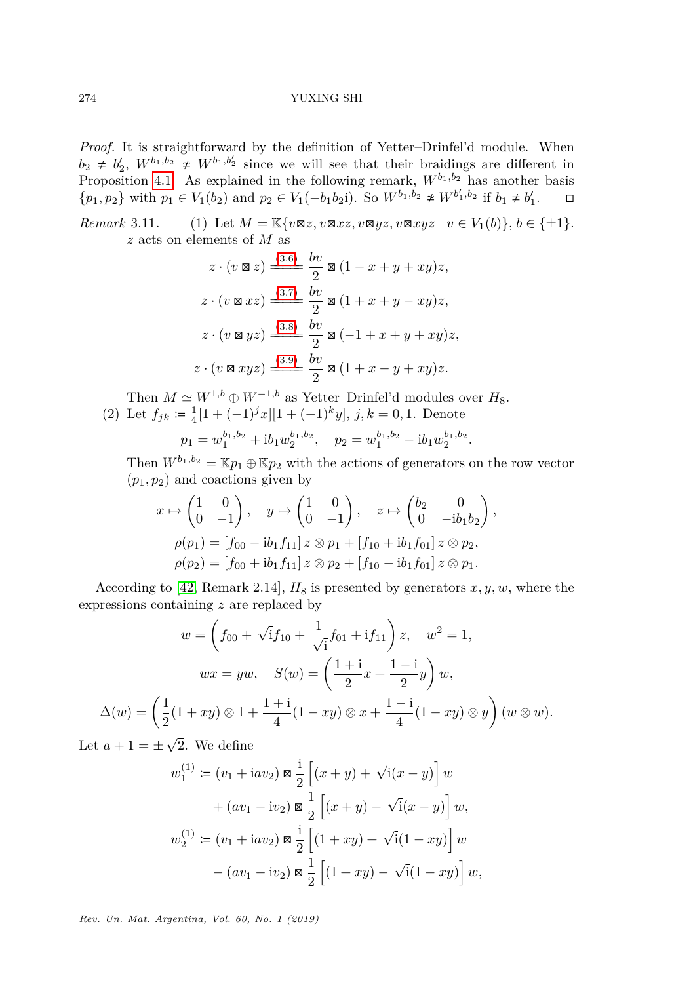*Proof.* It is straightforward by the definition of Yetter–Drinfel'd module. When  $b_2 \neq b'_2$ ,  $W^{b_1,b_2} \neq W^{b_1,b'_2}$  since we will see that their braidings are different in Proposition [4.1.](#page-11-1) As explained in the following remark,  $W^{b_1,b_2}$  has another basis  ${p_1, p_2}$  with  $p_1 \in V_1(b_2)$  and  $p_2 \in V_1(-b_1b_2i)$ . So  $W^{b_1, b_2} \not\cong W^{b'_1, b_2}$  if  $b_1 \neq b'_1$ . □

*Remark* 3.11. (1) Let  $M = \mathbb{K}\{v \boxtimes z, v \boxtimes xz, v \boxtimes yz, v \boxtimes xyz \mid v \in V_1(b)\}, b \in \{\pm 1\}.$ *z* acts on elements of *M* as

$$
z \cdot (v \boxtimes z) \xrightarrow{\text{(3.6)}} \frac{bv}{2} \boxtimes (1 - x + y + xy)z,
$$
  
\n
$$
z \cdot (v \boxtimes xz) \xrightarrow{\text{(3.7)}} \frac{bv}{2} \boxtimes (1 + x + y - xy)z,
$$
  
\n
$$
z \cdot (v \boxtimes yz) \xrightarrow{\text{(3.8)}} \frac{bv}{2} \boxtimes (-1 + x + y + xy)z,
$$
  
\n
$$
z \cdot (v \boxtimes xyz) \xrightarrow{\text{(3.9)}} \frac{bv}{2} \boxtimes (1 + x - y + xy)z.
$$

Then  $M \simeq W^{1,b} \oplus W^{-1,b}$  as Yetter–Drinfel'd modules over  $H_8$ . (2) Let  $f_{jk} \coloneqq \frac{1}{4} [1 + (-1)^j x][1 + (-1)^k y], j, k = 0, 1$ . Denote

$$
p_1 = w_1^{b_1, b_2} + ib_1 w_2^{b_1, b_2}, \quad p_2 = w_1^{b_1, b_2} - ib_1 w_2^{b_1, b_2}.
$$

Then  $W^{b_1,b_2} = \mathbb{K} p_1 \oplus \mathbb{K} p_2$  with the actions of generators on the row vector  $(p_1, p_2)$  and coactions given by

$$
x \mapsto \begin{pmatrix} 1 & 0 \\ 0 & -1 \end{pmatrix}, \quad y \mapsto \begin{pmatrix} 1 & 0 \\ 0 & -1 \end{pmatrix}, \quad z \mapsto \begin{pmatrix} b_2 & 0 \\ 0 & -ib_1b_2 \end{pmatrix},
$$

$$
\rho(p_1) = [f_{00} - ib_1f_{11}] \ z \otimes p_1 + [f_{10} + ib_1f_{01}] \ z \otimes p_2,
$$

$$
\rho(p_2) = [f_{00} + ib_1f_{11}] \ z \otimes p_2 + [f_{10} - ib_1f_{01}] \ z \otimes p_1.
$$

According to [\[42,](#page-32-14) Remark 2.14],  $H_8$  is presented by generators  $x, y, w$ , where the expressions containing *z* are replaced by

$$
w = \left(f_{00} + \sqrt{1}f_{10} + \frac{1}{\sqrt{1}}f_{01} + if_{11}\right)z, \quad w^2 = 1,
$$
  

$$
wx = yw, \quad S(w) = \left(\frac{1+i}{2}x + \frac{1-i}{2}y\right)w,
$$
  

$$
\Delta(w) = \left(\frac{1}{2}(1+xy)\otimes 1 + \frac{1+i}{4}(1-xy)\otimes x + \frac{1-i}{4}(1-xy)\otimes y\right)(w\otimes w).
$$

Let  $a + 1 = \pm$ 2. We define

$$
w_1^{(1)} \coloneqq (v_1 + \mathrm{i} a v_2) \boxtimes \frac{\mathrm{i}}{2} \left[ (x + y) + \sqrt{\mathrm{i}} (x - y) \right] w + (a v_1 - \mathrm{i} v_2) \boxtimes \frac{1}{2} \left[ (x + y) - \sqrt{\mathrm{i}} (x - y) \right] w,
$$
  

$$
w_2^{(1)} \coloneqq (v_1 + \mathrm{i} a v_2) \boxtimes \frac{\mathrm{i}}{2} \left[ (1 + xy) + \sqrt{\mathrm{i}} (1 - xy) \right] w - (a v_1 - \mathrm{i} v_2) \boxtimes \frac{1}{2} \left[ (1 + xy) - \sqrt{\mathrm{i}} (1 - xy) \right] w,
$$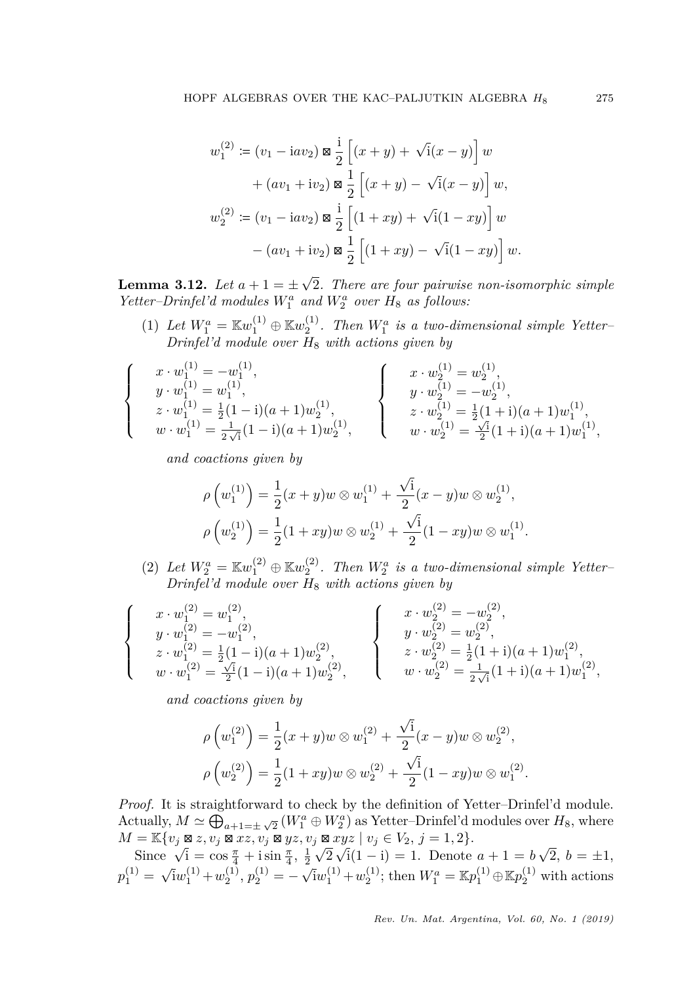$$
w_1^{(2)} := (v_1 - iav_2) \boxtimes \frac{i}{2} \left[ (x + y) + \sqrt{i}(x - y) \right] w
$$
  
+  $(av_1 + iv_2) \boxtimes \frac{1}{2} \left[ (x + y) - \sqrt{i}(x - y) \right] w$ ,  

$$
w_2^{(2)} := (v_1 - iav_2) \boxtimes \frac{i}{2} \left[ (1 + xy) + \sqrt{i}(1 - xy) \right] w
$$
  
-  $(av_1 + iv_2) \boxtimes \frac{1}{2} \left[ (1 + xy) - \sqrt{i}(1 - xy) \right] w$ .

<span id="page-10-0"></span>**Lemma 3.12.** *Let*  $a + 1 = \pm$ √ 2*. There are four pairwise non-isomorphic simple Yetter–Drinfel'd* modules  $W_1^a$  and  $W_2^a$  over  $H_8$  as follows:

(1) Let  $W_1^a = \mathbb{K}w_1^{(1)} \oplus \mathbb{K}w_2^{(1)}$ . Then  $W_1^a$  is a two-dimensional simple Yetter-*Drinfel'd module over H*<sup>8</sup> *with actions given by*

$$
\label{eq:20} \left\{ \begin{array}{c} x\cdot w^{(1)}_1 = -w^{(1)}_1,\\ y\cdot w^{(1)}_1 = w^{(1)}_1,\\ z\cdot w^{(1)}_1 = \frac{1}{2}(1-\mathrm{i})(a+1)w^{(1)}_2,\\ w\cdot w^{(1)}_1 = \frac{1}{2\sqrt{\mathrm{i}}}(1-\mathrm{i})(a+1)w^{(1)}_2, \end{array} \right. \quad \left\{ \begin{array}{c} x\cdot w^{(1)}_2 = w^{(1)}_2,\\ y\cdot w^{(1)}_2 = -w^{(1)}_2,\\ z\cdot w^{(1)}_2 = \frac{1}{2}(1+\mathrm{i})(a+1)w^{(1)}_1,\\ w\cdot w^{(1)}_2 = \frac{\sqrt{\mathrm{i}}}{2}(1+\mathrm{i})(a+1)w^{(1)}_1, \end{array} \right.
$$

*and coactions given by*

$$
\rho\left(w_1^{(1)}\right) = \frac{1}{2}(x+y)w \otimes w_1^{(1)} + \frac{\sqrt{i}}{2}(x-y)w \otimes w_2^{(1)},
$$
  

$$
\rho\left(w_2^{(1)}\right) = \frac{1}{2}(1+xy)w \otimes w_2^{(1)} + \frac{\sqrt{i}}{2}(1-xy)w \otimes w_1^{(1)}.
$$

(2) Let  $W_2^a = \mathbb{K}w_1^{(2)} \oplus \mathbb{K}w_2^{(2)}$ . Then  $W_2^a$  is a two-dimensional simple Yetter-*Drinfel'd module over H*<sup>8</sup> *with actions given by*

$$
\label{eq:20} \left\{ \begin{array}{c} x\cdot w^{(2)}_1=w^{(2)}_1,\\ y\cdot w^{(2)}_1=-w^{(2)}_1,\\ z\cdot w^{(2)}_1=\frac{1}{2}(1-\mathrm{i})(a+1)w^{(2)}_2,\\ w\cdot w^{(2)}_1=\frac{\sqrt{1}}{2}(1-\mathrm{i})(a+1)w^{(2)}_2, \end{array} \right. \qquad \left\{ \begin{array}{c} x\cdot w^{(2)}_2=-w^{(2)}_2,\\ y\cdot w^{(2)}_2=w^{(2)}_2,\\ z\cdot w^{(2)}_2=\frac{1}{2}(1+\mathrm{i})(a+1)w^{(2)}_1,\\ w\cdot w^{(2)}_2=\frac{1}{2\sqrt{\mathrm{i}}}(1+\mathrm{i})(a+1)w^{(2)}_1,\\ \end{array} \right.
$$

*and coactions given by*

$$
\rho\left(w_1^{(2)}\right) = \frac{1}{2}(x+y)w \otimes w_1^{(2)} + \frac{\sqrt{1}}{2}(x-y)w \otimes w_2^{(2)},
$$
  

$$
\rho\left(w_2^{(2)}\right) = \frac{1}{2}(1+xy)w \otimes w_2^{(2)} + \frac{\sqrt{1}}{2}(1-xy)w \otimes w_1^{(2)}.
$$

*Proof.* It is straightforward to check by the definition of Yetter–Drinfel'd module. Actually,  $M \simeq \bigoplus_{a+1=\pm\sqrt{2}} (W_1^a \oplus W_2^a)$  as Yetter-Drinfel'd modules over  $H_8$ , where √ √ √

*M* =  $\mathbb{K}\{v_j \boxtimes z, v_j \boxtimes xz, v_j \boxtimes yz, v_j \boxtimes xyz \mid v_j \in V_2, j = 1, 2\}.$ <br>Since  $\sqrt{i} = \cos \frac{\pi}{4} + i \sin \frac{\pi}{4}, \frac{1}{2} \sqrt{2} \sqrt{i}(1 - i) = 1.$  Denote 2  $i(1 - i) = 1$ . Denote  $a + 1 = b$  $2, b = \pm 1,$  $p_1^{(1)} =$ √  $\overline{i}w_1^{(1)} + w_2^{(1)}, p_2^{(1)} = -$ √  $\lim_{1}^{(1)} + w_2^{(1)}$ ; then  $W_1^a = \mathbb{K}p_1^{(1)} \oplus \mathbb{K}p_2^{(1)}$  with actions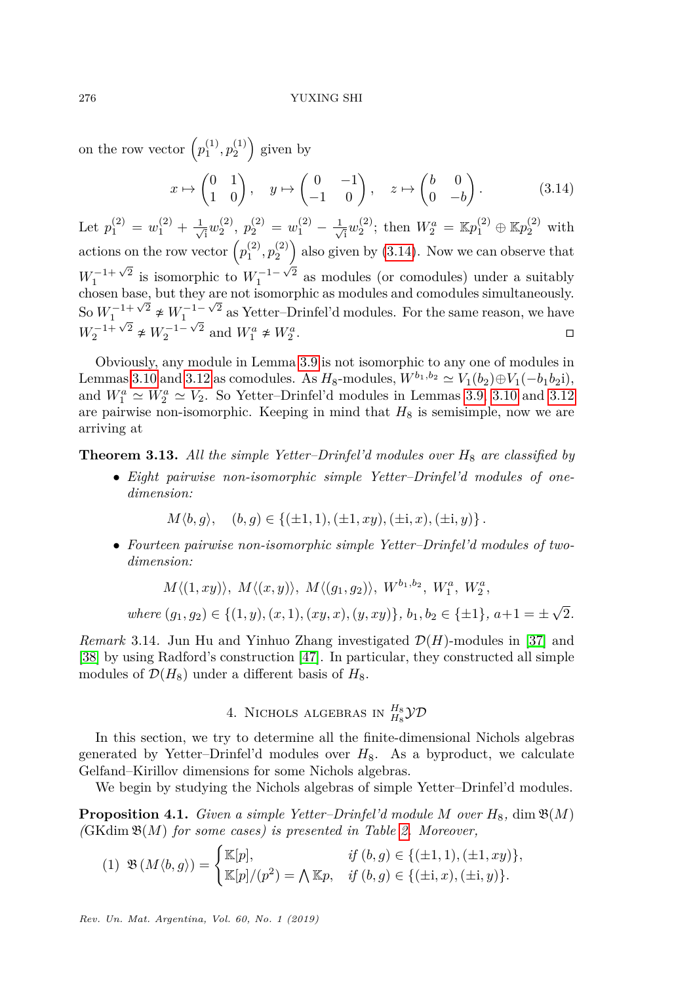on the row vector  $(p_1^{(1)}, p_2^{(1)})$  given by

<span id="page-11-2"></span>
$$
x \mapsto \begin{pmatrix} 0 & 1 \\ 1 & 0 \end{pmatrix}, \quad y \mapsto \begin{pmatrix} 0 & -1 \\ -1 & 0 \end{pmatrix}, \quad z \mapsto \begin{pmatrix} b & 0 \\ 0 & -b \end{pmatrix}.
$$
 (3.14)

Let  $p_1^{(2)} = w_1^{(2)} + \frac{1}{\sqrt{2}}$  $\bar{p}_{\bar{1}}^{(2)},\ p_{2}^{(2)}=w_{1}^{(2)}-\frac{1}{\sqrt{2}}$  $\mathbb{E}_{\bar{a}}[w_2^{(2)}]$ ; then  $W_2^a = \mathbb{E}p_1^{(2)} \oplus \mathbb{E}p_2^{(2)}$  with actions on the row vector  $(p_1^{(2)}, p_2^{(2)})$  also given by  $(3.14)$ . Now we can observe that  $W_1^{-1+\sqrt{2}}$  is isomorphic to  $W_1^{-1-\sqrt{2}}$  as modules (or comodules) under a suitably chosen base, but they are not isomorphic as modules and comodules simultaneously. So  $W_1^{-1+\sqrt{2}} \neq W_1^{-1-\sqrt{2}}$  as Yetter–Drinfel'd modules. For the same reason, we have  $W_2^{-1+\sqrt{2}} \neq W_2^{-1-\sqrt{2}}$  and  $W_1^a \neq W_2^a$ .  $W_2^{-1+\sqrt{2}} \neq W_2^{-1-\sqrt{2}}$  and  $W_1^a \neq W_2^a$ 

Obviously, any module in Lemma [3.9](#page-7-2) is not isomorphic to any one of modules in Lemmas [3.10](#page-8-0) and [3.12](#page-10-0) as comodules. As  $H_8$ -modules,  $W^{b_1,b_2} \simeq V_1(b_2) \oplus V_1(-b_1b_2i)$ , and  $W_1^a \simeq W_2^a \simeq V_2$ . So Yetter-Drinfel'd modules in Lemmas [3.9,](#page-7-2) [3.10](#page-8-0) and [3.12](#page-10-0) are pairwise non-isomorphic. Keeping in mind that  $H_8$  is semisimple, now we are arriving at

**Theorem 3.13.** All the simple Yetter–Drinfel'd modules over  $H_8$  are classified by

• *Eight pairwise non-isomorphic simple Yetter–Drinfel'd modules of onedimension:*

 $M(b, q), (b, q) \in \{(\pm 1, 1), (\pm 1, xu), (\pm i, x), (\pm i, y)\}\.$ 

• *Fourteen pairwise non-isomorphic simple Yetter–Drinfel'd modules of twodimension:*

 $M\langle (1, xy) \rangle, M\langle (x, y) \rangle, M\langle (g_1, g_2) \rangle, W^{b_1, b_2}, W_1^a, W_2^a,$ 

 $where (g_1, g_2) \in \{(1, y), (x, 1), (xy, x), (y, xy)\}, b_1, b_2 \in \{\pm 1\}, a+1 = \pm 1$ √ 2*.*

*Remark* 3.14. Jun Hu and Yinhuo Zhang investigated  $\mathcal{D}(H)$ -modules in [\[37\]](#page-32-17) and [\[38\]](#page-32-18) by using Radford's construction [\[47\]](#page-32-16). In particular, they constructed all simple modules of  $\mathcal{D}(H_8)$  under a different basis of  $H_8$ .

4. NICHOLS ALGEBRAS IN  $_{H_8}^{H_8}\mathcal{YD}$ 

<span id="page-11-0"></span>In this section, we try to determine all the finite-dimensional Nichols algebras generated by Yetter-Drinfel'd modules over  $H_8$ . As a byproduct, we calculate Gelfand–Kirillov dimensions for some Nichols algebras.

We begin by studying the Nichols algebras of simple Yetter–Drinfel'd modules.

<span id="page-11-1"></span>**Proposition 4.1.** *Given a simple Yetter–Drinfel'd module M over*  $H_8$ , dim  $\mathfrak{B}(M)$ *(*GKdim B(*M*) *for some cases) is presented in Table [2.](#page-12-0) Moreover,*

<span id="page-11-3"></span>
$$
(1) \mathfrak{B}(M \langle b, g \rangle) = \begin{cases} \mathbb{K}[p], & \text{if } (b, g) \in \{(\pm 1, 1), (\pm 1, xy)\}, \\ \mathbb{K}[p]/(p^2) = \bigwedge \mathbb{K}p, & \text{if } (b, g) \in \{(\pm i, x), (\pm i, y)\}. \end{cases}
$$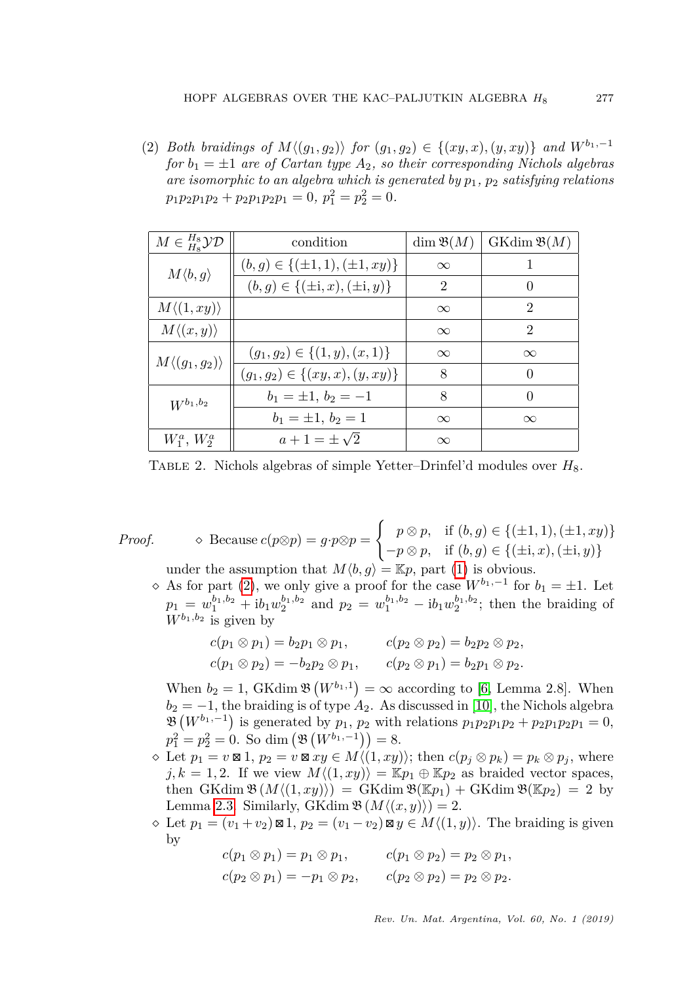<span id="page-12-1"></span>(2) *Both braidings of*  $M \langle (g_1, g_2) \rangle$  *for*  $(g_1, g_2) \in \{ (xy, x), (y, xy) \}$  *and*  $W^{b_1, -1}$ *for*  $b_1 = \pm 1$  *are of Cartan type*  $A_2$ *, so their corresponding Nichols algebras are isomorphic to an algebra which is generated by p*1*, p*<sup>2</sup> *satisfying relations*  $p_1p_2p_1p_2 + p_2p_1p_2p_1 = 0, p_1^2 = p_2^2 = 0.$ 

<span id="page-12-0"></span>

| $M \in H^s_s\mathcal{YD}$   | condition                                 | $\dim \mathfrak{B}(M)$ | $GKdim \mathfrak{B}(M)$ |
|-----------------------------|-------------------------------------------|------------------------|-------------------------|
| $M\langle b,g\rangle$       | $(b, g) \in \{(\pm 1, 1), (\pm 1, xy)\}\$ | $\infty$               |                         |
|                             | $(b, g) \in \{(\pm i, x), (\pm i, y)\}\$  | $\mathfrak{D}$         | 0                       |
| $M\langle (1,xy)\rangle$    |                                           | $\infty$               | $\mathfrak{D}$          |
| $M\langle (x,y)\rangle$     |                                           | $\infty$               | $\mathfrak{D}$          |
| $M\langle (g_1,g_2)\rangle$ | $(g_1, g_2) \in \{(1, y), (x, 1)\}\$      | $\infty$               | $\infty$                |
|                             | $(g_1, g_2) \in \{(xy, x), (y, xy)\}\$    | 8                      | $\Omega$                |
| $W^{b_1,b_2}$               | $b_1 = \pm 1, b_2 = -1$                   | 8                      | $\Omega$                |
|                             | $b_1 = \pm 1, b_2 = 1$                    | $\infty$               | $\infty$                |
| $W_1^a, W_2^a$              | $a+1=\pm \sqrt{2}$                        | $\infty$               |                         |

TABLE 2. Nichols algebras of simple Yetter–Drinfel'd modules over  $H_8$ .

*Proof.*  $\diamond$  Because  $c(p \otimes p) = g \cdot p \otimes p =$  $\int p \otimes p$ , if  $(b, g) \in \{(\pm 1, 1), (\pm 1, xy)\}$  $-p \otimes p$ , if  $(b, g) \in \{(\pm i, x), (\pm i, y)\}$ under the assumption that  $M\langle b, g \rangle = \mathbb{K}p$ , part [\(1\)](#page-11-3) is obvious.

 $\Diamond$  As for part [\(2\)](#page-12-1), we only give a proof for the case  $W^{b_1,-1}$  for  $b_1 = \pm 1$ . Let  $p_1 = w_1^{b_1, b_2} + ib_1w_2^{b_1, b_2}$  and  $p_2 = w_1^{b_1, b_2} - ib_1w_2^{b_1, b_2}$ ; then the braiding of  $W^{b_1,b_2}$  is given by

$$
c(p_1 \otimes p_1) = b_2 p_1 \otimes p_1, \qquad c(p_2 \otimes p_2) = b_2 p_2 \otimes p_2,
$$
  

$$
c(p_1 \otimes p_2) = -b_2 p_2 \otimes p_1, \qquad c(p_2 \otimes p_1) = b_2 p_1 \otimes p_2.
$$

When  $b_2 = 1$ , GKdim  $\mathfrak{B}(W^{b_1,1}) = \infty$  according to [\[6,](#page-30-6) Lemma 2.8]. When  $b_2 = -1$ , the braiding is of type  $A_2$ . As discussed in [\[10\]](#page-31-17), the Nichols algebra  $\mathfrak{B}(W^{b_1,-1})$  is generated by  $p_1, p_2$  with relations  $p_1p_2p_1p_2 + p_2p_1p_2p_1 = 0$ ,  $p_1^2 = p_2^2 = 0$ . So dim  $(\mathfrak{B}(W^{b_1,-1})) = 8$ .

- $\infty$  Let  $p_1 = v \boxtimes 1$ ,  $p_2 = v \boxtimes xy \in M'(1, xy)$ ; then  $c(p_j \otimes p_k) = p_k \otimes p_j$ , where  $j, k = 1, 2$ . If we view  $M\langle (1, xy) \rangle = \mathbb{K}p_1 \oplus \mathbb{K}p_2$  as braided vector spaces, then  $GK\dim \mathfrak{B}(M\langle (1, xy)\rangle) = GK\dim \mathfrak{B}(\mathbb{K}p_1) + GK\dim \mathfrak{B}(\mathbb{K}p_2) = 2$  by Lemma [2.3.](#page-3-1) Similarly, GKdim  $\mathfrak{B}(M\langle (x,y)\rangle) = 2$ .
- $\Diamond$  Let  $p_1 = (v_1 + v_2) \boxtimes 1$ ,  $p_2 = (v_1 v_2) \boxtimes y \in M \langle (1, y) \rangle$ . The braiding is given by

$$
c(p_1 \otimes p_1) = p_1 \otimes p_1, \qquad c(p_1 \otimes p_2) = p_2 \otimes p_1,
$$
  

$$
c(p_2 \otimes p_1) = -p_1 \otimes p_2, \qquad c(p_2 \otimes p_2) = p_2 \otimes p_2.
$$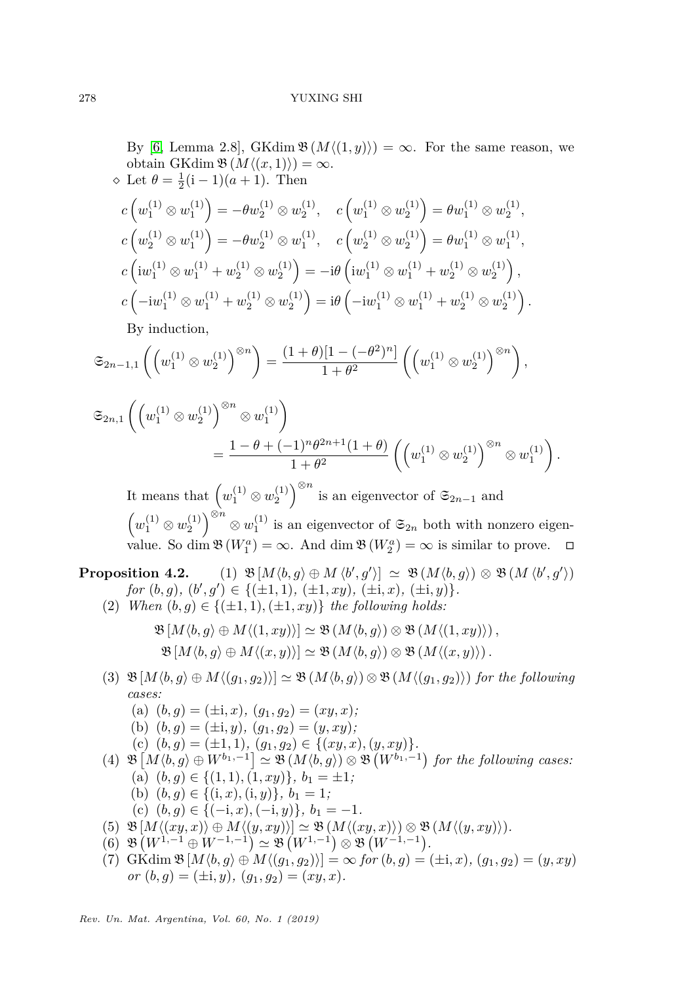By [\[6,](#page-30-6) Lemma 2.8], GKdim  $\mathfrak{B}(M\langle (1,y)\rangle) = \infty$ . For the same reason, we obtain GKdim  $\mathfrak{B}(M\langle (x,1)\rangle) = \infty$ .  $\Diamond$  Let  $\theta = \frac{1}{2}(\mathrm{i} - 1)(a + 1)$ . Then

$$
c\left(w_1^{(1)} \otimes w_1^{(1)}\right) = -\theta w_2^{(1)} \otimes w_2^{(1)}, \quad c\left(w_1^{(1)} \otimes w_2^{(1)}\right) = \theta w_1^{(1)} \otimes w_2^{(1)},
$$
  
\n
$$
c\left(w_2^{(1)} \otimes w_1^{(1)}\right) = -\theta w_2^{(1)} \otimes w_1^{(1)}, \quad c\left(w_2^{(1)} \otimes w_2^{(1)}\right) = \theta w_1^{(1)} \otimes w_1^{(1)},
$$
  
\n
$$
c\left(iw_1^{(1)} \otimes w_1^{(1)} + w_2^{(1)} \otimes w_2^{(1)}\right) = -i\theta\left(iw_1^{(1)} \otimes w_1^{(1)} + w_2^{(1)} \otimes w_2^{(1)}\right),
$$
  
\n
$$
c\left(-iw_1^{(1)} \otimes w_1^{(1)} + w_2^{(1)} \otimes w_2^{(1)}\right) = i\theta\left(-iw_1^{(1)} \otimes w_1^{(1)} + w_2^{(1)} \otimes w_2^{(1)}\right).
$$

By induction,

$$
\mathfrak{S}_{2n-1,1}\left( \left(w_1^{(1)} \otimes w_2^{(1)}\right)^{\otimes n} \right) = \frac{(1+\theta)[1-(-\theta^2)^n]}{1+\theta^2} \left( \left(w_1^{(1)} \otimes w_2^{(1)}\right)^{\otimes n} \right),
$$

$$
\mathfrak{S}_{2n,1}\left(\left(w_1^{(1)} \otimes w_2^{(1)}\right)^{\otimes n} \otimes w_1^{(1)}\right) = \frac{1 - \theta + (-1)^n \theta^{2n+1} (1 + \theta)}{1 + \theta^2} \left(\left(w_1^{(1)} \otimes w_2^{(1)}\right)^{\otimes n} \otimes w_1^{(1)}\right).
$$

It means that  $(w_1^{(1)} \otimes w_2^{(1)})^{\otimes n}$  is an eigenvector of  $\mathfrak{S}_{2n-1}$  and  $(w_1^{(1)} \otimes w_2^{(1)})^{\otimes n} \otimes w_1^{(1)}$  is an eigenvector of  $\mathfrak{S}_{2n}$  both with nonzero eigenvalue. So dim  $\mathfrak{B}(W_1^a) = \infty$ . And dim  $\mathfrak{B}(W_2^a) = \infty$  is similar to prove.  $\square$ 

<span id="page-13-0"></span>**Proposition 4.2.** (1)  $\mathfrak{B}[M\langle b,g \rangle \oplus M\langle b',g' \rangle] \simeq \mathfrak{B}(M\langle b,g \rangle) \otimes \mathfrak{B}(M\langle b',g' \rangle)$  $for (b, g), (b', g') \in \{(\pm 1, 1), (\pm 1, xy), (\pm i, x), (\pm i, y)\}.$ 

(2) *When*  $(b, g) \in \{(\pm 1, 1), (\pm 1, xy)\}$  *the following holds:* 

$$
\mathfrak{B}[M\langle b,g\rangle \oplus M\langle (1,xy)\rangle] \simeq \mathfrak{B}(M\langle b,g\rangle) \otimes \mathfrak{B}(M\langle (1,xy)\rangle) ,
$$
  

$$
\mathfrak{B}[M\langle b,g\rangle \oplus M\langle (x,y)\rangle] \simeq \mathfrak{B}(M\langle b,g\rangle) \otimes \mathfrak{B}(M\langle (x,y)\rangle) .
$$

(3)  $\mathfrak{B}[M\langle b, g \rangle \oplus M\langle (g_1, g_2) \rangle] \simeq \mathfrak{B}(M\langle b, g \rangle) \otimes \mathfrak{B}(M\langle (g_1, g_2) \rangle)$  *for the following cases:*

<span id="page-13-3"></span><span id="page-13-2"></span><span id="page-13-1"></span>(a)  $(b, q) = (\pm \mathbf{i}, x), (q_1, q_2) = (xy, x)$ ; (b)  $(b, g) = (\pm \mathbf{i}, y), (g_1, g_2) = (y, xy);$ (c)  $(b, g) = (\pm 1, 1), (g_1, g_2) \in \{(xy, x), (y, xy)\}.$  $(4)$   $\mathfrak{B}[M\langle b,g\rangle \oplus W^{b_1,-1}] \simeq \mathfrak{B}(M\langle b,g\rangle) \otimes \mathfrak{B}(W^{b_1,-1})$  for the following cases:  $(a)$   $(b, g) \in \{(1, 1), (1, xy)\}, b_1 = \pm 1;$ (b)  $(b, g) \in \{(i, x), (i, y)\}, b_1 = 1;$ (c)  $(b, g) \in \{(-i, x), (-i, y)\}, b_1 = -1.$ (5)  $\mathfrak{B}[M\langle (xy, x)\rangle \oplus M\langle (y, xy)\rangle] \simeq \mathfrak{B}(M\langle (xy, x)\rangle) \otimes \mathfrak{B}(M\langle (y, xy)\rangle).$ (6)  $\mathfrak{B}(W^{1,-1} \oplus W^{-1,-1}) \simeq \mathfrak{B}(W^{1,-1}) \otimes \mathfrak{B}(W^{-1,-1}).$  $P(X|Y|X|X|B) = \infty$  *for*  $(b, g) = (\pm i, x), (g_1, g_2) = (y, xy)$  $or (b, g) = (\pm i, y), (g_1, g_2) = (xy, x).$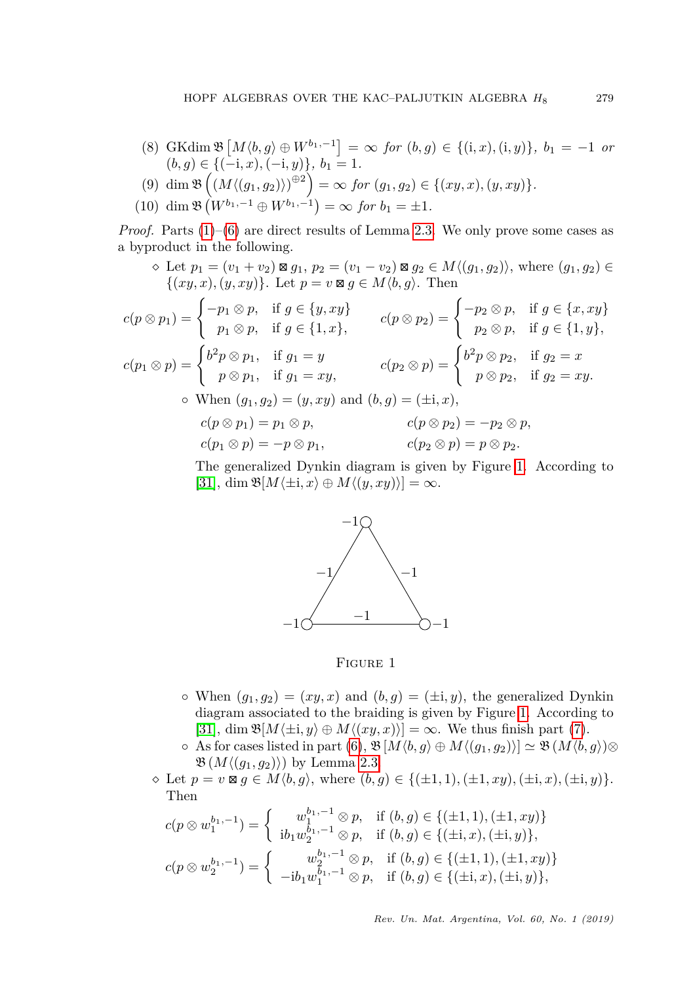- <span id="page-14-1"></span> $(8)$  GKdim  $\mathfrak{B}\left[M\langle b,g\rangle \oplus W^{b_1,-1}\right] = \infty$  *for*  $(b,g) \in \{(i,x),(i,y)\}, b_1 = -1$  *or*  $(b, g) \in \{(-i, x), (-i, y)\}, b_1 = 1.$
- $(9)$  dim  $\mathfrak{B}\left((M\langle (g_1, g_2)\rangle)^{\oplus 2}\right) = \infty$  for  $(g_1, g_2) \in \{(xy, x), (y, xy)\}.$
- <span id="page-14-2"></span> $(10)$  dim  $\mathfrak{B}(W^{b_1,-1} \oplus W^{b_1,-1}) = \infty$  for  $b_1 = \pm 1$ .

*Proof.* Parts  $(1)$ – $(6)$  are direct results of Lemma [2.3.](#page-3-1) We only prove some cases as a byproduct in the following.

 $\Diamond$  Let  $p_1 = (v_1 + v_2) \boxtimes g_1, p_2 = (v_1 - v_2) \boxtimes g_2 \in M \langle (g_1, g_2) \rangle$ , where  $(g_1, g_2) \in$  $\{(xy, x), (y, xy)\}.$  Let  $p = v \boxtimes g \in M\langle b, g \rangle$ . Then

$$
c(p \otimes p_1) = \begin{cases} -p_1 \otimes p, & \text{if } g \in \{y, xy\} \\ p_1 \otimes p, & \text{if } g \in \{1, x\}, \end{cases} \qquad c(p \otimes p_2) = \begin{cases} -p_2 \otimes p, & \text{if } g \in \{x, xy\} \\ p_2 \otimes p, & \text{if } g \in \{1, y\}, \end{cases}
$$

$$
c(p_1 \otimes p) = \begin{cases} b^2 p \otimes p_1, & \text{if } g_1 = y \\ p \otimes p_1, & \text{if } g_1 = xy, \end{cases} \qquad c(p_2 \otimes p) = \begin{cases} b^2 p \otimes p_2, & \text{if } g_2 = x \\ p \otimes p_2, & \text{if } g_2 = xy. \end{cases}
$$

$$
\text{When } (g_1, g_2) = (y, xy) \text{ and } (b, g) = (\pm \mathbf{i}, x),
$$

$$
c(p \otimes p_1) = p_1 \otimes p, \qquad \qquad c(p \otimes p_2) = -p_2 \otimes p, c(p_1 \otimes p) = -p \otimes p_1, \qquad \qquad c(p_2 \otimes p) = p \otimes p_2.
$$

<span id="page-14-0"></span>The generalized Dynkin diagram is given by Figure [1.](#page-14-0) According to  $[31]$ , dim  $\mathfrak{B}[M\langle \pm i, x \rangle \oplus M\langle (y, xy) \rangle] = \infty$ .



Figure 1

- $\circ$  When  $(g_1, g_2) = (xy, x)$  and  $(b, g) = (\pm i, y)$ , the generalized Dynkin diagram associated to the braiding is given by Figure [1.](#page-14-0) According to [\[31\]](#page-32-4), dim  $\mathfrak{B}[M\langle \pm i, y \rangle \oplus M\langle (xy, x) \rangle] = \infty$ . We thus finish part [\(7\)](#page-13-2).
- $\circ$  As for cases listed in part [\(6\)](#page-13-1),  $\mathfrak{B}[M\langle b, q \rangle \oplus M\langle (q_1, q_2) \rangle] \simeq \mathfrak{B}(M\langle b, q \rangle) \otimes$  $\mathfrak{B}(M\langle (q_1, q_2) \rangle)$  by Lemma [2.3.](#page-3-1)
- $\Diamond$  Let  $p = v \boxtimes g \in M(b, g)$ , where  $(b, g) \in \{(\pm 1, 1), (\pm 1, xy), (\pm i, x), (\pm i, y)\}.$ Then

$$
c(p \otimes w_1^{b_1,-1}) = \begin{cases} w_1^{b_1,-1} \otimes p, & \text{if } (b,g) \in \{(\pm 1,1), (\pm 1,xy)\} \\ \mathrm{i}b_1 w_2^{b_1,-1} \otimes p, & \text{if } (b,g) \in \{(\pm \mathrm{i},x), (\pm \mathrm{i},y)\}, \\ (p \otimes w_2^{b_1,-1}) = \begin{cases} w_2^{b_1,-1} \otimes p, & \text{if } (b,g) \in \{(\pm 1,1), (\pm 1,xy)\} \\ -\mathrm{i}b_1 w_1^{b_1,-1} \otimes p, & \text{if } (b,g) \in \{(\pm \mathrm{i},x), (\pm \mathrm{i},y)\}, \end{cases}
$$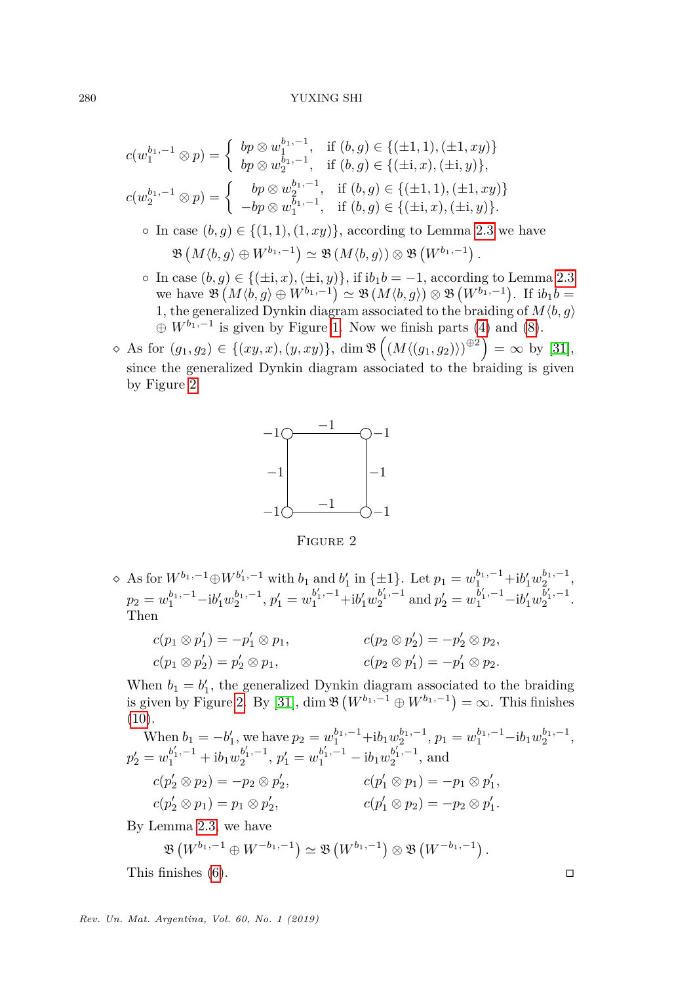$$
c(w_1^{b_1,-1} \otimes p) = \begin{cases} bp \otimes w_1^{b_1,-1}, & \text{if } (b,g) \in \{(\pm 1,1), (\pm 1,xy)\} \\ bp \otimes w_2^{b_1,-1}, & \text{if } (b,g) \in \{(\pm i,x), (\pm i,y)\}, \\ c(w_2^{b_1,-1} \otimes p) = \begin{cases} bp \otimes w_2^{b_1,-1}, & \text{if } (b,g) \in \{(\pm 1,1), (\pm 1,xy)\} \\ -bp \otimes w_1^{b_1,-1}, & \text{if } (b,g) \in \{(\pm i,x), (\pm i,y)\}. \end{cases}
$$

◦ In case  $(b, g) \in \{(1, 1), (1, xy)\}\text{, according to Lemma 2.3 we have }$  $(b, g) \in \{(1, 1), (1, xy)\}\text{, according to Lemma 2.3 we have }$  $(b, g) \in \{(1, 1), (1, xy)\}\text{, according to Lemma 2.3 we have }$  $\mathfrak{B}\left(M\langle b,g\rangle\oplus W^{b_1,-1}\right)\simeq \mathfrak{B}\left(M\langle b,g\rangle\right)\otimes \mathfrak{B}\left(W^{b_1,-1}\right).$ 

- In case (*b, g*) ∈ {(±i*, x*)*,*(±i*, y*)}, if i*b*1*b* = −1, according to Lemma [2.3](#page-3-1)  $w \in \mathfrak{B}(M \langle b, g \rangle \oplus W^{b_1,-1}) \simeq \mathfrak{B}(M \langle b, g \rangle) \otimes \mathfrak{B}(W^{b_1,-1})$ . If  $ib_1b =$ 1, the generalized Dynkin diagram associated to the braiding of  $M(b, g)$  $\oplus W^{b_1,-1}$  is given by Figure [1.](#page-14-0) Now we finish parts [\(4\)](#page-13-3) and [\(8\)](#page-14-1).
- <span id="page-15-0"></span>◇ As for  $(g_1, g_2) \in \{(xy, x), (y, xy)\}, \dim \mathfrak{B}\left((M\langle (g_1, g_2)\rangle)^{\oplus 2}\right) = \infty$  by [\[31\]](#page-32-4), since the generalized Dynkin diagram associated to the braiding is given by Figure [2.](#page-15-0)



Figure 2

 $\Diamond$  As for  $W^{b_1,-1} \oplus W^{b'_1,-1}$  with  $b_1$  and  $b'_1$  in {±1}. Let  $p_1 = w_1^{b_1,-1} + ib'_1 w_2^{b_1,-1}$ ,  $p_2 = w_1^{b_1, -1} - ib'_1 w_2^{b_1, -1}, p'_1 = w_1^{b'_1, -1} + ib'_1 w_2^{b'_1, -1}$  $b'_1, -1$  and  $p'_2 = w_1^{b'_1, -1} - i b'_1 w_2^{b'_1, -1}$  $\frac{1}{2}$ . Then

$$
c(p_1 \otimes p'_1) = -p'_1 \otimes p_1,
$$
  
\n
$$
c(p_2 \otimes p'_2) = -p'_2 \otimes p_2,
$$
  
\n
$$
c(p_2 \otimes p'_1) = -p'_1 \otimes p_2.
$$
  
\n
$$
c(p_2 \otimes p'_1) = -p'_1 \otimes p_2.
$$

When  $b_1 = b'_1$ , the generalized Dynkin diagram associated to the braiding is given by Figure [2.](#page-15-0) By [\[31\]](#page-32-4), dim  $\mathfrak{B}(W^{b_1,-1} \oplus W^{b_1,-1}) = \infty$ . This finishes  $(10).$  $(10).$ 

When 
$$
b_1 = -b'_1
$$
, we have  $p_2 = w_1^{b_1, -1} + ib_1 w_2^{b_1, -1}$ ,  $p_1 = w_1^{b_1, -1} - ib_1 w_2^{b_1, -1}$ ,  
\n $p'_2 = w_1^{b'_1, -1} + ib_1 w_2^{b'_1, -1}$ ,  $p'_1 = w_1^{b'_1, -1} - ib_1 w_2^{b'_1, -1}$ , and  
\n $c(p'_2 \otimes p_2) = -p_2 \otimes p'_2$ ,  
\n $c(p'_1 \otimes p_1) = -p_1 \otimes p'_1$ ,  
\n $c(p'_2 \otimes p_1) = p_1 \otimes p'_2$ ,  
\n $c(p'_1 \otimes p_2) = -p_2 \otimes p'_1$ .

By Lemma [2.3,](#page-3-1) we have

$$
\mathfrak{B}\left(W^{b_1,-1}\oplus W^{-b_1,-1}\right)\simeq \mathfrak{B}\left(W^{b_1,-1}\right)\otimes \mathfrak{B}\left(W^{-b_1,-1}\right).
$$

This finishes  $(6)$ .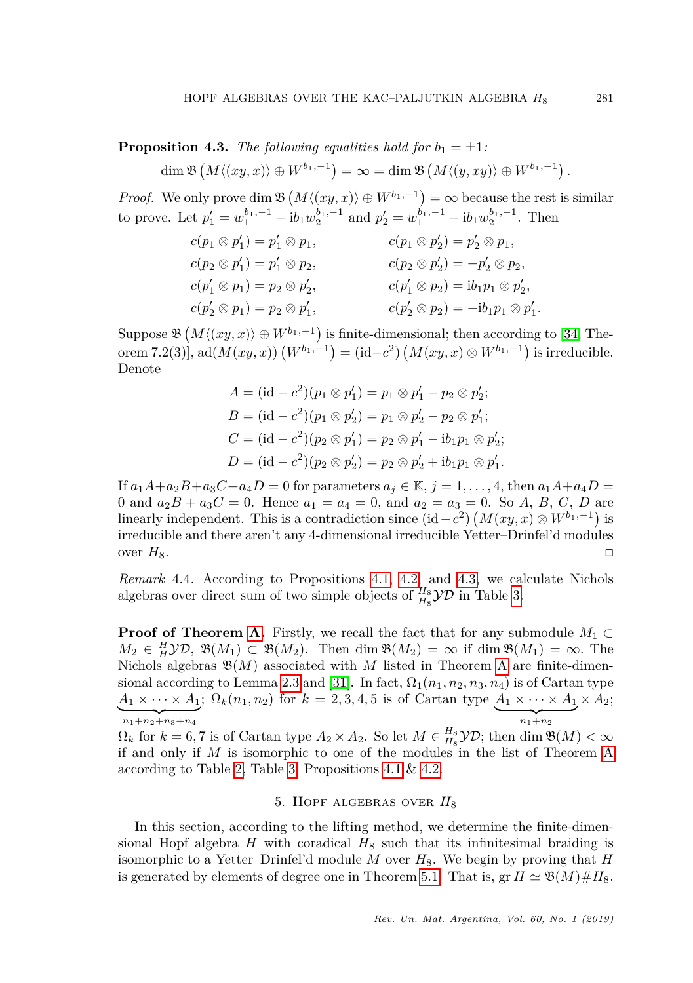<span id="page-16-1"></span>**Proposition 4.3.** *The following equalities hold for*  $b_1 = \pm 1$ *:*  $\dim \mathfrak{B}\left(M\langle(xy,x)\rangle\oplus W^{b_1,-1}\right)=\infty=\dim \mathfrak{B}\left(M\langle(y,xy)\rangle\oplus W^{b_1,-1}\right).$ 

*Proof.* We only prove dim  $\mathfrak{B}(M\langle (xy, x) \rangle \oplus W^{b_1,-1}) = \infty$  because the rest is similar to prove. Let  $p'_1 = w_1^{b_1, -1} + ib_1w_2^{b_1, -1}$  and  $p'_2 = w_1^{b_1, -1} - ib_1w_2^{b_1, -1}$ . Then

$$
c(p_1 \otimes p'_1) = p'_1 \otimes p_1, \qquad c(p_1 \otimes p'_2) = p'_2 \otimes p_1, \nc(p_2 \otimes p'_1) = p'_1 \otimes p_2, \qquad c(p_2 \otimes p'_2) = -p'_2 \otimes p_2, \nc(p'_1 \otimes p_1) = p_2 \otimes p'_2, \qquad c(p'_1 \otimes p_2) = ib_1 p_1 \otimes p'_2, \nc(p'_2 \otimes p_1) = p_2 \otimes p'_1, \qquad c(p'_2 \otimes p_2) = -ib_1 p_1 \otimes p'_1.
$$

Suppose  $\mathfrak{B}(M\langle (xy, x) \rangle \oplus W^{b_1,-1})$  is finite-dimensional; then according to [\[34,](#page-32-19) Theorem 7.2(3)],  $\text{ad}(M(xy, x)) (W^{b_1, -1}) = (\text{id} - c^2) (M(xy, x) \otimes W^{b_1, -1})$  is irreducible. Denote

$$
A = (\mathrm{id} - c^2)(p_1 \otimes p'_1) = p_1 \otimes p'_1 - p_2 \otimes p'_2; \n B = (\mathrm{id} - c^2)(p_1 \otimes p'_2) = p_1 \otimes p'_2 - p_2 \otimes p'_1; \n C = (\mathrm{id} - c^2)(p_2 \otimes p'_1) = p_2 \otimes p'_1 - \mathrm{i}b_1p_1 \otimes p'_2; \n D = (\mathrm{id} - c^2)(p_2 \otimes p'_2) = p_2 \otimes p'_2 + \mathrm{i}b_1p_1 \otimes p'_1.
$$

If  $a_1A+a_2B+a_3C+a_4D=0$  for parameters  $a_j \in \mathbb{K}, j=1,\ldots,4$ , then  $a_1A+a_4D=$ 0 and  $a_2B + a_3C = 0$ . Hence  $a_1 = a_4 = 0$ , and  $a_2 = a_3 = 0$ . So A, B, C, D are linearly independent. This is a contradiction since  $(\mathrm{id} - c^2)$   $(M(xy, x) \otimes W^{b_1, -1})$  is irreducible and there aren't any 4-dimensional irreducible Yetter–Drinfel'd modules over  $H_8$ .

*Remark* 4.4*.* According to Propositions [4.1,](#page-11-1) [4.2,](#page-0-1) and [4.3,](#page-16-1) we calculate Nichols algebras over direct sum of two simple objects of  $_{H_8}^{H_8}$  $\mathcal{YD}$  in Table [3.](#page-17-0)

**Proof of Theorem [A.](#page-2-1)** Firstly, we recall the fact that for any submodule  $M_1 \subset$  $M_2 \in H_1 \mathcal{YD}$ ,  $\mathfrak{B}(M_1) \subset \mathfrak{B}(M_2)$ . Then dim  $\mathfrak{B}(M_2) = \infty$  if dim  $\mathfrak{B}(M_1) = \infty$ . The Nichols algebras  $\mathfrak{B}(M)$  associated with *M* listed in Theorem [A](#page-2-1) are finite-dimen-sional according to Lemma [2.3](#page-3-1) and [\[31\]](#page-32-4). In fact,  $\Omega_1(n_1, n_2, n_3, n_4)$  is of Cartan type  $A_1 \times \cdots \times A_1$ ;  $\Omega_k(n_1, n_2)$  for  $k = 2, 3, 4, 5$  is of Cartan type  $A_1 \times \cdots \times A_1$  $\overline{n_1+n_2+n_3+n_4}$  $\overbrace{n_1+n_2}^{n_1+n_2}$ *n*1+*n*<sup>2</sup>  $\times$   $A_2$ ;

 $\Omega_k$  for  $k = 6, 7$  is of Cartan type  $A_2 \times A_2$ . So let  $M \in H_8^s$  *YD*; then dim  $\mathfrak{B}(M) < \infty$ if and only if *M* is isomorphic to one of the modules in the list of Theorem [A](#page-2-1) according to Table [2,](#page-12-0) Table [3,](#page-17-0) Propositions [4.1](#page-11-1) & [4.2.](#page-0-1)

## 5. Hopf algebras over *H*<sup>8</sup>

<span id="page-16-0"></span>In this section, according to the lifting method, we determine the finite-dimensional Hopf algebra  $H$  with coradical  $H_8$  such that its infinitesimal braiding is isomorphic to a Yetter–Drinfel'd module M over  $H_8$ . We begin by proving that  $H$ is generated by elements of degree one in Theorem [5.1.](#page-18-0) That is,  $gr H \simeq \mathfrak{B}(M) \# H_8$ .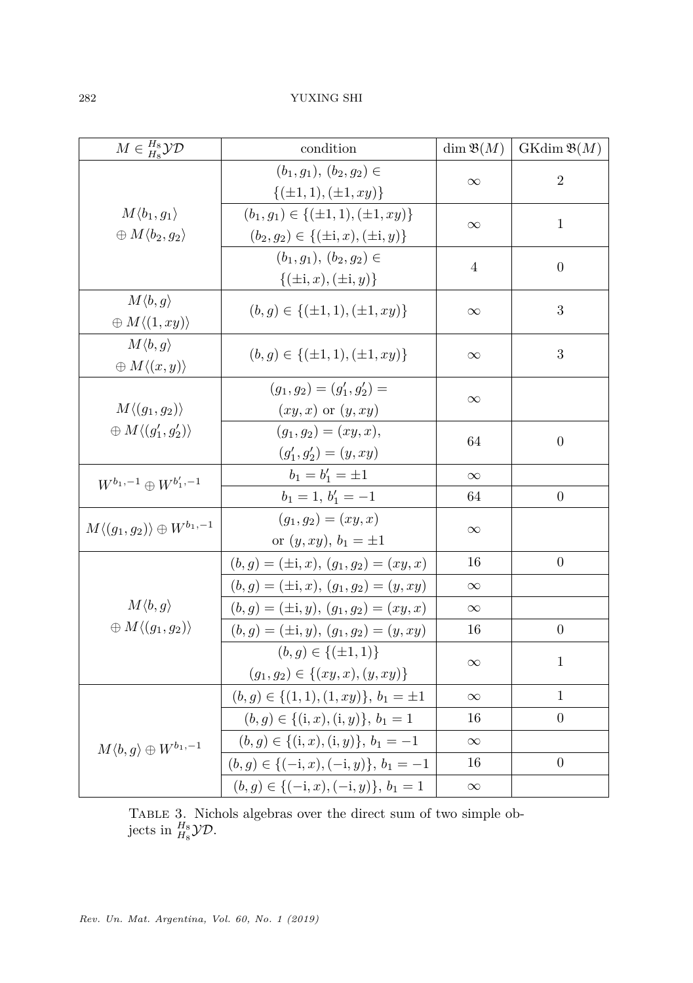<span id="page-17-0"></span>

| $M \in \frac{H_8}{H_8}\mathcal{YD}$                                 | condition                                                                                     | $\dim \mathfrak{B}(M)$ | $GKdim \mathfrak{B}(M)$ |
|---------------------------------------------------------------------|-----------------------------------------------------------------------------------------------|------------------------|-------------------------|
|                                                                     | $(b_1, g_1), (b_2, g_2) \in$<br>$\{(\pm 1, 1), (\pm 1, xy)\}\$                                | $\infty$               | $\overline{2}$          |
| $M\langle b_1,g_1\rangle$<br>$\oplus M\langle b_2,g_2\rangle$       | $(b_1, g_1) \in \{(\pm 1, 1), (\pm 1, xy)\}\$<br>$(b_2, g_2) \in \{(\pm i, x), (\pm i, y)\}\$ | $\infty$               | $\mathbf{1}$            |
|                                                                     | $(b_1, q_1), (b_2, q_2) \in$<br>$\{(\pm i, x), (\pm i, y)\}$                                  | 4                      | $\overline{0}$          |
| $M\langle b,g\rangle$<br>$\oplus M\langle (1,xy)\rangle$            | $(b, g) \in \{(\pm 1, 1), (\pm 1, xy)\}\$                                                     | $\infty$               | 3                       |
| $M\langle b,g\rangle$<br>$\oplus M\langle (x,y)\rangle$             | $(b, g) \in \{(\pm 1, 1), (\pm 1, xy)\}\$                                                     | $\infty$               | 3                       |
| $M\langle (g_1,g_2)\rangle$<br>$\oplus M\langle (g_1',g_2')\rangle$ | $(g_1, g_2) = (g'_1, g'_2) =$<br>$(xy, x)$ or $(y, xy)$                                       | $\infty$               |                         |
|                                                                     | $(g_1, g_2) = (xy, x),$<br>$(g'_1, g'_2) = (y, xy)$                                           | 64                     | $\boldsymbol{0}$        |
| $W^{b_1,-1} \oplus W^{b'_1,-1}$                                     | $b_1 = b'_1 = \pm 1$                                                                          | $\infty$               |                         |
|                                                                     | $b_1 = 1, b'_1 = -1$                                                                          | 64                     | $\boldsymbol{0}$        |
| $M\langle (g_1,g_2)\rangle\oplus W^{b_1,-1}$                        | $(g_1, g_2) = (xy, x)$<br>or $(y, xy), b_1 = \pm 1$                                           | $\infty$               |                         |
|                                                                     | $(b, g) = (\pm i, x), (g_1, g_2) = (xy, x)$                                                   | 16                     | $\boldsymbol{0}$        |
|                                                                     | $(b, g) = (\pm \mathbf{i}, x), (g_1, g_2) = (y, xy)$                                          | $\infty$               |                         |
| $M\langle b,g\rangle$                                               | $(b, g) = (\pm i, y), (g_1, g_2) = (xy, x)$                                                   | $\infty$               |                         |
| $\oplus M\langle (g_1,g_2)\rangle$                                  | $(b, g) = (\pm i, y), (g_1, g_2) = (y, xy)$                                                   | 16                     | $\overline{0}$          |
|                                                                     | $(b, g) \in \{(\pm 1, 1)\}\$<br>$(g_1, g_2) \in \{(xy, x), (y, xy)\}\$                        | $\infty$               | $\mathbf{1}$            |
|                                                                     | $(b, g) \in \{(1, 1), (1, xy)\}, b_1 = \pm 1$                                                 | $\infty$               | $\mathbf{1}$            |
|                                                                     | $(b, g) \in \{(i, x), (i, y)\}, b_1 = 1$                                                      | 16                     | $\boldsymbol{0}$        |
| $M\langle b,g\rangle \oplus W^{b_1,-1}$                             | $(b, g) \in \{(i, x), (i, y)\}, b_1 = -1$                                                     | $\infty$               |                         |
|                                                                     | $(b, g) \in \{(-i, x), (-i, y)\}, b_1 = -1$                                                   | 16                     | $\overline{0}$          |
|                                                                     | $(b,g) \in \{(-i,x), (-i,y)\}, b_1 = 1$                                                       | $\infty$               |                         |

Table 3. Nichols algebras over the direct sum of two simple objects in  $_{H_8}^{H_8}\mathcal{YD}$ .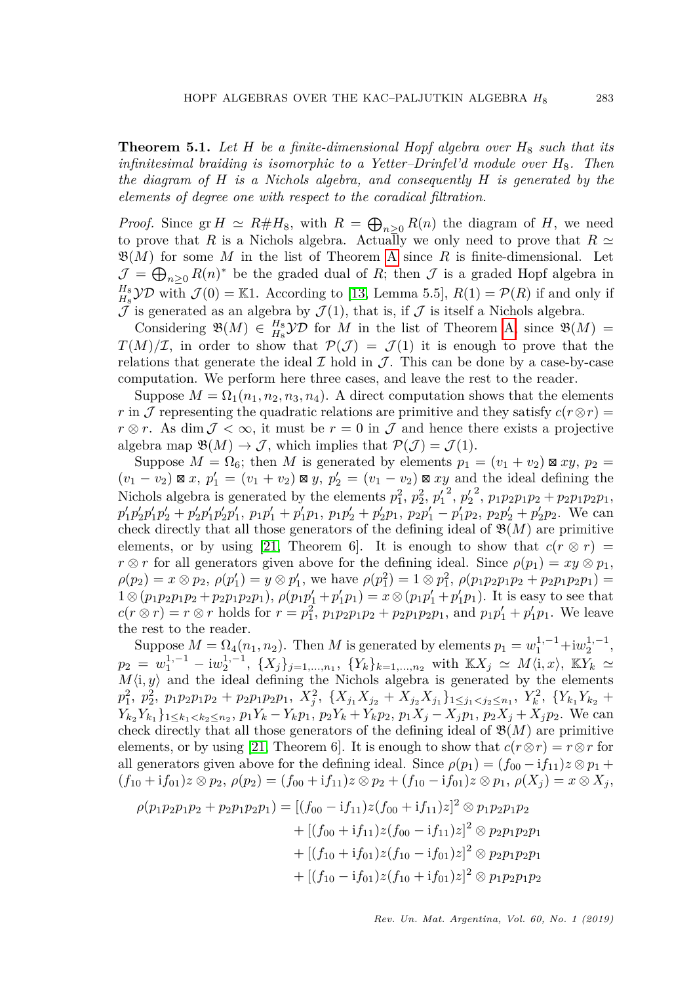<span id="page-18-0"></span>**Theorem 5.1.** *Let H be a finite-dimensional Hopf algebra over H*<sup>8</sup> *such that its infinitesimal braiding is isomorphic to a Yetter–Drinfel'd module over H*8*. Then the diagram of H is a Nichols algebra, and consequently H is generated by the elements of degree one with respect to the coradical filtration.*

*Proof.* Since  $gr H \simeq R \# H_8$ , with  $R = \bigoplus_{n \geq 0} R(n)$  the diagram of *H*, we need to prove that *R* is a Nichols algebra. Actually we only need to prove that  $R \simeq$  $\mathfrak{B}(M)$  for some M in the list of Theorem [A](#page-2-1) since R is finite-dimensional. Let  $\mathcal{J} = \bigoplus_{n \geq 0} R(n)^*$  be the graded dual of *R*; then  $\mathcal{J}$  is a graded Hopf algebra in  $H_8^H$  $\mathcal{YD}$  with  $\mathcal{J}(0) = \mathbb{K}1$ . According to [\[13,](#page-31-18) Lemma 5.5],  $R(1) = \mathcal{P}(R)$  if and only if  $\mathcal J$  is generated as an algebra by  $\mathcal J(1)$ , that is, if  $\mathcal J$  is itself a Nichols algebra.

Considering  $\mathfrak{B}(M) \in H_8^8$  *YD* for *M* in the list of Theorem [A,](#page-2-1) since  $\mathfrak{B}(M) =$  $T(M)/\mathcal{I}$ , in order to show that  $\mathcal{P}(\mathcal{J}) = \mathcal{J}(1)$  it is enough to prove that the relations that generate the ideal  $\mathcal I$  hold in  $\mathcal J$ . This can be done by a case-by-case computation. We perform here three cases, and leave the rest to the reader.

Suppose  $M = \Omega_1(n_1, n_2, n_3, n_4)$ . A direct computation shows that the elements *r* in J representing the quadratic relations are primitive and they satisfy  $c(r \otimes r)$  =  $r \otimes r$ . As dim  $\mathcal{J} < \infty$ , it must be  $r = 0$  in  $\mathcal{J}$  and hence there exists a projective algebra map  $\mathfrak{B}(M) \to \mathcal{J}$ , which implies that  $\mathcal{P}(\mathcal{J}) = \mathcal{J}(1)$ .

Suppose  $M = \Omega_6$ ; then M is generated by elements  $p_1 = (v_1 + v_2) \boxtimes xy$ ,  $p_2 =$  $(v_1 - v_2) \boxtimes x$ ,  $p'_1 = (v_1 + v_2) \boxtimes y$ ,  $p'_2 = (v_1 - v_2) \boxtimes xy$  and the ideal defining the Nichols algebra is generated by the elements  $p_1^2$ ,  $p_2^2$ ,  $p_1'^2$ ,  $p_2'^2$ ,  $p_1p_2p_1p_2 + p_2p_1p_2p_1$ ,  $p'_1p'_2p'_1p'_2+p'_2p'_1p'_2p'_1$ ,  $p_1p'_1+p'_1p_1$ ,  $p_1p'_2+p'_2p_1$ ,  $p_2p'_1-p'_1p_2$ ,  $p_2p'_2+p'_2p_2$ . We can check directly that all those generators of the defining ideal of  $\mathfrak{B}(M)$  are primitive elements, or by using [\[21,](#page-31-19) Theorem 6]. It is enough to show that  $c(r \otimes r)$  = *r*  $\otimes$  *r* for all generators given above for the defining ideal. Since  $\rho(p_1) = xy \otimes p_1$ ,  $\rho(p_2) = x \otimes p_2$ ,  $\rho(p'_1) = y \otimes p'_1$ , we have  $\rho(p_1^2) = 1 \otimes p_1^2$ ,  $\rho(p_1 p_2 p_1 p_2 + p_2 p_1 p_2 p_1) =$  $1 \otimes (p_1p_2p_1p_2 + p_2p_1p_2p_1), \, \rho(p_1p'_1 + p'_1p_1) = x \otimes (p_1p'_1 + p'_1p_1).$  It is easy to see that  $c(r \otimes r) = r \otimes r$  holds for  $r = p_1^2$ ,  $p_1p_2p_1p_2 + p_2p_1p_2p_1$ , and  $p_1p_1' + p_1'p_1$ . We leave the rest to the reader.

Suppose  $M = \Omega_4(n_1, n_2)$ . Then M is generated by elements  $p_1 = w_1^{1,-1} + i w_2^{1,-1}$ ,  $p_2 = w_1^{1,-1} - \mathrm{i}w_2^{1,-1}, \{X_j\}_{j=1,\dots,n_1}, \{Y_k\}_{k=1,\dots,n_2}$  with  $\mathbb{K}X_j \simeq M\langle \mathbf{i}, x \rangle, \mathbb{K}Y_k \simeq$  $M\langle i, y \rangle$  and the ideal defining the Nichols algebra is generated by the elements  $p_1^2$ ,  $p_2^2$ ,  $p_1p_2p_1p_2 + p_2p_1p_2p_1$ ,  $X_j^2$ ,  $\{X_{j_1}X_{j_2} + X_{j_2}X_{j_1}\}_{1 \leq j_1 < j_2 \leq n_1}$ ,  $Y_k^2$ ,  $\{Y_{k_1}Y_{k_2} + Y_{k_1}Y_{k_2}\}_{1 \leq j_1 \leq j_2 \leq n_1}$  $Y_{k_2}Y_{k_1}$ }<sub>1 $\leq k_1 < k_2 \leq n_2$ </sub>,  $p_1Y_k - Y_kp_1$ ,  $p_2Y_k + Y_kp_2$ ,  $p_1X_j - X_jp_1$ ,  $p_2X_j + X_jp_2$ . We can check directly that all those generators of the defining ideal of  $\mathfrak{B}(M)$  are primitive elements, or by using [\[21,](#page-31-19) Theorem 6]. It is enough to show that  $c(r \otimes r) = r \otimes r$  for all generators given above for the defining ideal. Since  $\rho(p_1) = (f_{00} - if_{11})z \otimes p_1 +$  $(f_{10} + if_{01})z \otimes p_2, \, \rho(p_2) = (f_{00} + if_{11})z \otimes p_2 + (f_{10} - if_{01})z \otimes p_1, \, \rho(X_i) = x \otimes X_i,$ 

$$
\rho(p_1p_2p_1p_2 + p_2p_1p_2p_1) = [(f_{00} - if_{11})z(f_{00} + if_{11})z]^2 \otimes p_1p_2p_1p_2
$$
  
+ 
$$
[(f_{00} + if_{11})z(f_{00} - if_{11})z]^2 \otimes p_2p_1p_2p_1
$$
  
+ 
$$
[(f_{10} + if_{01})z(f_{10} - if_{01})z]^2 \otimes p_2p_1p_2p_1
$$
  
+ 
$$
[(f_{10} - if_{01})z(f_{10} + if_{01})z]^2 \otimes p_1p_2p_1p_2
$$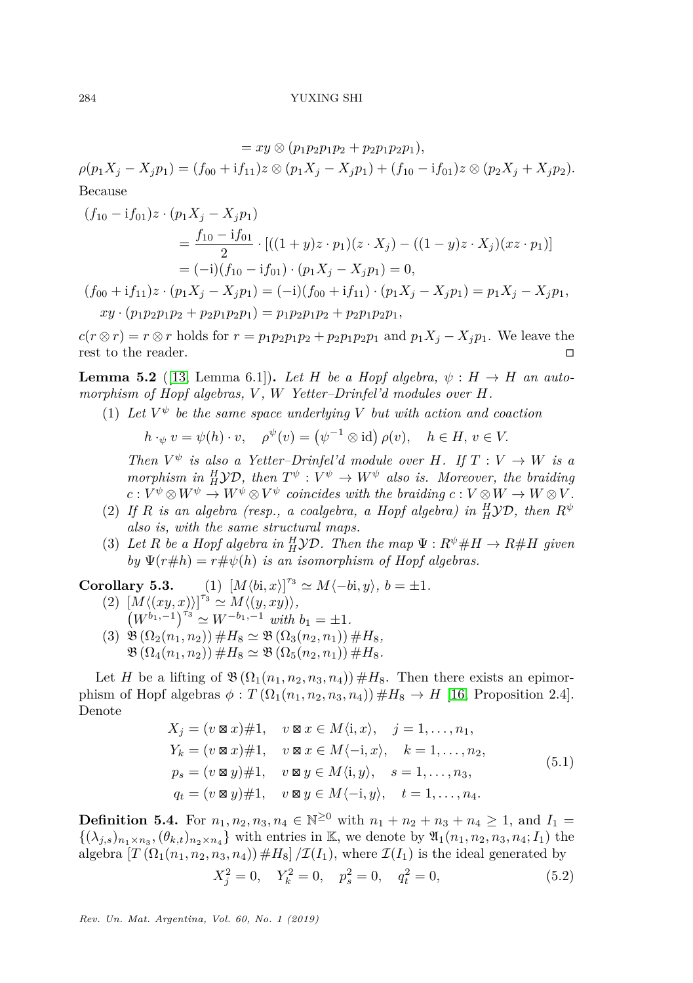$= xy \otimes (p_1p_2p_1p_2 + p_2p_1p_2p_1)$  $\rho(p_1X_i-X_i p_1)=(f_{00}+if_{11})z\otimes (p_1X_i-X_i p_1)+(f_{10}-if_{01})z\otimes (p_2X_i+X_i p_2).$ Because

$$
(f_{10} - if_{01})z \cdot (p_1X_j - X_jp_1)
$$
  
= 
$$
\frac{f_{10} - if_{01}}{2} \cdot [((1 + y)z \cdot p_1)(z \cdot X_j) - ((1 - y)z \cdot X_j)(xz \cdot p_1)]
$$
  
= 
$$
(-i)(f_{10} - if_{01}) \cdot (p_1X_j - X_jp_1) = 0,
$$

 $(f_{00} + if_{11})z \cdot (p_1X_i - X_i p_1) = (-i)(f_{00} + if_{11}) \cdot (p_1X_i - X_i p_1) = p_1X_i - X_i p_1,$  $xy \cdot (p_1 p_2 p_1 p_2 + p_2 p_1 p_2 p_1) = p_1 p_2 p_1 p_2 + p_2 p_1 p_2 p_1,$ 

 $c(r \otimes r) = r \otimes r$  holds for  $r = p_1p_2p_1p_2 + p_2p_1p_2p_1$  and  $p_1X_j - X_jp_1$ . We leave the rest to the reader.

**Lemma 5.2** ([\[13,](#page-31-18) Lemma 6.1]). Let *H* be a Hopf algebra,  $\psi : H \to H$  an auto*morphism of Hopf algebras, V , W Yetter–Drinfel'd modules over H.*

(1) Let  $V^{\psi}$  be the same space underlying V but with action and coaction

$$
h \cdot_{\psi} v = \psi(h) \cdot v, \quad \rho^{\psi}(v) = (\psi^{-1} \otimes id) \rho(v), \quad h \in H, v \in V.
$$

*Then*  $V^{\psi}$  *is also a Yetter–Drinfel'd module over H. If*  $T: V \rightarrow W$  *is a morphism in*  $^H_H$  $\mathcal{YD}$ , then  $T^{\psi}: V^{\psi} \to W^{\psi}$  also is. Moreover, the braiding  $c: V^{\psi} \otimes W^{\psi} \to W^{\psi} \otimes V^{\psi}$  coincides with the braiding  $c: V \otimes W \to W \otimes V$ .

- (2) If *R* is an algebra (resp., a coalgebra, a Hopf algebra) in  ${}^H_H$  $YD$ , then  $R^{\psi}$ *also is, with the same structural maps.*
- (3) Let *R* be a Hopf algebra in  $^H_H$  $\mathcal{YD}$ . Then the map  $\Psi : R^{\psi} \# H \to R \# H$  given *by*  $\Psi(r \# h) = r \# \psi(h)$  *is an isomorphism of Hopf algebras.*

 $Corollary 5.3.$  $\sigma^{\tau_3} \simeq M\langle -b_i, y \rangle, b = \pm 1.$ 

- $\left\{ (2) \left[ M \langle (xy, x) \rangle \right]^{r_3} \simeq M \langle (y, xy) \rangle, \right\}$  $(W^{b_1,-1})^{\tau_3} \simeq W^{-b_1,-1}$  *with*  $b_1 = \pm 1$ .
- $(3) \mathfrak{B}(\Omega_2(n_1, n_2)) \# H_8 \simeq \mathfrak{B}(\Omega_3(n_2, n_1)) \# H_8$  $\mathfrak{B}(\Omega_4(n_1, n_2)) \# H_8 \simeq \mathfrak{B}(\Omega_5(n_2, n_1)) \# H_8.$

Let *H* be a lifting of  $\mathfrak{B}(\Omega_1(n_1,n_2,n_3,n_4)) \#H_8$ . Then there exists an epimorphism of Hopf algebras  $\phi: T(\Omega_1(n_1, n_2, n_3, n_4)) \# H_8 \to H$  [\[16,](#page-31-1) Proposition 2.4]. Denote

$$
X_j = (v \boxtimes x) \# 1, \quad v \boxtimes x \in M \langle i, x \rangle, \quad j = 1, \dots, n_1,
$$
  
\n
$$
Y_k = (v \boxtimes x) \# 1, \quad v \boxtimes x \in M \langle -i, x \rangle, \quad k = 1, \dots, n_2,
$$
  
\n
$$
p_s = (v \boxtimes y) \# 1, \quad v \boxtimes y \in M \langle i, y \rangle, \quad s = 1, \dots, n_3,
$$
  
\n
$$
q_t = (v \boxtimes y) \# 1, \quad v \boxtimes y \in M \langle -i, y \rangle, \quad t = 1, \dots, n_4.
$$
\n
$$
(5.1)
$$

<span id="page-19-1"></span><span id="page-19-0"></span>**Definition 5.4.** For  $n_1, n_2, n_3, n_4 \in \mathbb{N}^{\geq 0}$  with  $n_1 + n_2 + n_3 + n_4 \geq 1$ , and  $I_1 =$  $\{(\lambda_{j,s})_{n_1\times n_3},(\theta_{k,t})_{n_2\times n_4}\}$  with entries in K, we denote by  $\mathfrak{A}_1(n_1,n_2,n_3,n_4;I_1)$  the algebra  $[T(\Omega_1(n_1, n_2, n_3, n_4)) \#H_8]/\mathcal{I}(I_1)$ , where  $\mathcal{I}(I_1)$  is the ideal generated by

<span id="page-19-2"></span>
$$
X_j^2 = 0, \quad Y_k^2 = 0, \quad p_s^2 = 0, \quad q_t^2 = 0,
$$
\n
$$
(5.2)
$$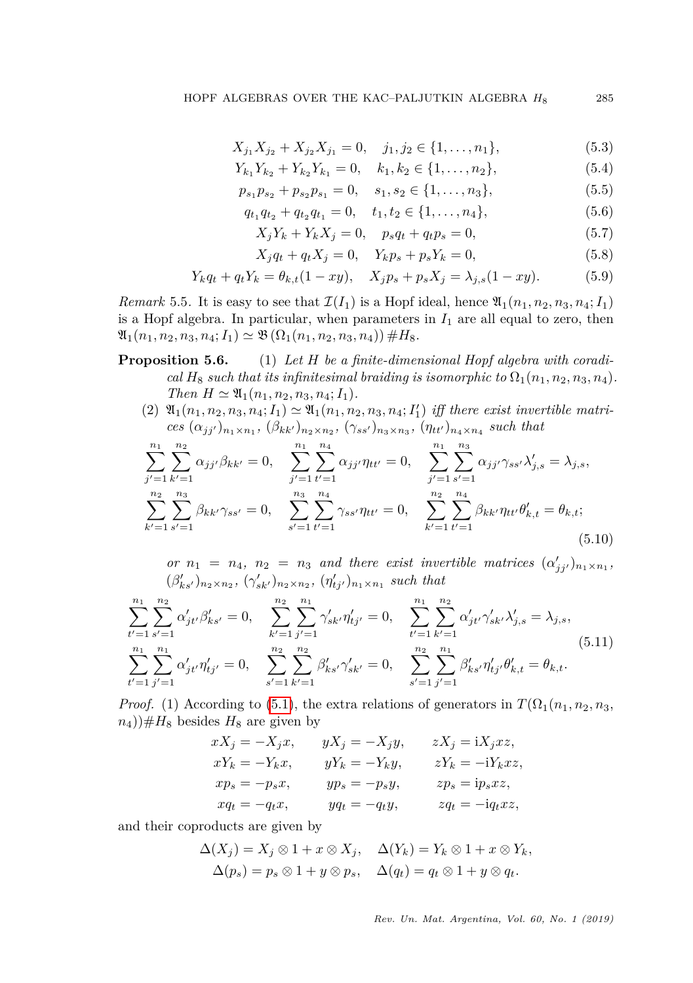$$
X_{j_1} X_{j_2} + X_{j_2} X_{j_1} = 0, \quad j_1, j_2 \in \{1, ..., n_1\},
$$
\n
$$
(5.3)
$$

$$
Y_{k_1}Y_{k_2} + Y_{k_2}Y_{k_1} = 0, \quad k_1, k_2 \in \{1, \dots, n_2\},\tag{5.4}
$$

$$
p_{s_1}p_{s_2} + p_{s_2}p_{s_1} = 0, \quad s_1, s_2 \in \{1, \dots, n_3\},\tag{5.5}
$$

$$
q_{t_1}q_{t_2} + q_{t_2}q_{t_1} = 0, \quad t_1, t_2 \in \{1, \ldots, n_4\}, \tag{5.6}
$$

<span id="page-20-0"></span>
$$
X_j Y_k + Y_k X_j = 0, \quad p_s q_t + q_t p_s = 0,
$$
\n(5.7)

<span id="page-20-1"></span>
$$
X_j q_t + q_t X_j = 0, \quad Y_k p_s + p_s Y_k = 0,
$$
\n(5.8)

$$
Y_k q_t + q_t Y_k = \theta_{k,t} (1 - xy), \quad X_j p_s + p_s X_j = \lambda_{j,s} (1 - xy). \tag{5.9}
$$

*Remark* 5.5*.* It is easy to see that  $\mathcal{I}(I_1)$  is a Hopf ideal, hence  $\mathfrak{A}_1(n_1, n_2, n_3, n_4; I_1)$ is a Hopf algebra. In particular, when parameters in  $I_1$  are all equal to zero, then  $\mathfrak{A}_{1}(n_{1}, n_{2}, n_{3}, n_{4}; I_{1}) \simeq \mathfrak{B}(\Omega_{1}(n_{1}, n_{2}, n_{3}, n_{4})) \# H_{8}.$ 

- **Proposition 5.6.** (1) *Let H be a finite-dimensional Hopf algebra with coradical*  $H_8$  *such that its infinitesimal braiding is isomorphic to*  $\Omega_1(n_1, n_2, n_3, n_4)$ *. Then*  $H \simeq \mathfrak{A}_1(n_1, n_2, n_3, n_4; I_1)$ *.* 
	- $(2)$   $\mathfrak{A}_{1}(n_{1}, n_{2}, n_{3}, n_{4}; I_{1}) \simeq \mathfrak{A}_{1}(n_{1}, n_{2}, n_{3}, n_{4}; I_{1}')$  *iff there exist invertible matri* $ces \ (\alpha_{jj'})_{n_1 \times n_1}, \ (\beta_{kk'})_{n_2 \times n_2}, \ (\gamma_{ss'})_{n_3 \times n_3}, \ (\eta_{tt'})_{n_4 \times n_4} \ such \ that$

<span id="page-20-2"></span>
$$
\sum_{j'=1}^{n_1} \sum_{k'=1}^{n_2} \alpha_{jj'} \beta_{kk'} = 0, \quad \sum_{j'=1}^{n_1} \sum_{t'=1}^{n_4} \alpha_{jj'} \eta_{tt'} = 0, \quad \sum_{j'=1}^{n_1} \sum_{s'=1}^{n_3} \alpha_{jj'} \gamma_{ss'} \lambda'_{j,s} = \lambda_{j,s},
$$
  

$$
\sum_{k'=1}^{n_2} \sum_{s'=1}^{n_3} \beta_{kk'} \gamma_{ss'} = 0, \quad \sum_{s'=1}^{n_3} \sum_{t'=1}^{n_4} \gamma_{ss'} \eta_{tt'} = 0, \quad \sum_{k'=1}^{n_2} \sum_{t'=1}^{n_4} \beta_{kk'} \eta_{tt'} \theta'_{k,t} = \theta_{k,t};
$$
  
(5.10)

*or*  $n_1 = n_4$ ,  $n_2 = n_3$  *and there exist invertible matrices*  $(\alpha'_{jj'})_{n_1 \times n_1}$ ,  $(\beta'_{ks'})_{n_2 \times n_2}, (\gamma'_{sk'})_{n_2 \times n_2}, (\eta'_{tj'})_{n_1 \times n_1}$  such that

<span id="page-20-3"></span>
$$
\sum_{t'=1}^{n_1} \sum_{s'=1}^{n_2} \alpha'_{jt'} \beta'_{ks'} = 0, \quad \sum_{k'=1}^{n_2} \sum_{j'=1}^{n_1} \gamma'_{sk'} \eta'_{tj'} = 0, \quad \sum_{t'=1}^{n_1} \sum_{k'=1}^{n_2} \alpha'_{jt'} \gamma'_{sk'} \lambda'_{j,s} = \lambda_{j,s},
$$
\n
$$
\sum_{t'=1}^{n_1} \sum_{j'=1}^{n_1} \alpha'_{jt'} \eta'_{tj'} = 0, \quad \sum_{s'=1}^{n_2} \sum_{k'=1}^{n_2} \beta'_{ks'} \gamma'_{sk'} = 0, \quad \sum_{s'=1}^{n_2} \sum_{j'=1}^{n_1} \beta'_{ks'} \eta'_{tj'} \theta'_{k,t} = \theta_{k,t}.
$$
\n(5.11)

*Proof.* (1) According to [\(5.1\)](#page-19-1), the extra relations of generators in  $T(\Omega_1(n_1, n_2, n_3,$  $(n_4)$ ) $#H_8$  besides  $H_8$  are given by

$$
xX_j = -X_jx, \t yX_j = -X_jy, \t zX_j = iX_jxz,
$$
  
\n
$$
xY_k = -Y_kx, \t yY_k = -Y_ky, \t zY_k = -iY_kxz,
$$
  
\n
$$
xp_s = -p_sx, \t yp_s = -p_sy, \t zp_s = ip_sxz,
$$
  
\n
$$
xq_t = -q_tx, \t yq_t = -q_ty, \t zq_t = -iq_txz,
$$

and their coproducts are given by

$$
\Delta(X_j) = X_j \otimes 1 + x \otimes X_j, \quad \Delta(Y_k) = Y_k \otimes 1 + x \otimes Y_k, \Delta(p_s) = p_s \otimes 1 + y \otimes p_s, \quad \Delta(q_t) = q_t \otimes 1 + y \otimes q_t.
$$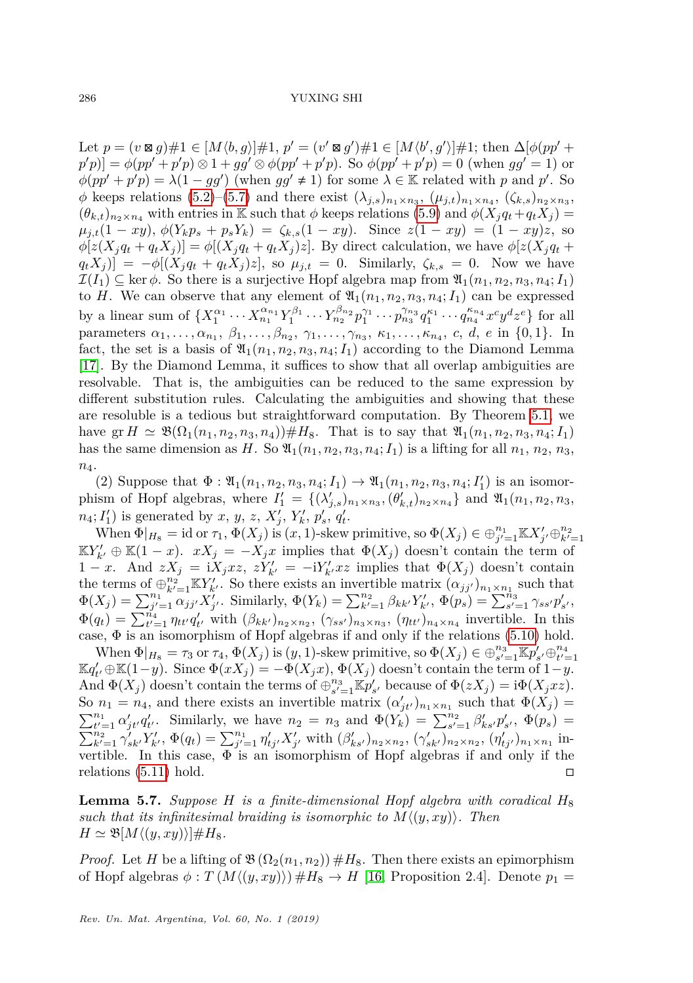$\text{Let } p = (v \boxtimes g) \# 1 \in [M \langle b, g \rangle] \# 1, p' = (v' \boxtimes g') \# 1 \in [M \langle b', g' \rangle] \# 1; \text{ then } \Delta[\phi(pp' +$  $p'(p) = \phi(pp' + p'p) \otimes 1 + gg' \otimes \phi(pp' + p'p)$ . So  $\phi(pp' + p'p) = 0$  (when  $gg' = 1$ ) or  $\phi(pp' + p'p) = \lambda(1 - gg')$  (when  $gg' \neq 1$ ) for some  $\lambda \in \mathbb{K}$  related with *p* and *p'*. So  $\phi$  keeps relations [\(5.2\)](#page-19-2)–[\(5.7\)](#page-20-0) and there exist  $(\lambda_{j,s})_{n_1 \times n_3}$ ,  $(\mu_{j,t})_{n_1 \times n_4}$ ,  $(\zeta_{k,s})_{n_2 \times n_3}$ ,  $(\theta_{k,t})_{n_2 \times n_4}$  with entries in K such that  $\phi$  keeps relations [\(5.9\)](#page-20-1) and  $\phi(X_j q_t + q_t X_j)$  $\mu_{j,t}(1 - xy), \phi(Y_k p_s + p_s Y_k) = \zeta_{k,s}(1 - xy).$  Since  $z(1 - xy) = (1 - xy)z$ , so  $\phi[z(X_iq_t+q_tX_i)]=\phi[(X_iq_t+q_tX_i)z]$ . By direct calculation, we have  $\phi[z(X_iq_t+q_tX_i)]=\phi[z(X_iq_t+q_tX_i)z]$ .  $q_t X_j$  =  $-\phi[(X_j q_t + q_t X_j)z]$ , so  $\mu_{j,t} = 0$ . Similarly,  $\zeta_{k,s} = 0$ . Now we have  $\mathcal{I}(I_1) \subseteq \ker \phi$ . So there is a surjective Hopf algebra map from  $\mathfrak{A}_1(n_1, n_2, n_3, n_4; I_1)$ to *H*. We can observe that any element of  $\mathfrak{A}_1(n_1, n_2, n_3, n_4; I_1)$  can be expressed by a linear sum of  $\{X_1^{\alpha_1} \cdots X_{n_1}^{\alpha_{n_1}} Y_1^{\beta_1} \cdots Y_{n_2}^{\beta_{n_2}} p_1^{\gamma_1} \cdots p_{n_3}^{\gamma_{n_3}} q_1^{\kappa_1} \cdots q_{n_4}^{\kappa_{n_4}} x^c y^d z^e\}$  for all parameters  $\alpha_1, \ldots, \alpha_{n_1}, \beta_1, \ldots, \beta_{n_2}, \gamma_1, \ldots, \gamma_{n_3}, \kappa_1, \ldots, \kappa_{n_4}, c, d, e$  in {0,1}. In fact, the set is a basis of  $\mathfrak{A}_1(n_1, n_2, n_3, n_4; I_1)$  according to the Diamond Lemma [\[17\]](#page-31-20). By the Diamond Lemma, it suffices to show that all overlap ambiguities are resolvable. That is, the ambiguities can be reduced to the same expression by different substitution rules. Calculating the ambiguities and showing that these are resoluble is a tedious but straightforward computation. By Theorem [5.1,](#page-18-0) we have  $\text{gr } H \simeq \mathfrak{B}(\Omega_1(n_1, n_2, n_3, n_4)) \# H_8$ . That is to say that  $\mathfrak{A}_1(n_1, n_2, n_3, n_4; I_1)$ has the same dimension as *H*. So  $\mathfrak{A}_1(n_1, n_2, n_3, n_4; I_1)$  is a lifting for all  $n_1, n_2, n_3$ , *n*4.

(2) Suppose that  $\Phi : \mathfrak{A}_1(n_1, n_2, n_3, n_4; I_1) \to \mathfrak{A}_1(n_1, n_2, n_3, n_4; I'_1)$  is an isomorphism of Hopf algebras, where  $I'_1 = \{(\lambda'_{j,s})_{n_1 \times n_3}, (\theta'_{k,t})_{n_2 \times n_4}\}\$  and  $\mathfrak{A}_1(n_1, n_2, n_3, n_4)$  $n_4$ ;  $I'_1$ ) is generated by *x*, *y*, *z*, *X*<sub>j</sub>, *Y*<sub>k</sub><sup>*,*</sup>, *p*<sub>s</sub><sup>*'*</sup>, *q*<sub>t</sub><sup>*'*</sup>.

When  $\Phi|_{H_8} = \text{id} \text{ or } \tau_1, \Phi(X_j)$  is  $(x, 1)$ -skew primitive, so  $\Phi(X_j) \in \bigoplus_{j'=1}^{n_1} \mathbb{K} X'_{j'} \oplus_{k'=1}^{n_2}$  $\mathbb{K}Y'_{k'} \oplus \mathbb{K}(1-x)$ .  $xX_j = -X_jx$  implies that  $\Phi(X_j)$  doesn't contain the term of 1 − *x*. And  $zX_j = iX_jxz, zY'_{k'} = -iY'_{k'}xz$  implies that  $\Phi(X_j)$  doesn't contain the terms of  $\bigoplus_{k'=1}^{n_2} \mathbb{K}Y'_{k'}$ . So there exists an invertible matrix  $(\alpha_{jj'})_{n_1 \times n_1}$  such that  $\Phi(X_j) = \sum_{j'=1}^{n_1} \overline{\alpha}_{jj'} X_{j'}^{\prime}$ . Similarly,  $\Phi(Y_k) = \sum_{k'=1}^{n_2} \beta_{kk'} Y_{k'}^{\prime}, \ \Phi(p_s) = \sum_{s'=1}^{n_3} \gamma_{ss'} p'_{s'}$  $\Phi(q_t) = \sum_{t'=1}^{\tilde{n}_4} \eta_{tt'} q'_{t'}$  with  $(\beta_{kk'})_{n_2 \times n_2}$ ,  $(\gamma_{ss'})_{n_3 \times n_3}$ ,  $(\eta_{tt'})_{n_4 \times n_4}$  invertible. In this case,  $\Phi$  is an isomorphism of Hopf algebras if and only if the relations [\(5.10\)](#page-20-2) hold.

When  $\Phi|_{H_8} = \tau_3$  or  $\tau_4$ ,  $\Phi(X_j)$  is  $(y, 1)$ -skew primitive, so  $\Phi(X_j) \in \bigoplus_{s'=1}^{n_3} \mathbb{K}p'_{s'} \oplus_{t'=1}^{n_4}$  $\mathbb{K}q'_{t'}\oplus\mathbb{K}(1-y)$ . Since  $\Phi(xX_j)=-\Phi(X_jx), \Phi(X_j)$  doesn't contain the term of  $1-y$ . And  $\Phi(X_j)$  doesn't contain the terms of  $\bigoplus_{s'=1}^{n_3} \mathbb{K}p'_{s'}$  because of  $\Phi(zX_j) = i\Phi(X_j xz)$ . So  $n_1 = n_4$ , and there exists an invertible matrix  $(\alpha'_{jt'})_{n_1 \times n_1}$  such that  $\Phi(X_j)$  $\sum_{t'=1}^{n_1} \alpha'_{jt'} q'_{t'}$ . Similarly, we have  $n_2 = n_3$  and  $\Phi(Y_k) = \sum_{s'=1}^{n_2} \beta'_{ks'} p'_{s'}$ ,  $\Phi(p_s) =$  $\sum_{k'=1}^{n_2} \gamma'_{sk'} Y'_{k'}$ ,  $\Phi(q_t) = \sum_{j'=1}^{n_1} \eta'_{tj'} X'_{j'}$  with  $(\beta'_{ks'})_{n_2 \times n_2}$ ,  $(\gamma'_{sk'})_{n_2 \times n_2}$ ,  $(\eta'_{tj'})_{n_1 \times n_1}$  invertible. In this case,  $\Phi$  is an isomorphism of Hopf algebras if and only if the relations [\(5.11\)](#page-20-3) hold.

<span id="page-21-0"></span>**Lemma 5.7.** *Suppose H is a finite-dimensional Hopf algebra with coradical H*<sup>8</sup> *such that its infinitesimal braiding is isomorphic to*  $M\langle(y, xy)\rangle$ *. Then*  $H \simeq \mathfrak{B}[M\langle (y, xy)\rangle]\#H_8.$ 

*Proof.* Let *H* be a lifting of  $\mathfrak{B}(\Omega_2(n_1,n_2)) \#H_8$ . Then there exists an epimorphism of Hopf algebras  $\phi : T(M(\langle y, xy \rangle)) \#H_8 \to H$  [\[16,](#page-31-1) Proposition 2.4]. Denote  $p_1 =$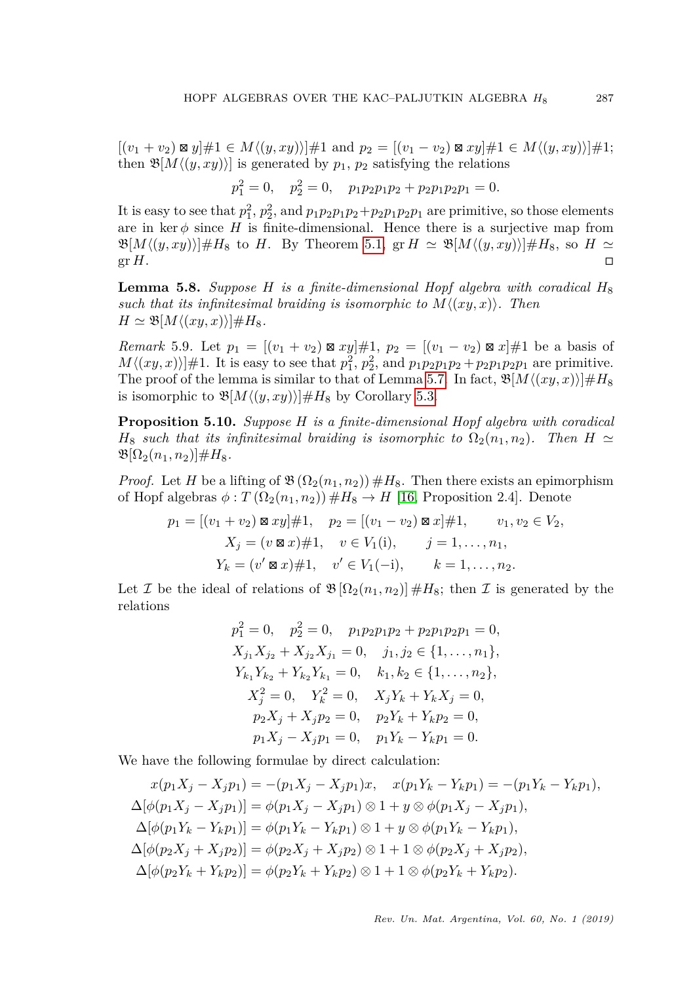$[(v_1 + v_2) \boxtimes y] \# 1 \in M \langle (y, xy) \rangle] \# 1$  and  $p_2 = [(v_1 - v_2) \boxtimes xy] \# 1 \in M \langle (y, xy) \rangle] \# 1;$ then  $\mathfrak{B}[M\langle(y,xy)\rangle]$  is generated by  $p_1, p_2$  satisfying the relations

$$
p_1^2 = 0, \quad p_2^2 = 0, \quad p_1 p_2 p_1 p_2 + p_2 p_1 p_2 p_1 = 0.
$$

It is easy to see that  $p_1^2$ ,  $p_2^2$ , and  $p_1p_2p_1p_2+p_2p_1p_2p_1$  are primitive, so those elements are in  $\ker \phi$  since *H* is finite-dimensional. Hence there is a surjective map from  $\mathfrak{B}[M\langle(y,xy)\rangle]\#H_8$  to *H*. By Theorem [5.1,](#page-18-0)  $\operatorname{gr} H \simeq \mathfrak{B}[M\langle(y,xy)\rangle]\#H_8$ , so  $H \simeq$  $\operatorname{gr} H$ .

<span id="page-22-1"></span>**Lemma 5.8.** *Suppose H is a finite-dimensional Hopf algebra with coradical H*<sup>8</sup> *such that its infinitesimal braiding is isomorphic to*  $M \langle (xy, x) \rangle$ *. Then*  $H \simeq \mathfrak{B}[M\langle(xy,x)\rangle]\#H_8.$ 

*Remark* 5.9*.* Let  $p_1 = [(v_1 + v_2) \boxtimes xy] \# 1$ ,  $p_2 = [(v_1 - v_2) \boxtimes x] \# 1$  be a basis of  $M\langle(xy, x)|\#1$ . It is easy to see that  $p_1^2$ ,  $p_2^2$ , and  $p_1p_2p_1p_2 + p_2p_1p_2p_1$  are primitive. The proof of the lemma is similar to that of Lemma [5.7.](#page-21-0) In fact,  $\mathfrak{B}[M\langle (xy, x)\rangle] \#H_8$ is isomorphic to  $\mathfrak{B}[M\langle (y, xy)\rangle]\#H_8$  by Corollary [5.3.](#page-0-1)

<span id="page-22-0"></span>**Proposition 5.10.** *Suppose H is a finite-dimensional Hopf algebra with coradical*  $H_8$  *such that its infinitesimal braiding is isomorphic to*  $\Omega_2(n_1, n_2)$ *. Then*  $H \simeq$  $\mathfrak{B}[\Omega_2(n_1,n_2)] \#H_8.$ 

*Proof.* Let *H* be a lifting of  $\mathfrak{B}(\Omega_2(n_1,n_2)) \#H_8$ . Then there exists an epimorphism of Hopf algebras  $\phi: T(\Omega_2(n_1, n_2)) \#H_8 \to H$  [\[16,](#page-31-1) Proposition 2.4]. Denote

$$
p_1 = [(v_1 + v_2) \boxtimes xy] \# 1, \quad p_2 = [(v_1 - v_2) \boxtimes x] \# 1, \quad v_1, v_2 \in V_2,
$$
  

$$
X_j = (v \boxtimes x) \# 1, \quad v \in V_1(i), \quad j = 1, ..., n_1,
$$
  

$$
Y_k = (v' \boxtimes x) \# 1, \quad v' \in V_1(-i), \quad k = 1, ..., n_2.
$$

Let *I* be the ideal of relations of  $\mathfrak{B}[\Omega_2(n_1,n_2)] \#H_8$ ; then *I* is generated by the relations

$$
p_1^2 = 0, \quad p_2^2 = 0, \quad p_1 p_2 p_1 p_2 + p_2 p_1 p_2 p_1 = 0,
$$
  
\n
$$
X_{j_1} X_{j_2} + X_{j_2} X_{j_1} = 0, \quad j_1, j_2 \in \{1, ..., n_1\},
$$
  
\n
$$
Y_{k_1} Y_{k_2} + Y_{k_2} Y_{k_1} = 0, \quad k_1, k_2 \in \{1, ..., n_2\},
$$
  
\n
$$
X_j^2 = 0, \quad Y_k^2 = 0, \quad X_j Y_k + Y_k X_j = 0,
$$
  
\n
$$
p_2 X_j + X_j p_2 = 0, \quad p_2 Y_k + Y_k p_2 = 0,
$$
  
\n
$$
p_1 X_j - X_j p_1 = 0, \quad p_1 Y_k - Y_k p_1 = 0.
$$

We have the following formulae by direct calculation:

$$
x(p_1X_j - X_jp_1) = -(p_1X_j - X_jp_1)x, \quad x(p_1Y_k - Y_kp_1) = -(p_1Y_k - Y_kp_1),
$$
  
\n
$$
\Delta[\phi(p_1X_j - X_jp_1)] = \phi(p_1X_j - X_jp_1) \otimes 1 + y \otimes \phi(p_1X_j - X_jp_1),
$$
  
\n
$$
\Delta[\phi(p_1Y_k - Y_kp_1)] = \phi(p_1Y_k - Y_kp_1) \otimes 1 + y \otimes \phi(p_1Y_k - Y_kp_1),
$$
  
\n
$$
\Delta[\phi(p_2X_j + X_jp_2)] = \phi(p_2X_j + X_jp_2) \otimes 1 + 1 \otimes \phi(p_2X_j + X_jp_2),
$$
  
\n
$$
\Delta[\phi(p_2Y_k + Y_kp_2)] = \phi(p_2Y_k + Y_kp_2) \otimes 1 + 1 \otimes \phi(p_2Y_k + Y_kp_2).
$$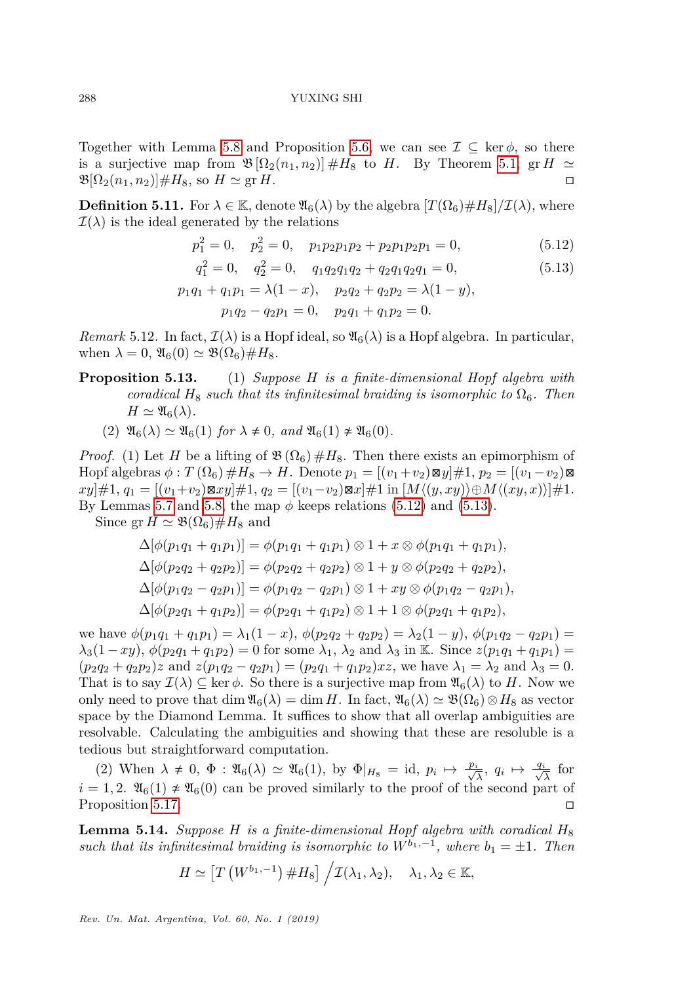Together with Lemma [5.8](#page-22-1) and Proposition [5.6,](#page-0-1) we can see  $\mathcal{I} \subseteq \text{ker } \phi$ , so there is a surjective map from  $\mathfrak{B}[\Omega_2(n_1,n_2)] \#H_8$  to *H*. By Theorem [5.1,](#page-18-0) gr *H*  $\simeq$  $\mathfrak{B}[\Omega_2(n_1, n_2)]$ #H<sub>8</sub>, so  $H \simeq \text{gr } H$ .

<span id="page-23-0"></span>**Definition 5.11.** For  $\lambda \in \mathbb{K}$ , denote  $\mathfrak{A}_6(\lambda)$  by the algebra  $[T(\Omega_6)\#H_8]/\mathcal{I}(\lambda)$ , where  $\mathcal{I}(\lambda)$  is the ideal generated by the relations

<span id="page-23-1"></span>
$$
p_1^2 = 0, \quad p_2^2 = 0, \quad p_1 p_2 p_1 p_2 + p_2 p_1 p_2 p_1 = 0,\tag{5.12}
$$

$$
q_1^2 = 0, \quad q_2^2 = 0, \quad q_1 q_2 q_1 q_2 + q_2 q_1 q_2 q_1 = 0,
$$
  
\n
$$
p_1 q_1 + q_1 p_1 = \lambda (1 - x), \quad p_2 q_2 + q_2 p_2 = \lambda (1 - y),
$$
\n(5.13)

<span id="page-23-2"></span>
$$
p_1q_2 - q_2p_1 = 0, \quad p_2q_1 + q_1p_2 = 0.
$$

*Remark* 5.12. In fact,  $\mathcal{I}(\lambda)$  is a Hopf ideal, so  $\mathfrak{A}_6(\lambda)$  is a Hopf algebra. In particular, when  $\lambda = 0$ ,  $\mathfrak{A}_6(0) \simeq \mathfrak{B}(\Omega_6) \# H_8$ .

- **Proposition 5.13.** (1) *Suppose H is a finite-dimensional Hopf algebra with coradical*  $H_8$  *such that its infinitesimal braiding is isomorphic to*  $\Omega_6$ *. Then*  $H \simeq \mathfrak{A}_6(\lambda)$ .
	- $(2)$   $\mathfrak{A}_6(\lambda) \simeq \mathfrak{A}_6(1)$  *for*  $\lambda \neq 0$ *, and*  $\mathfrak{A}_6(1) \neq \mathfrak{A}_6(0)$ *.*

*Proof.* (1) Let *H* be a lifting of  $\mathfrak{B}(\Omega_6) \#H_8$ . Then there exists an epimorphism of  $\text{Hopf}$  algebras  $\phi: T(\Omega_6) \#H_8 \to H$ . Denote  $p_1 = [(v_1+v_2) \boxtimes y] \#1, p_2 = [(v_1-v_2) \boxtimes y]$  $xy$ ]#1,  $q_1 = [(v_1+v_2)\boxtimes xy]$ #1,  $q_2 = [(v_1-v_2)\boxtimes x]$ #1 in  $[M\langle (y, xy)\rangle \oplus M\langle (xy, x)\rangle]$ #1. By Lemmas [5.7](#page-21-0) and [5.8,](#page-22-1) the map  $\phi$  keeps relations [\(5.12\)](#page-23-1) and [\(5.13\)](#page-23-2).

Since gr  $H \simeq \mathfrak{B}(\Omega_6) \# H_8$  and

$$
\Delta[\phi(p_1q_1 + q_1p_1)] = \phi(p_1q_1 + q_1p_1) \otimes 1 + x \otimes \phi(p_1q_1 + q_1p_1),\n\Delta[\phi(p_2q_2 + q_2p_2)] = \phi(p_2q_2 + q_2p_2) \otimes 1 + y \otimes \phi(p_2q_2 + q_2p_2),\n\Delta[\phi(p_1q_2 - q_2p_1)] = \phi(p_1q_2 - q_2p_1) \otimes 1 + xy \otimes \phi(p_1q_2 - q_2p_1),\n\Delta[\phi(p_2q_1 + q_1p_2)] = \phi(p_2q_1 + q_1p_2) \otimes 1 + 1 \otimes \phi(p_2q_1 + q_1p_2),
$$

we have  $\phi(p_1q_1 + q_1p_1) = \lambda_1(1-x), \, \phi(p_2q_2 + q_2p_2) = \lambda_2(1-y), \, \phi(p_1q_2 - q_2p_1) =$  $\lambda_3(1 - xy), \, \phi(p_2q_1 + q_1p_2) = 0$  for some  $\lambda_1, \, \lambda_2$  and  $\lambda_3$  in K. Since  $z(p_1q_1 + q_1p_1) =$  $(p_2q_2 + q_2p_2)z$  and  $z(p_1q_2 - q_2p_1) = (p_2q_1 + q_1p_2)xz$ , we have  $\lambda_1 = \lambda_2$  and  $\lambda_3 = 0$ . That is to say  $\mathcal{I}(\lambda) \subseteq \ker \phi$ . So there is a surjective map from  $\mathfrak{A}_6(\lambda)$  to *H*. Now we only need to prove that dim  $\mathfrak{A}_6(\lambda) = \dim H$ . In fact,  $\mathfrak{A}_6(\lambda) \simeq \mathfrak{B}(\Omega_6) \otimes H_8$  as vector space by the Diamond Lemma. It suffices to show that all overlap ambiguities are resolvable. Calculating the ambiguities and showing that these are resoluble is a tedious but straightforward computation.

(2) When  $\lambda \neq 0$ ,  $\Phi : \mathfrak{A}_6(\lambda) \simeq \mathfrak{A}_6(1)$ , by  $\Phi|_{H_8} = \text{id}$ ,  $p_i \mapsto \frac{p_i}{\sqrt{\lambda}}$ ,  $q_i \mapsto \frac{q_i}{\sqrt{\lambda}}$  for  $i = 1, 2$ .  $\mathfrak{A}_6(1) \neq \mathfrak{A}_6(0)$  can be proved similarly to the proof of the second part of Proposition [5.17.](#page-0-1)

<span id="page-23-3"></span>**Lemma 5.14.** *Suppose H is a finite-dimensional Hopf algebra with coradical*  $H_8$ *such that its infinitesimal braiding is isomorphic to*  $W^{b_1,-1}$ , where  $b_1 = \pm 1$ . Then

$$
H \simeq \left[T\left(W^{b_1,-1}\right) \# H_8\right] \Big/ \mathcal{I}(\lambda_1,\lambda_2), \quad \lambda_1, \lambda_2 \in \mathbb{K},
$$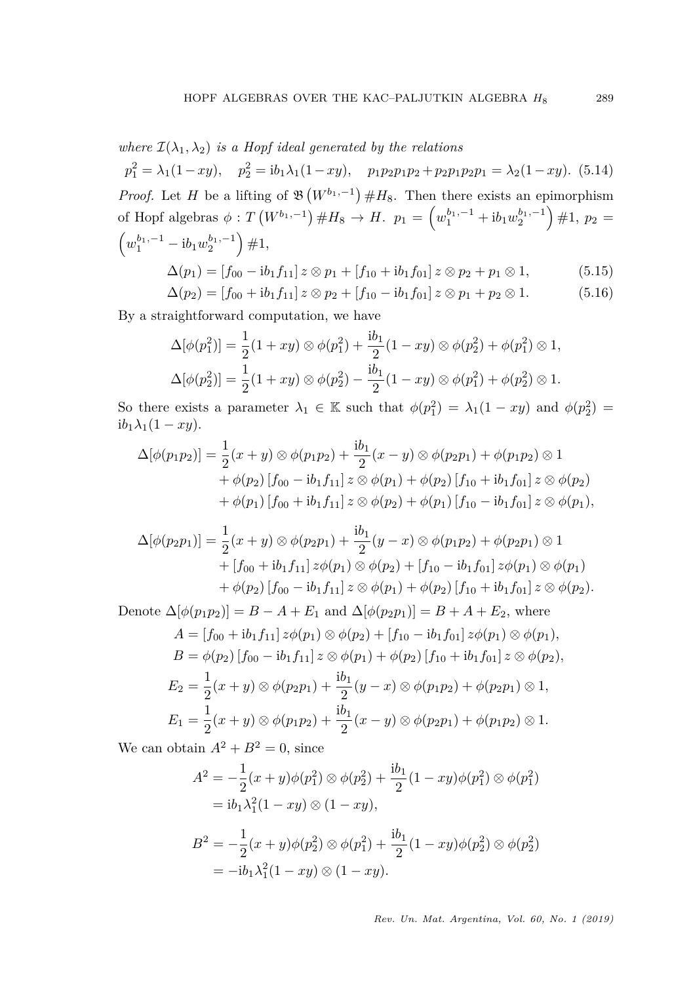# *where*  $\mathcal{I}(\lambda_1, \lambda_2)$  *is a Hopf ideal generated by the relations*

<span id="page-24-0"></span> $p_1^2 = \lambda_1(1 - xy), \quad p_2^2 = ib_1\lambda_1(1 - xy), \quad p_1p_2p_1p_2 + p_2p_1p_2p_1 = \lambda_2(1 - xy).$  (5.14) *Proof.* Let *H* be a lifting of  $\mathfrak{B}(W^{b_1,-1}) \# H_8$ . Then there exists an epimorphism of Hopf algebras  $\phi: T(W^{b_1,-1}) \# H_8 \to H$ .  $p_1 = \left(w_1^{b_1,-1} + ib_1w_2^{b_1,-1}\right) \# 1$ ,  $p_2 =$  $(w_1^{b_1,-1} - ib_1w_2^{b_1,-1}) \neq 1,$ 

<span id="page-24-2"></span><span id="page-24-1"></span>
$$
\Delta(p_1) = [f_{00} - ib_1 f_{11}] \otimes p_1 + [f_{10} + ib_1 f_{01}] \otimes p_2 + p_1 \otimes 1,\tag{5.15}
$$

$$
\Delta(p_2) = [f_{00} + ib_1 f_{11}] \, z \otimes p_2 + [f_{10} - ib_1 f_{01}] \, z \otimes p_1 + p_2 \otimes 1. \tag{5.16}
$$

By a straightforward computation, we have

$$
\Delta[\phi(p_1^2)] = \frac{1}{2}(1+xy) \otimes \phi(p_1^2) + \frac{ib_1}{2}(1-xy) \otimes \phi(p_2^2) + \phi(p_1^2) \otimes 1,
$$
  

$$
\Delta[\phi(p_2^2)] = \frac{1}{2}(1+xy) \otimes \phi(p_2^2) - \frac{ib_1}{2}(1-xy) \otimes \phi(p_1^2) + \phi(p_2^2) \otimes 1.
$$

So there exists a parameter  $\lambda_1 \in \mathbb{K}$  such that  $\phi(p_1^2) = \lambda_1(1 - xy)$  and  $\phi(p_2^2) =$  $ib_1\lambda_1(1 - xy)$ .

$$
\Delta[\phi(p_1p_2)] = \frac{1}{2}(x+y) \otimes \phi(p_1p_2) + \frac{ib_1}{2}(x-y) \otimes \phi(p_2p_1) + \phi(p_1p_2) \otimes 1 + \phi(p_2) [f_{00} - ib_1f_{11}] \, z \otimes \phi(p_1) + \phi(p_2) [f_{10} + ib_1f_{01}] \, z \otimes \phi(p_2) + \phi(p_1) [f_{00} + ib_1f_{11}] \, z \otimes \phi(p_2) + \phi(p_1) [f_{10} - ib_1f_{01}] \, z \otimes \phi(p_1),
$$

$$
\Delta[\phi(p_2p_1)] = \frac{1}{2}(x+y) \otimes \phi(p_2p_1) + \frac{ib_1}{2}(y-x) \otimes \phi(p_1p_2) + \phi(p_2p_1) \otimes 1 + [f_{00} + ib_1f_{11}] z\phi(p_1) \otimes \phi(p_2) + [f_{10} - ib_1f_{01}] z\phi(p_1) \otimes \phi(p_1) + \phi(p_2) [f_{00} - ib_1f_{11}] z \otimes \phi(p_1) + \phi(p_2) [f_{10} + ib_1f_{01}] z \otimes \phi(p_2).
$$

Denote  $\Delta[\phi(p_1p_2)] = B - A + E_1$  and  $\Delta[\phi(p_2p_1)] = B + A + E_2$ , where

$$
A = [f_{00} + ib_1 f_{11}] z \phi(p_1) \otimes \phi(p_2) + [f_{10} - ib_1 f_{01}] z \phi(p_1) \otimes \phi(p_1),
$$
  
\n
$$
B = \phi(p_2) [f_{00} - ib_1 f_{11}] z \otimes \phi(p_1) + \phi(p_2) [f_{10} + ib_1 f_{01}] z \otimes \phi(p_2),
$$
  
\n
$$
E_2 = \frac{1}{2} (x + y) \otimes \phi(p_2 p_1) + \frac{ib_1}{2} (y - x) \otimes \phi(p_1 p_2) + \phi(p_2 p_1) \otimes 1,
$$
  
\n
$$
E_1 = \frac{1}{2} (x + y) \otimes \phi(p_1 p_2) + \frac{ib_1}{2} (x - y) \otimes \phi(p_2 p_1) + \phi(p_1 p_2) \otimes 1.
$$

We can obtain  $A^2 + B^2 = 0$ , since

$$
A^{2} = -\frac{1}{2}(x+y)\phi(p_{1}^{2}) \otimes \phi(p_{2}^{2}) + \frac{ib_{1}}{2}(1 - xy)\phi(p_{1}^{2}) \otimes \phi(p_{1}^{2})
$$
  
=  $ib_{1}\lambda_{1}^{2}(1 - xy) \otimes (1 - xy),$   

$$
B^{2} = -\frac{1}{2}(x+y)\phi(p_{2}^{2}) \otimes \phi(p_{1}^{2}) + \frac{ib_{1}}{2}(1 - xy)\phi(p_{2}^{2}) \otimes \phi(p_{2}^{2})
$$
  
=  $-ib_{1}\lambda_{1}^{2}(1 - xy) \otimes (1 - xy).$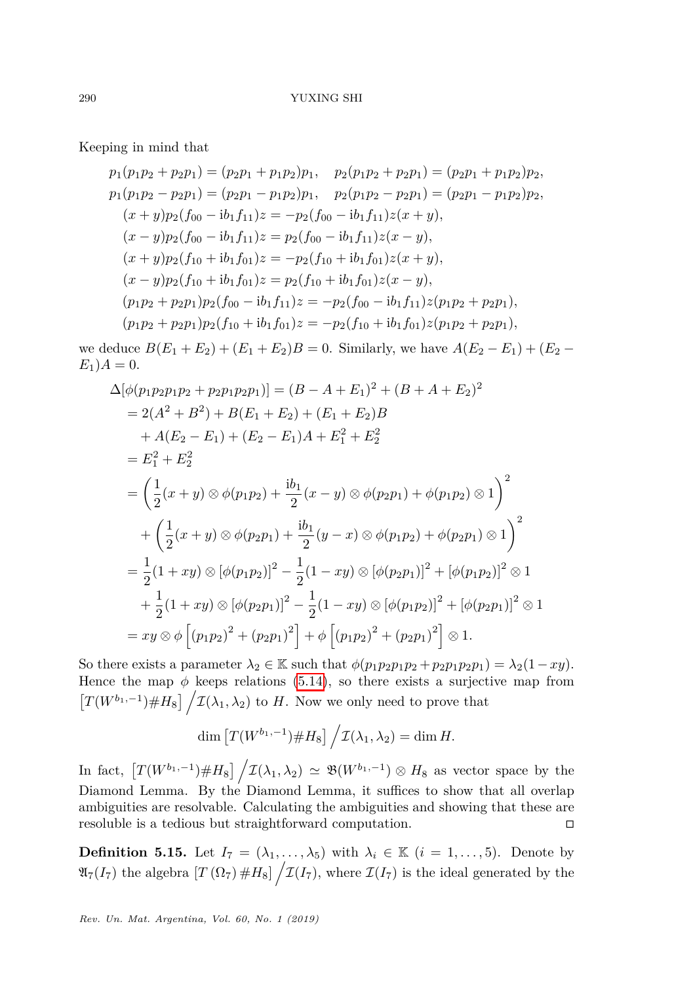Keeping in mind that

$$
p_1(p_1p_2 + p_2p_1) = (p_2p_1 + p_1p_2)p_1, p_2(p_1p_2 + p_2p_1) = (p_2p_1 + p_1p_2)p_2,
$$
  
\n
$$
p_1(p_1p_2 - p_2p_1) = (p_2p_1 - p_1p_2)p_1, p_2(p_1p_2 - p_2p_1) = (p_2p_1 - p_1p_2)p_2,
$$
  
\n
$$
(x + y)p_2(f_{00} - ib_1f_{11})z = -p_2(f_{00} - ib_1f_{11})z(x + y),
$$
  
\n
$$
(x - y)p_2(f_{10} + ib_1f_{01})z = p_2(f_{10} + ib_1f_{01})z(x + y),
$$
  
\n
$$
(x - y)p_2(f_{10} + ib_1f_{01})z = p_2(f_{10} + ib_1f_{01})z(x - y),
$$
  
\n
$$
(p_1p_2 + p_2p_1)p_2(f_{00} - ib_1f_{11})z = -p_2(f_{00} - ib_1f_{11})z(p_1p_2 + p_2p_1),
$$
  
\n
$$
(p_1p_2 + p_2p_1)p_2(f_{10} + ib_1f_{01})z = -p_2(f_{10} + ib_1f_{01})z(p_1p_2 + p_2p_1),
$$

we deduce  $B(E_1 + E_2) + (E_1 + E_2)B = 0$ . Similarly, we have  $A(E_2 - E_1) + (E_2 - E_2)B = 0$ .  $E_1$ ) $A = 0$ .

$$
\Delta[\phi(p_1p_2p_1p_2 + p_2p_1p_2p_1)] = (B - A + E_1)^2 + (B + A + E_2)^2
$$
  
\n
$$
= 2(A^2 + B^2) + B(E_1 + E_2) + (E_1 + E_2)B
$$
  
\n
$$
+ A(E_2 - E_1) + (E_2 - E_1)A + E_1^2 + E_2^2
$$
  
\n
$$
= E_1^2 + E_2^2
$$
  
\n
$$
= \left(\frac{1}{2}(x + y) \otimes \phi(p_1p_2) + \frac{ib_1}{2}(x - y) \otimes \phi(p_2p_1) + \phi(p_1p_2) \otimes 1\right)^2
$$
  
\n
$$
+ \left(\frac{1}{2}(x + y) \otimes \phi(p_2p_1) + \frac{ib_1}{2}(y - x) \otimes \phi(p_1p_2) + \phi(p_2p_1) \otimes 1\right)^2
$$
  
\n
$$
= \frac{1}{2}(1 + xy) \otimes [\phi(p_1p_2)]^2 - \frac{1}{2}(1 - xy) \otimes [\phi(p_2p_1)]^2 + [\phi(p_1p_2)]^2 \otimes 1
$$
  
\n
$$
+ \frac{1}{2}(1 + xy) \otimes [\phi(p_2p_1)]^2 - \frac{1}{2}(1 - xy) \otimes [\phi(p_1p_2)]^2 + [\phi(p_2p_1)]^2 \otimes 1
$$
  
\n
$$
= xy \otimes \phi [(p_1p_2)^2 + (p_2p_1)^2] + \phi [(p_1p_2)^2 + (p_2p_1)^2] \otimes 1.
$$

So there exists a parameter  $\lambda_2 \in \mathbb{K}$  such that  $\phi(p_1p_2p_1p_2 + p_2p_1p_2p_1) = \lambda_2(1-xy)$ . Hence the map  $\phi$  keeps relations [\(5.14\)](#page-24-0), so there exists a surjective map from  $[T(W^{b_1,-1}) \# H_8] / \mathcal{I}(\lambda_1,\lambda_2)$  to *H*. Now we only need to prove that

$$
\dim \left[ T(W^{b_1,-1}) \# H_8 \right] / \mathcal{I}(\lambda_1,\lambda_2) = \dim H.
$$

In fact,  $T(W^{b_1,-1}) \# H_8$   $\left/ \mathcal{I}(\lambda_1,\lambda_2) \simeq \mathfrak{B}(W^{b_1,-1}) \otimes H_8$  as vector space by the Diamond Lemma. By the Diamond Lemma, it suffices to show that all overlap ambiguities are resolvable. Calculating the ambiguities and showing that these are resoluble is a tedious but straightforward computation.

<span id="page-25-0"></span>**Definition 5.15.** Let  $I_7 = (\lambda_1, \ldots, \lambda_5)$  with  $\lambda_i \in \mathbb{K}$   $(i = 1, \ldots, 5)$ . Denote by  $\mathfrak{A}_7(I_7)$  the algebra  $[T(\Omega_7) \# H_8] / \mathcal{I}(I_7)$ , where  $\mathcal{I}(I_7)$  is the ideal generated by the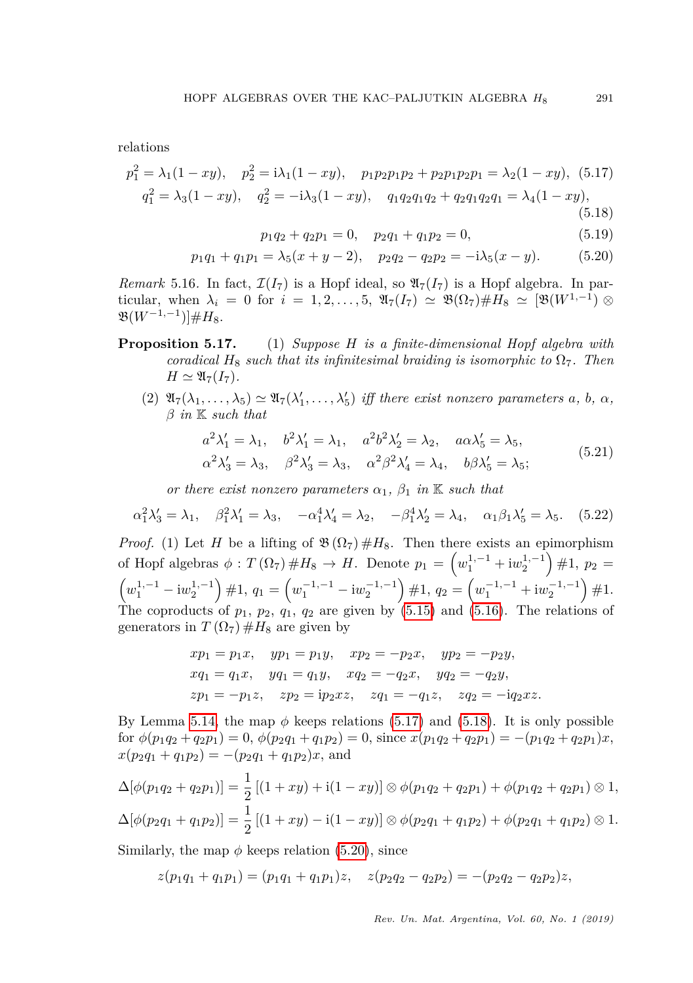relations

$$
p_1^2 = \lambda_1 (1 - xy), \quad p_2^2 = i\lambda_1 (1 - xy), \quad p_1 p_2 p_1 p_2 + p_2 p_1 p_2 p_1 = \lambda_2 (1 - xy), \quad (5.17)
$$
  

$$
q_1^2 = \lambda_3 (1 - xy), \quad q_2^2 = -i\lambda_3 (1 - xy), \quad q_1 q_2 q_1 q_2 + q_2 q_1 q_2 q_1 = \lambda_4 (1 - xy), \quad (5.18)
$$

<span id="page-26-2"></span><span id="page-26-1"></span><span id="page-26-0"></span> $p_1q_2 + q_2p_1 = 0$ ,  $p_2q_1 + q_1p_2 = 0$ , (5.19)

$$
p_1q_1 + q_1p_1 = \lambda_5(x + y - 2), \quad p_2q_2 - q_2p_2 = -i\lambda_5(x - y). \tag{5.20}
$$

*Remark* 5.16. In fact,  $\mathcal{I}(I_7)$  is a Hopf ideal, so  $\mathfrak{A}_7(I_7)$  is a Hopf algebra. In particular, when  $\lambda_i = 0$  for  $i = 1, 2, \ldots, 5$ ,  $\mathfrak{A}_7(I_7) \simeq \mathfrak{B}(\Omega_7) \# H_8 \simeq [\mathfrak{B}(W^{1,-1}) \otimes$  $\mathfrak{B}(W^{-1,-1})$ ]#H<sub>8</sub>.

- **Proposition 5.17.** (1) *Suppose H is a finite-dimensional Hopf algebra with coradical*  $H_8$  *such that its infinitesimal braiding is isomorphic to*  $\Omega_7$ *. Then*  $H \simeq \mathfrak{A}_7(I_7)$ .
	- $(2)$   $\mathfrak{A}_7(\lambda_1, \ldots, \lambda_5) \simeq \mathfrak{A}_7(\lambda'_1, \ldots, \lambda'_5)$  *iff there exist nonzero parameters a, b, a, β in* K *such that*

<span id="page-26-4"></span>
$$
a^2 \lambda'_1 = \lambda_1, \quad b^2 \lambda'_1 = \lambda_1, \quad a^2 b^2 \lambda'_2 = \lambda_2, \quad a \alpha \lambda'_5 = \lambda_5,
$$
  

$$
\alpha^2 \lambda'_3 = \lambda_3, \quad \beta^2 \lambda'_3 = \lambda_3, \quad \alpha^2 \beta^2 \lambda'_4 = \lambda_4, \quad b \beta \lambda'_5 = \lambda_5;
$$
 (5.21)

<span id="page-26-3"></span>*or there exist nonzero parameters*  $\alpha_1$ ,  $\beta_1$  *in* K *such that* 

$$
\alpha_1^2 \lambda_3' = \lambda_1, \quad \beta_1^2 \lambda_1' = \lambda_3, \quad -\alpha_1^4 \lambda_4' = \lambda_2, \quad -\beta_1^4 \lambda_2' = \lambda_4, \quad \alpha_1 \beta_1 \lambda_5' = \lambda_5. \quad (5.22)
$$

*Proof.* (1) Let *H* be a lifting of  $\mathfrak{B}(\Omega_7) \#H_8$ . Then there exists an epimorphism of Hopf algebras  $\phi: T(\Omega_7) \#H_8 \to H$ . Denote  $p_1 = \left(w_1^{1,-1} + \mathrm{i}w_2^{1,-1}\right) \#1$ ,  $p_2 =$  $(w_1^{1,-1} - iw_2^{1,-1}) \neq 1, q_1 = (w_1^{-1,-1} - iw_2^{-1,-1}) \neq 1, q_2 = (w_1^{-1,-1} + iw_2^{-1,-1}) \neq 1.$ The coproducts of  $p_1$ ,  $p_2$ ,  $q_1$ ,  $q_2$  are given by [\(5.15\)](#page-24-1) and [\(5.16\)](#page-24-2). The relations of generators in  $T(\Omega_7) \#H_8$  are given by

$$
xp_1 = p_1x, \quad yp_1 = p_1y, \quad xp_2 = -p_2x, \quad yp_2 = -p_2y,
$$
  
\n
$$
xq_1 = q_1x, \quad yq_1 = q_1y, \quad xq_2 = -q_2x, \quad yq_2 = -q_2y,
$$
  
\n
$$
zp_1 = -p_1z, \quad zp_2 = ip_2xz, \quad zq_1 = -q_1z, \quad zq_2 = -iq_2xz.
$$

By Lemma [5.14,](#page-23-3) the map  $\phi$  keeps relations [\(5.17\)](#page-26-0) and [\(5.18\)](#page-26-1). It is only possible  $\phi(p_1q_2 + q_2p_1) = 0$ ,  $\phi(p_2q_1 + q_1p_2) = 0$ , since  $x(p_1q_2 + q_2p_1) = -(p_1q_2 + q_2p_1)x$ ,  $x(p_2q_1 + q_1p_2) = -(p_2q_1 + q_1p_2)x$ , and

$$
\Delta[\phi(p_1q_2+q_2p_1)] = \frac{1}{2} [(1+xy)+i(1-xy)] \otimes \phi(p_1q_2+q_2p_1) + \phi(p_1q_2+q_2p_1) \otimes 1,
$$
  

$$
\Delta[\phi(p_2q_1+q_1p_2)] = \frac{1}{2} [(1+xy)-i(1-xy)] \otimes \phi(p_2q_1+q_1p_2) + \phi(p_2q_1+q_1p_2) \otimes 1.
$$

Similarly, the map  $\phi$  keeps relation [\(5.20\)](#page-26-2), since

$$
z(p_1q_1+q_1p_1)=(p_1q_1+q_1p_1)z, \quad z(p_2q_2-q_2p_2)=-(p_2q_2-q_2p_2)z,
$$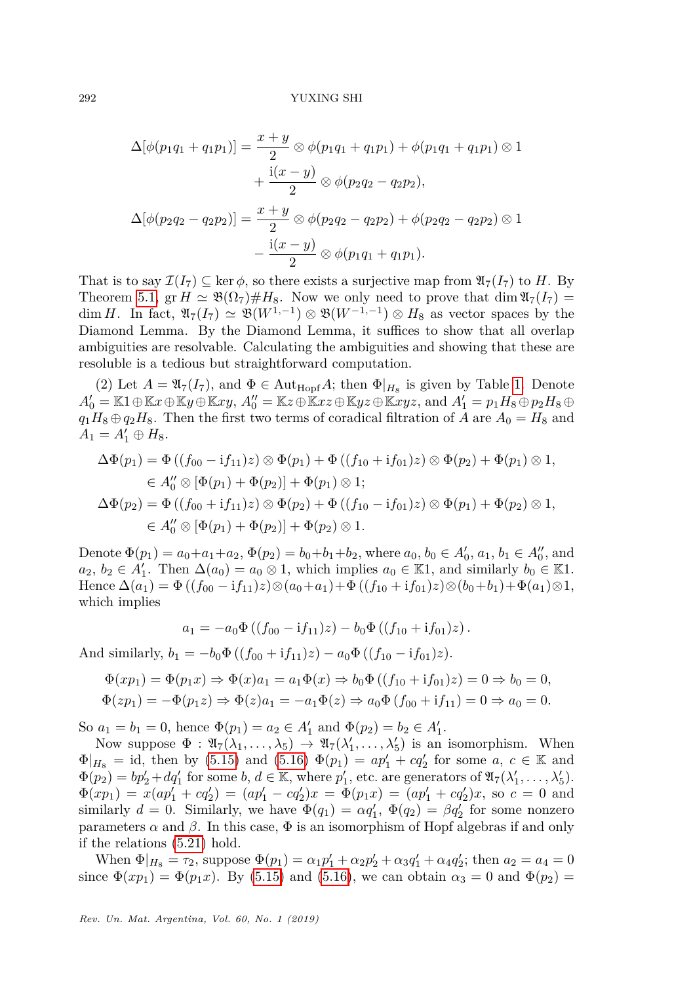$$
\Delta[\phi(p_1q_1 + q_1p_1)] = \frac{x+y}{2} \otimes \phi(p_1q_1 + q_1p_1) + \phi(p_1q_1 + q_1p_1) \otimes 1
$$

$$
+ \frac{i(x-y)}{2} \otimes \phi(p_2q_2 - q_2p_2),
$$

$$
\Delta[\phi(p_2q_2 - q_2p_2)] = \frac{x+y}{2} \otimes \phi(p_2q_2 - q_2p_2) + \phi(p_2q_2 - q_2p_2) \otimes 1
$$

$$
- \frac{i(x-y)}{2} \otimes \phi(p_1q_1 + q_1p_1).
$$

That is to say  $\mathcal{I}(I_7) \subseteq \ker \phi$ , so there exists a surjective map from  $\mathfrak{A}_7(I_7)$  to *H*. By Theorem [5.1,](#page-18-0) gr  $H \simeq \mathfrak{B}(\Omega_7) \# H_8$ . Now we only need to prove that dim  $\mathfrak{A}_7(I_7)$  = dim *H*. In fact,  $\mathfrak{A}_7(I_7) \simeq \mathfrak{B}(W^{1,-1}) \otimes \mathfrak{B}(W^{-1,-1}) \otimes H_8$  as vector spaces by the Diamond Lemma. By the Diamond Lemma, it suffices to show that all overlap ambiguities are resolvable. Calculating the ambiguities and showing that these are resoluble is a tedious but straightforward computation.

(2) Let  $A = \mathfrak{A}_7(I_7)$ , and  $\Phi \in \text{Aut}_{\text{Hopf}}A$ ; then  $\Phi|_{H_8}$  is given by Table [1.](#page-5-0) Denote  $A_0' = \mathbb{K}1 \oplus \mathbb{K}x \oplus \mathbb{K}y \oplus \mathbb{K}xy$ ,  $A_0'' = \mathbb{K}z \oplus \mathbb{K}xz \oplus \mathbb{K}yz \oplus \mathbb{K}xyz$ , and  $A_1' = p_1H_8 \oplus p_2H_8 \oplus$  $q_1H_8 \oplus q_2H_8$ . Then the first two terms of coradical filtration of *A* are  $A_0 = H_8$  and  $A_1 = A'_1 \oplus H_8.$ 

$$
\Delta \Phi(p_1) = \Phi ((f_{00} - if_{11})z) \otimes \Phi(p_1) + \Phi ((f_{10} + if_{01})z) \otimes \Phi(p_2) + \Phi(p_1) \otimes 1,\n\in A_0'' \otimes [\Phi(p_1) + \Phi(p_2)] + \Phi(p_1) \otimes 1;\n\Delta \Phi(p_2) = \Phi ((f_{00} + if_{11})z) \otimes \Phi(p_2) + \Phi ((f_{10} - if_{01})z) \otimes \Phi(p_1) + \Phi(p_2) \otimes 1,\n\in A_0'' \otimes [\Phi(p_1) + \Phi(p_2)] + \Phi(p_2) \otimes 1.
$$

Denote  $\Phi(p_1) = a_0 + a_1 + a_2$ ,  $\Phi(p_2) = b_0 + b_1 + b_2$ , where  $a_0, b_0 \in A'_0$ ,  $a_1, b_1 \in A''_0$ , and  $a_2, b_2 \in A'_1$ . Then  $\Delta(a_0) = a_0 \otimes 1$ , which implies  $a_0 \in \mathbb{K}1$ , and similarly  $b_0 \in \mathbb{K}1$ . Hence  $\Delta(a_1) = \Phi((f_{00} - if_{11})z) \otimes (a_0 + a_1) + \Phi((f_{10} + if_{01})z) \otimes (b_0 + b_1) + \Phi(a_1) \otimes 1$ , which implies

$$
a_1 = -a_0 \Phi ((f_{00} - if_{11})z) - b_0 \Phi ((f_{10} + if_{01})z).
$$

And similarly,  $b_1 = -b_0 \Phi ((f_{00} + if_{11})z) - a_0 \Phi ((f_{10} - if_{01})z)$ .

$$
\Phi(xp_1) = \Phi(p_1x) \Rightarrow \Phi(x)a_1 = a_1\Phi(x) \Rightarrow b_0\Phi((f_{10} + if_{01})z) = 0 \Rightarrow b_0 = 0,
$$
  

$$
\Phi(zp_1) = -\Phi(p_1z) \Rightarrow \Phi(z)a_1 = -a_1\Phi(z) \Rightarrow a_0\Phi(f_{00} + if_{11}) = 0 \Rightarrow a_0 = 0.
$$

So  $a_1 = b_1 = 0$ , hence  $\Phi(p_1) = a_2 \in A'_1$  and  $\Phi(p_2) = b_2 \in A'_1$ .

Now suppose  $\Phi : \mathfrak{A}_7(\lambda_1, \ldots, \lambda_5) \to \mathfrak{A}_7(\lambda'_1, \ldots, \lambda'_5)$  is an isomorphism. When  $\Phi|_{H_8} =$  id, then by [\(5.15\)](#page-24-1) and [\(5.16\)](#page-24-2)  $\Phi(p_1) = ap'_1 + cq'_2$  for some *a*, *c* ∈ K and  $\Phi(p_2) = bp'_2 + dq'_1$  for some *b*,  $d \in \mathbb{K}$ , where  $p'_1$ , etc. are generators of  $\mathfrak{A}_7(\lambda'_1, \ldots, \lambda'_5)$ .  $\Phi(xp_1) = x(ap'_1 + cq'_2) = (ap'_1 - cq'_2)x = \Phi(p_1x) = (ap'_1 + cq'_2)x$ , so  $c = 0$  and similarly  $d = 0$ . Similarly, we have  $\Phi(q_1) = \alpha q'_1$ ,  $\Phi(q_2) = \beta q'_2$  for some nonzero parameters  $\alpha$  and  $\beta$ . In this case,  $\Phi$  is an isomorphism of Hopf algebras if and only if the relations [\(5.21\)](#page-26-3) hold.

When  $\Phi|_{H_8} = \tau_2$ , suppose  $\Phi(p_1) = \alpha_1 p_1' + \alpha_2 p_2' + \alpha_3 q_1' + \alpha_4 q_2'$ ; then  $a_2 = a_4 = 0$ since  $\Phi(xp_1) = \Phi(p_1x)$ . By [\(5.15\)](#page-24-1) and [\(5.16\)](#page-24-2), we can obtain  $\alpha_3 = 0$  and  $\Phi(p_2) =$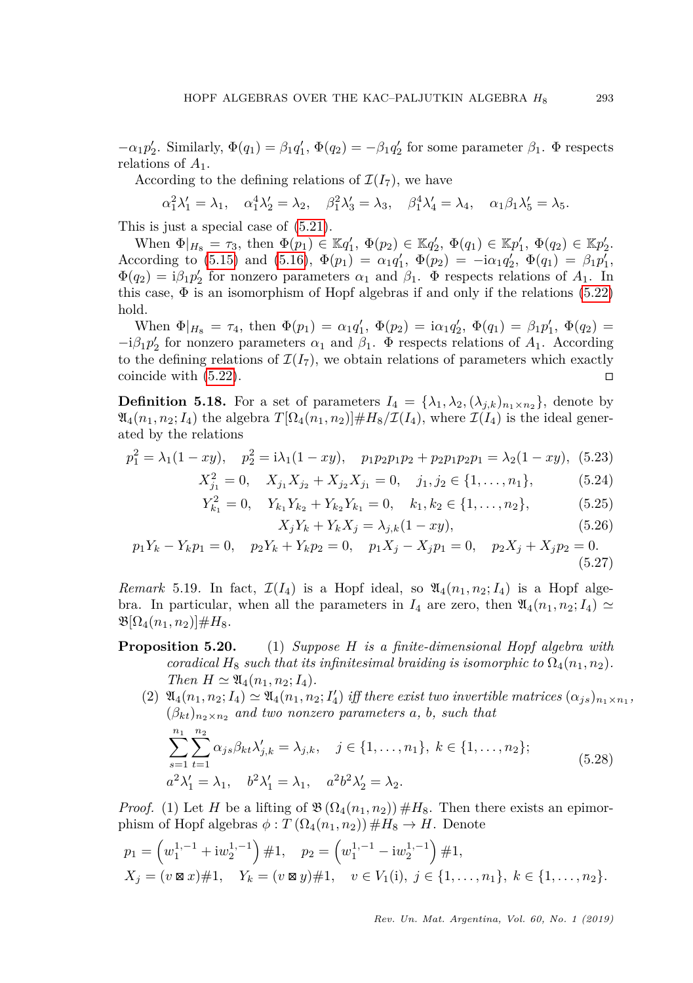$-\alpha_1 p_2'$ . Similarly,  $\Phi(q_1) = \beta_1 q_1', \Phi(q_2) = -\beta_1 q_2'$  for some parameter  $\beta_1$ .  $\Phi$  respects relations of *A*1.

According to the defining relations of  $\mathcal{I}(I_7)$ , we have

$$
\alpha_1^2 \lambda_1' = \lambda_1, \quad \alpha_1^4 \lambda_2' = \lambda_2, \quad \beta_1^2 \lambda_3' = \lambda_3, \quad \beta_1^4 \lambda_4' = \lambda_4, \quad \alpha_1 \beta_1 \lambda_5' = \lambda_5.
$$

This is just a special case of [\(5.21\)](#page-26-3).

When  $\Phi|_{H_8} = \tau_3$ , then  $\Phi(p_1) \in \mathbb{K}q_1'$ ,  $\Phi(p_2) \in \mathbb{K}q_2'$ ,  $\Phi(q_1) \in \mathbb{K}p_1'$ ,  $\Phi(q_2) \in \mathbb{K}p_2'$ . According to [\(5.15\)](#page-24-1) and [\(5.16\)](#page-24-2),  $\Phi(p_1) = \alpha_1 q'_1$ ,  $\Phi(p_2) = -i\alpha_1 q'_2$ ,  $\Phi(q_1) = \beta_1 p'_1$ ,  $\Phi(q_2) = i\beta_1 p_2'$  for nonzero parameters  $\alpha_1$  and  $\beta_1$ .  $\Phi$  respects relations of  $A_1$ . In this case,  $\Phi$  is an isomorphism of Hopf algebras if and only if the relations [\(5.22\)](#page-26-4) hold.

When  $\Phi|_{H_8} = \tau_4$ , then  $\Phi(p_1) = \alpha_1 q_1'$ ,  $\Phi(p_2) = i\alpha_1 q_2'$ ,  $\Phi(q_1) = \beta_1 p_1'$ ,  $\Phi(q_2) =$  $-i\beta_1 p_2'$  for nonzero parameters  $\alpha_1$  and  $\beta_1$ .  $\Phi$  respects relations of  $A_1$ . According to the defining relations of  $\mathcal{I}(I_7)$ , we obtain relations of parameters which exactly coincide with  $(5.22)$ .

<span id="page-28-0"></span>**Definition 5.18.** For a set of parameters  $I_4 = {\lambda_1, \lambda_2, (\lambda_{j,k})_{n_1 \times n_2}}$ , denote by  $\mathfrak{A}_4(n_1, n_2; I_4)$  the algebra  $T[\Omega_4(n_1, n_2)] \# H_8/\mathcal{I}(I_4)$ , where  $\mathcal{I}(I_4)$  is the ideal generated by the relations

$$
p_1^2 = \lambda_1(1 - xy), \quad p_2^2 = i\lambda_1(1 - xy), \quad p_1p_2p_1p_2 + p_2p_1p_2p_1 = \lambda_2(1 - xy), \tag{5.23}
$$

$$
X_{j_1}^2 = 0, \quad X_{j_1} X_{j_2} + X_{j_2} X_{j_1} = 0, \quad j_1, j_2 \in \{1, \dots, n_1\},
$$
 (5.24)

$$
Y_{k_1}^2 = 0, \quad Y_{k_1} Y_{k_2} + Y_{k_2} Y_{k_1} = 0, \quad k_1, k_2 \in \{1, \dots, n_2\},
$$
 (5.25)

<span id="page-28-3"></span><span id="page-28-2"></span><span id="page-28-1"></span>
$$
X_j Y_k + Y_k X_j = \lambda_{j,k} (1 - xy),\tag{5.26}
$$

$$
p_1 Y_k - Y_k p_1 = 0, \quad p_2 Y_k + Y_k p_2 = 0, \quad p_1 X_j - X_j p_1 = 0, \quad p_2 X_j + X_j p_2 = 0.
$$
\n(5.27)

*Remark* 5.19. In fact,  $\mathcal{I}(I_4)$  is a Hopf ideal, so  $\mathfrak{A}_4(n_1, n_2; I_4)$  is a Hopf algebra. In particular, when all the parameters in  $I_4$  are zero, then  $\mathfrak{A}_4(n_1, n_2; I_4) \simeq$  $\mathfrak{B}[\Omega_4(n_1,n_2)] \#H_8.$ 

- **Proposition 5.20.** (1) *Suppose H is a finite-dimensional Hopf algebra with coradical*  $H_8$  *such that its infinitesimal braiding is isomorphic to*  $\Omega_4(n_1, n_2)$ *. Then*  $H \simeq \mathfrak{A}_4(n_1, n_2; I_4)$ *.* 
	- $(2)$   $\mathfrak{A}_4(n_1, n_2; I_4) \simeq \mathfrak{A}_4(n_1, n_2; I'_4)$  *iff there exist two invertible matrices*  $(\alpha_{js})_{n_1 \times n_1}$ ,  $(\beta_{kt})_{n_2 \times n_2}$  *and two nonzero parameters a, b, such that*  $\sum_{n=1}^{n}$ *s*=1  $\sum_{n=1}^{\infty}$ *t*=1  $\alpha_{js}\beta_{kt}\lambda'_{j,k} = \lambda_{j,k}, \quad j \in \{1, \ldots, n_1\}, k \in \{1, \ldots, n_2\};$  $a^2\lambda'_1 = \lambda_1$ ,  $b^2\lambda'_1 = \lambda_1$ ,  $a^2b^2\lambda'_2 = \lambda_2$ . (5.28)

<span id="page-28-4"></span>*Proof.* (1) Let *H* be a lifting of  $\mathfrak{B}(\Omega_4(n_1, n_2)) \# H_8$ . Then there exists an epimorphism of Hopf algebras  $\phi: T(\Omega_4(n_1, n_2)) \#H_8 \to H$ . Denote

$$
p_1 = \left(w_1^{1,-1} + iw_2^{1,-1}\right) \# 1, \quad p_2 = \left(w_1^{1,-1} - iw_2^{1,-1}\right) \# 1, X_j = (v \boxtimes x) \# 1, \quad Y_k = (v \boxtimes y) \# 1, \quad v \in V_1(i), j \in \{1, \dots, n_1\}, k \in \{1, \dots, n_2\}.
$$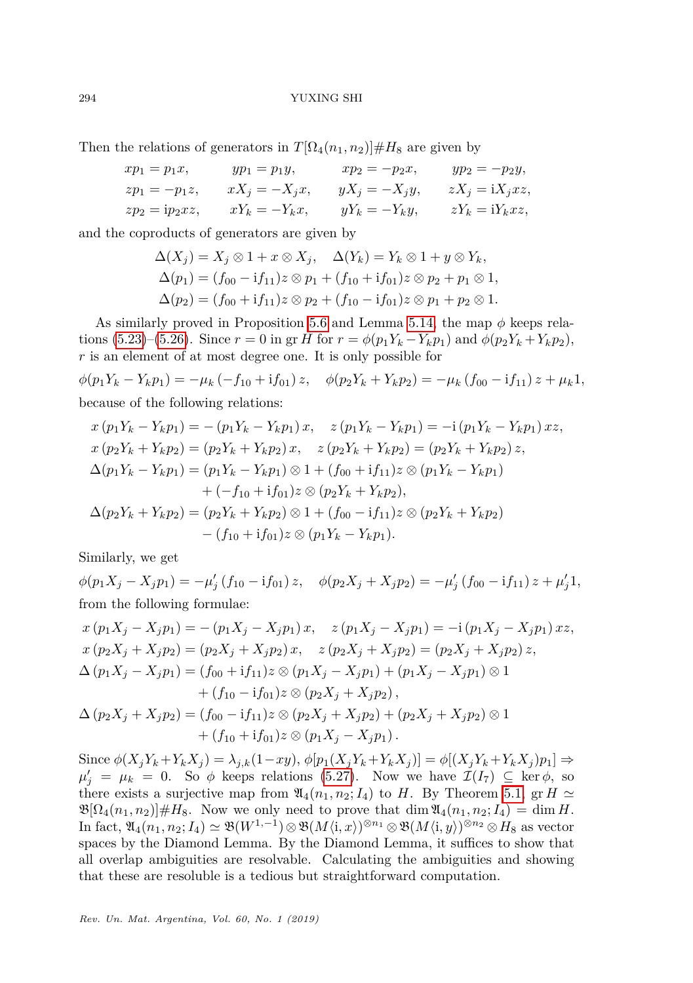Then the relations of generators in  $T[\Omega_4(n_1, n_2)] \#H_8$  are given by

$$
\begin{aligned}\nxp_1 &= p_1x, & yp_1 &= p_1y, & xp_2 &= -p_2x, & yp_2 &= -p_2y, \\
zp_1 &= -p_1z, & xX_j &= -X_jx, & yX_j &= -X_jy, & zX_j &= \mathrm{i}X_jxz, \\
zp_2 &= \mathrm{i}p_2xz, & xY_k &= -Y_kx, & yY_k &= -Y_ky, & zY_k &= \mathrm{i}Y_kxz,\n\end{aligned}
$$

and the coproducts of generators are given by

$$
\Delta(X_j) = X_j \otimes 1 + x \otimes X_j, \quad \Delta(Y_k) = Y_k \otimes 1 + y \otimes Y_k, \n\Delta(p_1) = (f_{00} - if_{11})z \otimes p_1 + (f_{10} + if_{01})z \otimes p_2 + p_1 \otimes 1, \n\Delta(p_2) = (f_{00} + if_{11})z \otimes p_2 + (f_{10} - if_{01})z \otimes p_1 + p_2 \otimes 1.
$$

As similarly proved in Proposition [5.6](#page-0-1) and Lemma [5.14,](#page-23-3) the map *φ* keeps rela-tions [\(5.23\)](#page-28-1)–[\(5.26\)](#page-28-2). Since  $r = 0$  in gr *H* for  $r = \phi(p_1 Y_k - Y_k p_1)$  and  $\phi(p_2 Y_k + Y_k p_2)$ , *r* is an element of at most degree one. It is only possible for

$$
\phi(p_1Y_k - Y_kp_1) = -\mu_k (-f_{10} + if_{01}) z, \quad \phi(p_2Y_k + Y_kp_2) = -\mu_k (f_{00} - if_{11}) z + \mu_k 1,
$$
  
because of the following relations:

$$
x (p_1 Y_k - Y_k p_1) = -(p_1 Y_k - Y_k p_1) x, \quad z (p_1 Y_k - Y_k p_1) = -i (p_1 Y_k - Y_k p_1) x z,
$$
  
\n
$$
x (p_2 Y_k + Y_k p_2) = (p_2 Y_k + Y_k p_2) x, \quad z (p_2 Y_k + Y_k p_2) = (p_2 Y_k + Y_k p_2) z,
$$
  
\n
$$
\Delta(p_1 Y_k - Y_k p_1) = (p_1 Y_k - Y_k p_1) \otimes 1 + (f_{00} + if_{11}) z \otimes (p_1 Y_k - Y_k p_1)
$$
  
\n
$$
+ (-f_{10} + if_{01}) z \otimes (p_2 Y_k + Y_k p_2),
$$
  
\n
$$
\Delta(p_2 Y_k + Y_k p_2) = (p_2 Y_k + Y_k p_2) \otimes 1 + (f_{00} - if_{11}) z \otimes (p_2 Y_k + Y_k p_2)
$$
  
\n
$$
- (f_{10} + if_{01}) z \otimes (p_1 Y_k - Y_k p_1).
$$

Similarly, we get

 $\phi(p_1X_j - X_jp_1) = -\mu'_j(f_{10} - if_{01})z, \quad \phi(p_2X_j + X_jp_2) = -\mu'_j(f_{00} - if_{11})z + \mu'_j1,$ from the following formulae:

$$
x (p_1 X_j - X_j p_1) = -(p_1 X_j - X_j p_1) x, \quad z (p_1 X_j - X_j p_1) = -i (p_1 X_j - X_j p_1) xz,
$$
  
\n
$$
x (p_2 X_j + X_j p_2) = (p_2 X_j + X_j p_2) x, \quad z (p_2 X_j + X_j p_2) = (p_2 X_j + X_j p_2) z,
$$
  
\n
$$
\Delta (p_1 X_j - X_j p_1) = (f_{00} + if_{11}) z \otimes (p_1 X_j - X_j p_1) + (p_1 X_j - X_j p_1) \otimes 1
$$
  
\n
$$
+ (f_{10} - if_{01}) z \otimes (p_2 X_j + X_j p_2),
$$
  
\n
$$
\Delta (p_2 X_j + X_j p_2) = (f_{00} - if_{11}) z \otimes (p_2 X_j + X_j p_2) + (p_2 X_j + X_j p_2) \otimes 1
$$
  
\n
$$
+ (f_{10} + if_{01}) z \otimes (p_1 X_j - X_j p_1).
$$

Since  $\phi(X_j Y_k + Y_k X_j) = \lambda_{j,k}(1 - xy), \phi[p_1(X_j Y_k + Y_k X_j)] = \phi[(X_j Y_k + Y_k X_j)p_1] \Rightarrow$  $\mu'_{j} = \mu_{k} = 0$ . So  $\phi$  keeps relations [\(5.27\)](#page-28-3). Now we have  $\mathcal{I}(I_{7}) \subseteq \text{ker }\phi$ , so there exists a surjective map from  $\mathfrak{A}_4(n_1, n_2; I_4)$  to *H*. By Theorem [5.1,](#page-18-0) gr *H*  $\simeq$  $\mathfrak{B}[\Omega_4(n_1,n_2)] \# H_8$ . Now we only need to prove that dim  $\mathfrak{A}_4(n_1,n_2; I_4) = \dim H$ .  $\text{In fact, } \mathfrak{A}_4(n_1, n_2; I_4) \simeq \mathfrak{B}(W^{1,-1}) \otimes \mathfrak{B}(M\langle \mathbf{i}, x \rangle)^{\otimes n_1} \otimes \mathfrak{B}(M\langle \mathbf{i}, y \rangle)^{\otimes n_2} \otimes H_8 \text{ as vector}$ spaces by the Diamond Lemma. By the Diamond Lemma, it suffices to show that all overlap ambiguities are resolvable. Calculating the ambiguities and showing that these are resoluble is a tedious but straightforward computation.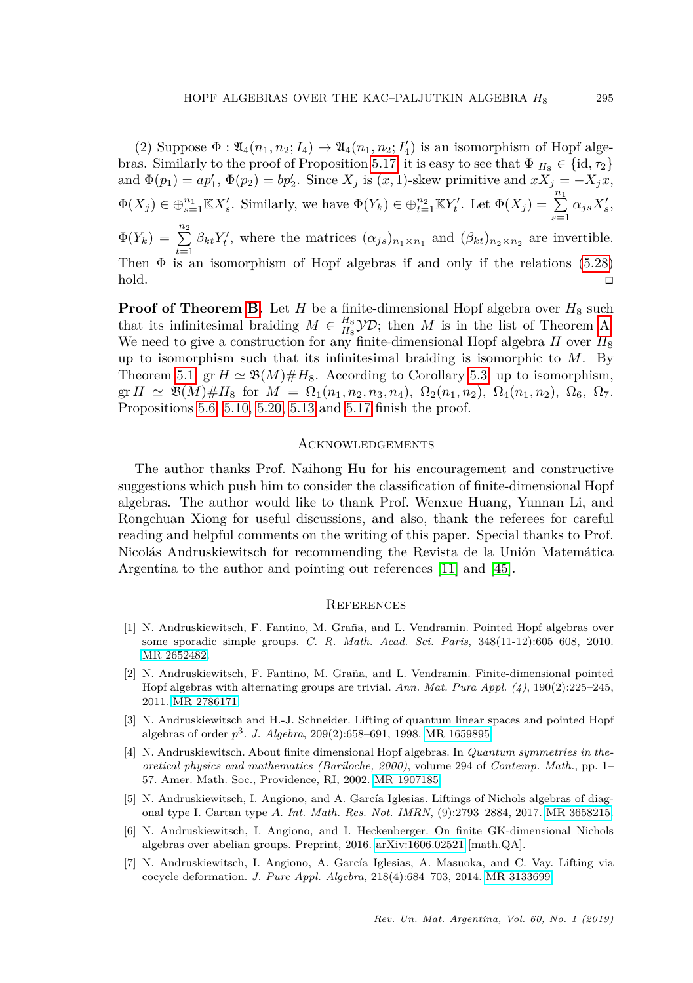(2) Suppose  $\Phi : \mathfrak{A}_4(n_1, n_2; I_4) \to \mathfrak{A}_4(n_1, n_2; I'_4)$  is an isomorphism of Hopf alge-bras. Similarly to the proof of Proposition [5.17,](#page-0-1) it is easy to see that  $\Phi|_{H_8} \in \{\mathrm{id}, \tau_2\}$ and  $\Phi(p_1) = ap'_1$ ,  $\Phi(p_2) = bp'_2$ . Since  $X_j$  is  $(x, 1)$ -skew primitive and  $xX_j = -X_jx$ ,  $\Phi(X_j) \in \bigoplus_{s=1}^{n_1} \mathbb{K} X_s'.$  Similarly, we have  $\Phi(Y_k) \in \bigoplus_{t=1}^{n_2} \mathbb{K} Y_t'.$  Let  $\Phi(X_j) = \sum_{s=1}^{n_1} \alpha_{js} X_s'.$  $\Phi(Y_k) = \sum_{t=1}^{n_2} \beta_{kt} Y'_t$ , where the matrices  $(\alpha_{js})_{n_1 \times n_1}$  and  $(\beta_{kt})_{n_2 \times n_2}$  are invertible. Then  $\Phi$  is an isomorphism of Hopf algebras if and only if the relations [\(5.28\)](#page-28-4) hold.

**Proof of Theorem [B.](#page-2-2)** Let *H* be a finite-dimensional Hopf algebra over  $H_8$  such that its infinitesimal braiding  $M \in H_8^B$  $\mathcal{YD}$ ; then *M* is in the list of Theorem [A.](#page-2-1) We need to give a construction for any finite-dimensional Hopf algebra  $H$  over  $H_8$ up to isomorphism such that its infinitesimal braiding is isomorphic to *M*. By Theorem [5.1,](#page-18-0) gr  $H \simeq \mathfrak{B}(M) \# H_8$ . According to Corollary [5.3,](#page-0-1) up to isomorphism,  $\text{gr } H \simeq \mathfrak{B}(M) \# H_8 \text{ for } M = \Omega_1(n_1, n_2, n_3, n_4), \Omega_2(n_1, n_2), \Omega_4(n_1, n_2), \Omega_6, \Omega_7.$ Propositions [5.6,](#page-0-1) [5.10,](#page-22-0) [5.20, 5.13](#page-0-1) and [5.17](#page-0-1) finish the proof.

## **ACKNOWLEDGEMENTS**

The author thanks Prof. Naihong Hu for his encouragement and constructive suggestions which push him to consider the classification of finite-dimensional Hopf algebras. The author would like to thank Prof. Wenxue Huang, Yunnan Li, and Rongchuan Xiong for useful discussions, and also, thank the referees for careful reading and helpful comments on the writing of this paper. Special thanks to Prof. Nicolás Andruskiewitsch for recommending the Revista de la Unión Matemática Argentina to the author and pointing out references [\[11\]](#page-31-12) and [\[45\]](#page-32-1).

#### **REFERENCES**

- <span id="page-30-2"></span>[1] N. Andruskiewitsch, F. Fantino, M. Graña, and L. Vendramin. Pointed Hopf algebras over some sporadic simple groups. *C. R. Math. Acad. Sci. Paris*, 348(11-12):605–608, 2010. [MR 2652482.](http://www.ams.org/mathscinet-getitem?mr=2652482)
- <span id="page-30-1"></span>[2] N. Andruskiewitsch, F. Fantino, M. Graña, and L. Vendramin. Finite-dimensional pointed Hopf algebras with alternating groups are trivial. *Ann. Mat. Pura Appl. (4)*, 190(2):225–245, 2011. [MR 2786171.](http://www.ams.org/mathscinet-getitem?mr=2786171)
- <span id="page-30-0"></span>[3] N. Andruskiewitsch and H.-J. Schneider. Lifting of quantum linear spaces and pointed Hopf algebras of order *p* 3 . *J. Algebra*, 209(2):658–691, 1998. [MR 1659895.](http://www.ams.org/mathscinet-getitem?mr=1659895)
- <span id="page-30-3"></span>[4] N. Andruskiewitsch. About finite dimensional Hopf algebras. In *Quantum symmetries in theoretical physics and mathematics (Bariloche, 2000)*, volume 294 of *Contemp. Math.*, pp. 1– 57. Amer. Math. Soc., Providence, RI, 2002. [MR 1907185.](http://www.ams.org/mathscinet-getitem?mr=1907185)
- <span id="page-30-4"></span>[5] N. Andruskiewitsch, I. Angiono, and A. García Iglesias. Liftings of Nichols algebras of diagonal type I. Cartan type *A*. *Int. Math. Res. Not. IMRN*, (9):2793–2884, 2017. [MR 3658215.](http://www.ams.org/mathscinet-getitem?mr=3658215)
- <span id="page-30-6"></span>[6] N. Andruskiewitsch, I. Angiono, and I. Heckenberger. On finite GK-dimensional Nichols algebras over abelian groups. Preprint, 2016. [arXiv:1606.02521](https://arxiv.org/abs/1606.02521) [math.QA].
- <span id="page-30-5"></span>[7] N. Andruskiewitsch, I. Angiono, A. García Iglesias, A. Masuoka, and C. Vay. Lifting via cocycle deformation. *J. Pure Appl. Algebra*, 218(4):684–703, 2014. [MR 3133699.](http://www.ams.org/mathscinet-getitem?mr=3133699)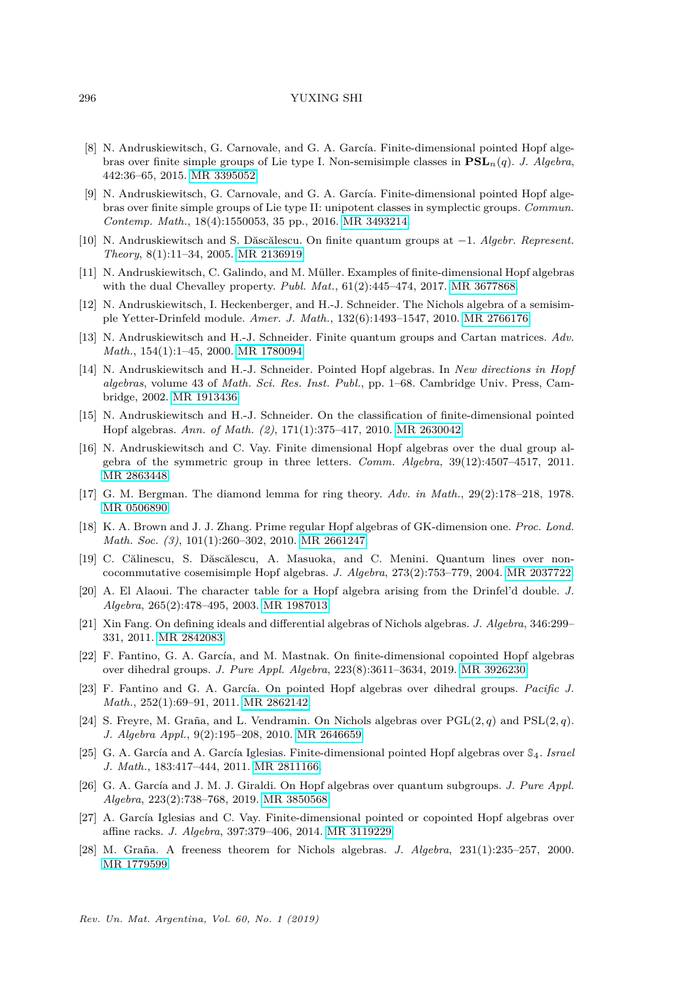- <span id="page-31-7"></span>[8] N. Andruskiewitsch, G. Carnovale, and G. A. García. Finite-dimensional pointed Hopf algebras over finite simple groups of Lie type I. Non-semisimple classes in **PSL***n*(*q*). *J. Algebra*, 442:36–65, 2015. [MR 3395052.](http://www.ams.org/mathscinet-getitem?mr=3395052)
- <span id="page-31-6"></span>[9] N. Andruskiewitsch, G. Carnovale, and G. A. García. Finite-dimensional pointed Hopf algebras over finite simple groups of Lie type II: unipotent classes in symplectic groups. *Commun. Contemp. Math.*, 18(4):1550053, 35 pp., 2016. [MR 3493214.](http://www.ams.org/mathscinet-getitem?mr=3493214)
- <span id="page-31-17"></span>[10] N. Andruskiewitsch and S. Dăscălescu. On finite quantum groups at −1. *Algebr. Represent. Theory*, 8(1):11–34, 2005. [MR 2136919.](http://www.ams.org/mathscinet-getitem?mr=2136919)
- <span id="page-31-12"></span>[11] N. Andruskiewitsch, C. Galindo, and M. Müller. Examples of finite-dimensional Hopf algebras with the dual Chevalley property. *Publ. Mat.*, 61(2):445–474, 2017. [MR 3677868.](http://www.ams.org/mathscinet-getitem?mr=3677868)
- <span id="page-31-3"></span>[12] N. Andruskiewitsch, I. Heckenberger, and H.-J. Schneider. The Nichols algebra of a semisimple Yetter-Drinfeld module. *Amer. J. Math.*, 132(6):1493–1547, 2010. [MR 2766176.](http://www.ams.org/mathscinet-getitem?mr=2766176)
- <span id="page-31-18"></span>[13] N. Andruskiewitsch and H.-J. Schneider. Finite quantum groups and Cartan matrices. *Adv. Math.*, 154(1):1–45, 2000. [MR 1780094.](http://www.ams.org/mathscinet-getitem?mr=1780094)
- <span id="page-31-0"></span>[14] N. Andruskiewitsch and H.-J. Schneider. Pointed Hopf algebras. In *New directions in Hopf algebras*, volume 43 of *Math. Sci. Res. Inst. Publ.*, pp. 1–68. Cambridge Univ. Press, Cambridge, 2002. [MR 1913436.](http://www.ams.org/mathscinet-getitem?mr=1913436)
- <span id="page-31-2"></span>[15] N. Andruskiewitsch and H.-J. Schneider. On the classification of finite-dimensional pointed Hopf algebras. *Ann. of Math. (2)*, 171(1):375–417, 2010. [MR 2630042.](http://www.ams.org/mathscinet-getitem?mr=2630042)
- <span id="page-31-1"></span>[16] N. Andruskiewitsch and C. Vay. Finite dimensional Hopf algebras over the dual group algebra of the symmetric group in three letters. *Comm. Algebra*, 39(12):4507–4517, 2011. [MR 2863448.](http://www.ams.org/mathscinet-getitem?mr=2863448)
- <span id="page-31-20"></span>[17] G. M. Bergman. The diamond lemma for ring theory. *Adv. in Math.*, 29(2):178–218, 1978. [MR 0506890.](http://www.ams.org/mathscinet-getitem?mr=0506890)
- <span id="page-31-15"></span>[18] K. A. Brown and J. J. Zhang. Prime regular Hopf algebras of GK-dimension one. *Proc. Lond. Math. Soc. (3)*, 101(1):260–302, 2010. [MR 2661247.](http://www.ams.org/mathscinet-getitem?mr=2661247)
- <span id="page-31-10"></span>[19] C. Călinescu, S. Dăscălescu, A. Masuoka, and C. Menini. Quantum lines over noncocommutative cosemisimple Hopf algebras. *J. Algebra*, 273(2):753–779, 2004. [MR 2037722.](http://www.ams.org/mathscinet-getitem?mr=2037722)
- <span id="page-31-16"></span>[20] A. El Alaoui. The character table for a Hopf algebra arising from the Drinfel'd double. *J. Algebra*, 265(2):478–495, 2003. [MR 1987013.](http://www.ams.org/mathscinet-getitem?mr=1987013)
- <span id="page-31-19"></span>[21] Xin Fang. On defining ideals and differential algebras of Nichols algebras. *J. Algebra*, 346:299– 331, 2011. [MR 2842083.](http://www.ams.org/mathscinet-getitem?mr=2842083)
- <span id="page-31-9"></span>[22] F. Fantino, G. A. García, and M. Mastnak. On finite-dimensional copointed Hopf algebras over dihedral groups. *J. Pure Appl. Algebra*, 223(8):3611–3634, 2019. [MR 3926230.](http://www.ams.org/mathscinet-getitem?mr=3926230)
- <span id="page-31-5"></span>[23] F. Fantino and G. A. García. On pointed Hopf algebras over dihedral groups. *Pacific J. Math.*, 252(1):69–91, 2011. [MR 2862142.](http://www.ams.org/mathscinet-getitem?mr=2862142)
- <span id="page-31-13"></span>[24] S. Freyre, M. Graña, and L. Vendramin. On Nichols algebras over  $PGL(2,q)$  and  $PSL(2,q)$ . *J. Algebra Appl.*, 9(2):195–208, 2010. [MR 2646659.](http://www.ams.org/mathscinet-getitem?mr=2646659)
- <span id="page-31-4"></span>[25] G. A. García and A. García Iglesias. Finite-dimensional pointed Hopf algebras over  $\mathbb{S}_4$ . *Israel J. Math.*, 183:417–444, 2011. [MR 2811166.](http://www.ams.org/mathscinet-getitem?mr=2811166)
- <span id="page-31-11"></span>[26] G. A. García and J. M. J. Giraldi. On Hopf algebras over quantum subgroups. *J. Pure Appl. Algebra*, 223(2):738–768, 2019. [MR 3850568.](http://www.ams.org/mathscinet-getitem?mr=3850568)
- <span id="page-31-8"></span>[27] A. García Iglesias and C. Vay. Finite-dimensional pointed or copointed Hopf algebras over affine racks. *J. Algebra*, 397:379–406, 2014. [MR 3119229.](http://www.ams.org/mathscinet-getitem?mr=3119229)
- <span id="page-31-14"></span>[28] M. Graña. A freeness theorem for Nichols algebras. *J. Algebra*, 231(1):235–257, 2000. [MR 1779599.](http://www.ams.org/mathscinet-getitem?mr=1779599)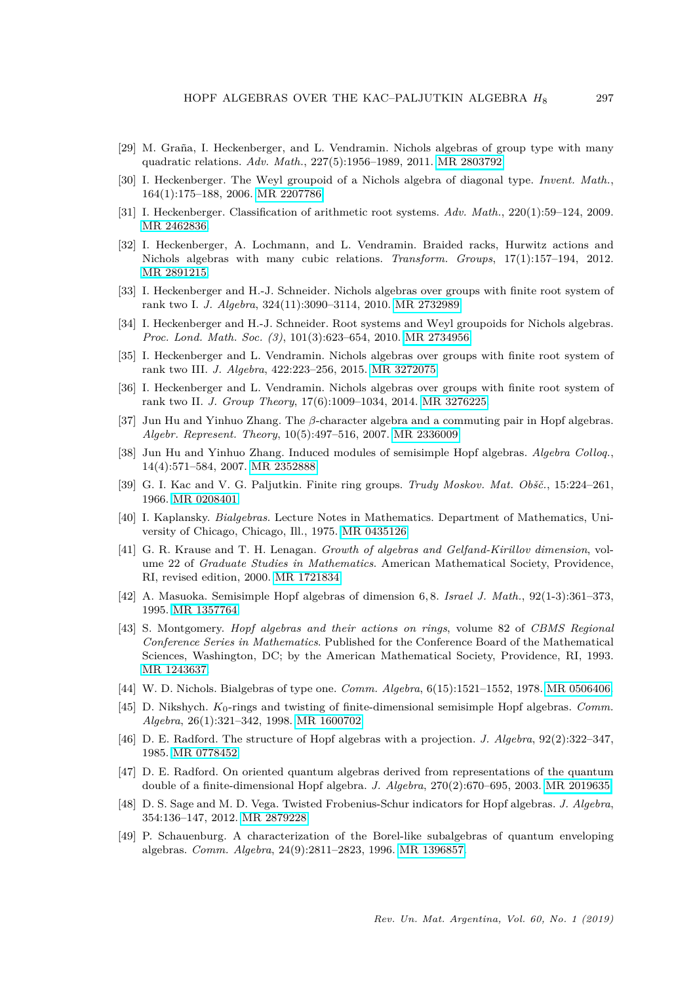- <span id="page-32-5"></span>[29] M. Graña, I. Heckenberger, and L. Vendramin. Nichols algebras of group type with many quadratic relations. *Adv. Math.*, 227(5):1956–1989, 2011. [MR 2803792.](http://www.ams.org/mathscinet-getitem?mr=2803792)
- <span id="page-32-3"></span>[30] I. Heckenberger. The Weyl groupoid of a Nichols algebra of diagonal type. *Invent. Math.*, 164(1):175–188, 2006. [MR 2207786.](http://www.ams.org/mathscinet-getitem?mr=2207786)
- <span id="page-32-4"></span>[31] I. Heckenberger. Classification of arithmetic root systems. *Adv. Math.*, 220(1):59–124, 2009. [MR 2462836.](http://www.ams.org/mathscinet-getitem?mr=2462836)
- <span id="page-32-6"></span>[32] I. Heckenberger, A. Lochmann, and L. Vendramin. Braided racks, Hurwitz actions and Nichols algebras with many cubic relations. *Transform. Groups*, 17(1):157–194, 2012. [MR 2891215.](http://www.ams.org/mathscinet-getitem?mr=2891215)
- <span id="page-32-7"></span>[33] I. Heckenberger and H.-J. Schneider. Nichols algebras over groups with finite root system of rank two I. *J. Algebra*, 324(11):3090–3114, 2010. [MR 2732989.](http://www.ams.org/mathscinet-getitem?mr=2732989)
- <span id="page-32-19"></span>[34] I. Heckenberger and H.-J. Schneider. Root systems and Weyl groupoids for Nichols algebras. *Proc. Lond. Math. Soc. (3)*, 101(3):623–654, 2010. [MR 2734956.](http://www.ams.org/mathscinet-getitem?mr=2734956)
- <span id="page-32-9"></span>[35] I. Heckenberger and L. Vendramin. Nichols algebras over groups with finite root system of rank two III. *J. Algebra*, 422:223–256, 2015. [MR 3272075.](http://www.ams.org/mathscinet-getitem?mr=3272075)
- <span id="page-32-8"></span>[36] I. Heckenberger and L. Vendramin. Nichols algebras over groups with finite root system of rank two II. *J. Group Theory*, 17(6):1009–1034, 2014. [MR 3276225.](http://www.ams.org/mathscinet-getitem?mr=3276225)
- <span id="page-32-17"></span>[37] Jun Hu and Yinhuo Zhang. The *β*-character algebra and a commuting pair in Hopf algebras. *Algebr. Represent. Theory*, 10(5):497–516, 2007. [MR 2336009.](http://www.ams.org/mathscinet-getitem?mr=2336009)
- <span id="page-32-18"></span>[38] Jun Hu and Yinhuo Zhang. Induced modules of semisimple Hopf algebras. *Algebra Colloq.*, 14(4):571–584, 2007. [MR 2352888.](http://www.ams.org/mathscinet-getitem?mr=2352888)
- [39] G. I. Kac and V. G. Paljutkin. Finite ring groups. *Trudy Moskov. Mat. Obšč.*, 15:224–261, 1966. [MR 0208401.](http://www.ams.org/mathscinet-getitem?mr=0208401)
- <span id="page-32-0"></span>[40] I. Kaplansky. *Bialgebras*. Lecture Notes in Mathematics. Department of Mathematics, University of Chicago, Chicago, Ill., 1975. [MR 0435126.](http://www.ams.org/mathscinet-getitem?mr=0435126)
- <span id="page-32-13"></span>[41] G. R. Krause and T. H. Lenagan. *Growth of algebras and Gelfand-Kirillov dimension*, volume 22 of *Graduate Studies in Mathematics*. American Mathematical Society, Providence, RI, revised edition, 2000. [MR 1721834.](http://www.ams.org/mathscinet-getitem?mr=1721834)
- <span id="page-32-14"></span>[42] A. Masuoka. Semisimple Hopf algebras of dimension 6*,* 8. *Israel J. Math.*, 92(1-3):361–373, 1995. [MR 1357764.](http://www.ams.org/mathscinet-getitem?mr=1357764)
- <span id="page-32-10"></span>[43] S. Montgomery. *Hopf algebras and their actions on rings*, volume 82 of *CBMS Regional Conference Series in Mathematics*. Published for the Conference Board of the Mathematical Sciences, Washington, DC; by the American Mathematical Society, Providence, RI, 1993. [MR 1243637.](http://www.ams.org/mathscinet-getitem?mr=1243637)
- <span id="page-32-2"></span>[44] W. D. Nichols. Bialgebras of type one. *Comm. Algebra*, 6(15):1521–1552, 1978. [MR 0506406.](http://www.ams.org/mathscinet-getitem?mr=0506406)
- <span id="page-32-1"></span>[45] D. Nikshych. *K*0-rings and twisting of finite-dimensional semisimple Hopf algebras. *Comm. Algebra*, 26(1):321–342, 1998. [MR 1600702.](http://www.ams.org/mathscinet-getitem?mr=1600702)
- <span id="page-32-12"></span>[46] D. E. Radford. The structure of Hopf algebras with a projection. *J. Algebra*, 92(2):322–347, 1985. [MR 0778452.](http://www.ams.org/mathscinet-getitem?mr=0778452)
- <span id="page-32-16"></span>[47] D. E. Radford. On oriented quantum algebras derived from representations of the quantum double of a finite-dimensional Hopf algebra. *J. Algebra*, 270(2):670–695, 2003. [MR 2019635.](http://www.ams.org/mathscinet-getitem?mr=2019635)
- <span id="page-32-15"></span>[48] D. S. Sage and M. D. Vega. Twisted Frobenius-Schur indicators for Hopf algebras. *J. Algebra*, 354:136–147, 2012. [MR 2879228.](http://www.ams.org/mathscinet-getitem?mr=2879228)
- <span id="page-32-11"></span>[49] P. Schauenburg. A characterization of the Borel-like subalgebras of quantum enveloping algebras. *Comm. Algebra*, 24(9):2811–2823, 1996. [MR 1396857.](http://www.ams.org/mathscinet-getitem?mr=1396857)